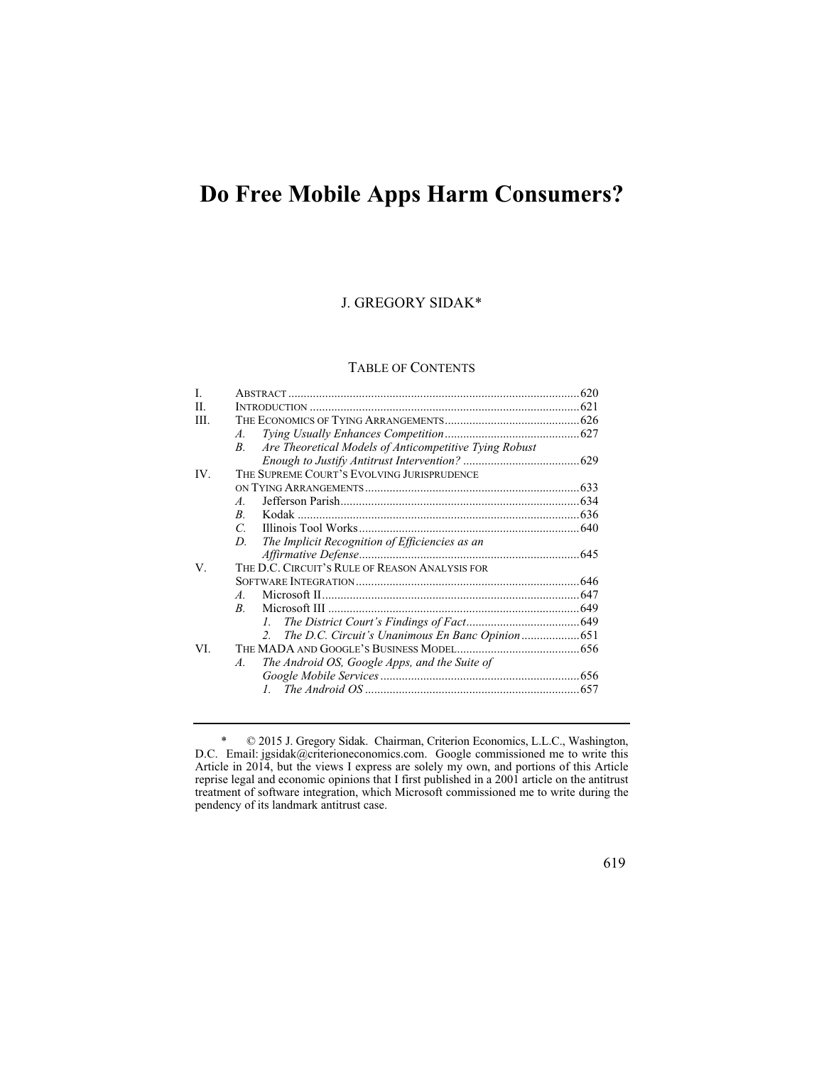# **Do Free Mobile Apps Harm Consumers?**

# J. GREGORY SIDAK\*

# TABLE OF CONTENTS

| I.   |                                                                       |  |  |
|------|-----------------------------------------------------------------------|--|--|
| H.   |                                                                       |  |  |
| III. |                                                                       |  |  |
|      | $A_{\cdot}$                                                           |  |  |
|      | Are Theoretical Models of Anticompetitive Tying Robust<br>$B_{\cdot}$ |  |  |
|      |                                                                       |  |  |
| IV.  | THE SUPREME COURT'S EVOLVING JURISPRUDENCE                            |  |  |
|      |                                                                       |  |  |
|      | $A_{-}$                                                               |  |  |
|      | B.                                                                    |  |  |
|      | C.                                                                    |  |  |
|      | The Implicit Recognition of Efficiencies as an<br>D.                  |  |  |
|      |                                                                       |  |  |
| V.   | THE D.C. CIRCUIT'S RULE OF REASON ANALYSIS FOR                        |  |  |
|      |                                                                       |  |  |
|      | $\overline{A}$                                                        |  |  |
|      | B.                                                                    |  |  |
|      |                                                                       |  |  |
|      | The D.C. Circuit's Unanimous En Banc Opinion  651<br>$\mathcal{L}$    |  |  |
| VI.  |                                                                       |  |  |
|      | The Android OS, Google Apps, and the Suite of<br>$\mathcal{A}$ .      |  |  |
|      |                                                                       |  |  |
|      |                                                                       |  |  |
|      |                                                                       |  |  |

<sup>\* © 2015</sup> J. Gregory Sidak. Chairman, Criterion Economics, L.L.C., Washington, D.C. Email: jgsidak@criterioneconomics.com. Google commissioned me to write this Article in 2014, but the views I express are solely my own, and portions of this Article reprise legal and economic opinions that I first published in a 2001 article on the antitrust treatment of software integration, which Microsoft commissioned me to write during the pendency of its landmark antitrust case.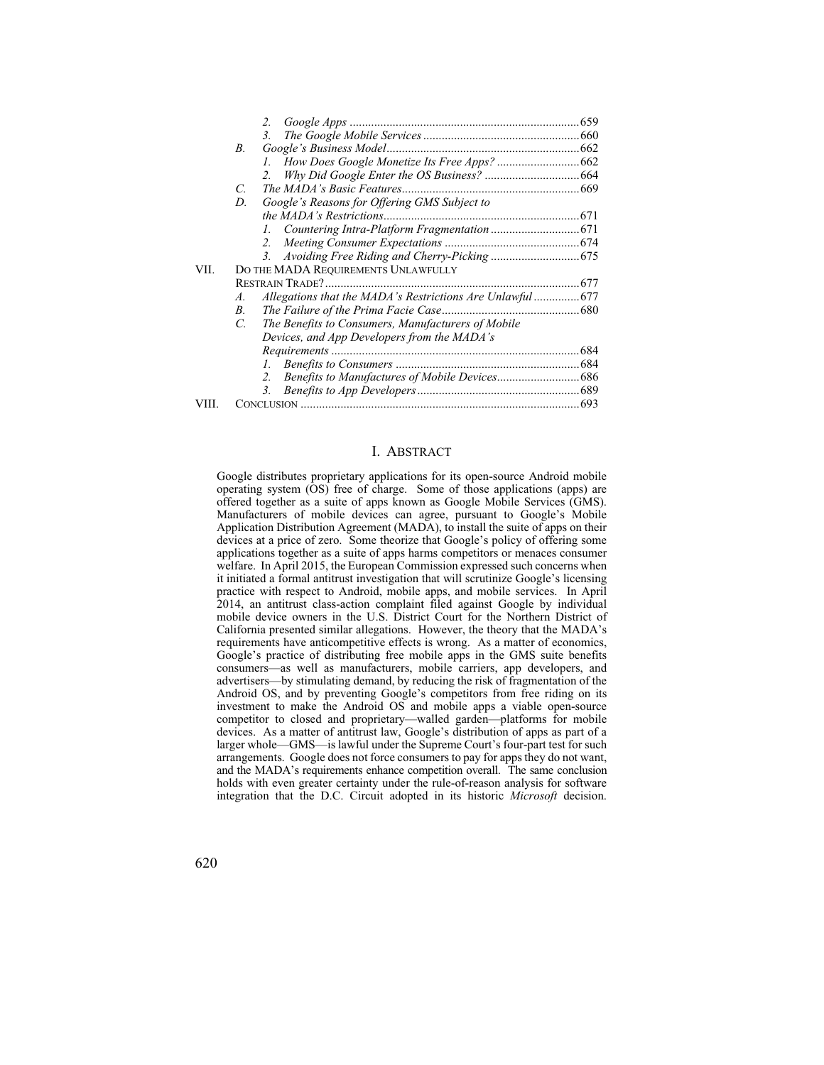|       |                                     | 2.                                                 |  |  |
|-------|-------------------------------------|----------------------------------------------------|--|--|
|       |                                     | 3.                                                 |  |  |
|       | B.                                  |                                                    |  |  |
|       |                                     |                                                    |  |  |
|       |                                     | $\mathcal{L}$                                      |  |  |
|       | C.                                  |                                                    |  |  |
|       | D.                                  | Google's Reasons for Offering GMS Subject to       |  |  |
|       |                                     |                                                    |  |  |
|       |                                     |                                                    |  |  |
|       |                                     | 2.                                                 |  |  |
|       |                                     | 3.                                                 |  |  |
| VII.  | DO THE MADA REQUIREMENTS UNLAWFULLY |                                                    |  |  |
|       | <b>RESTRAIN TRADE?.</b>             |                                                    |  |  |
|       | А.                                  |                                                    |  |  |
|       | В.                                  |                                                    |  |  |
|       | C.                                  | The Benefits to Consumers, Manufacturers of Mobile |  |  |
|       |                                     | Devices, and App Developers from the MADA's        |  |  |
|       |                                     |                                                    |  |  |
|       |                                     | Ι.                                                 |  |  |
|       |                                     | $\mathcal{L}$                                      |  |  |
|       |                                     |                                                    |  |  |
| VIII. |                                     |                                                    |  |  |

#### I. ABSTRACT

 devices at a price of zero. Some theorize that Google's policy of offering some and the MADA's requirements enhance competition overall. The same conclusion integration that the D.C. Circuit adopted in its historic *Microsoft* decision. Google distributes proprietary applications for its open-source Android mobile operating system (OS) free of charge. Some of those applications (apps) are offered together as a suite of apps known as Google Mobile Services (GMS). Manufacturers of mobile devices can agree, pursuant to Google's Mobile Application Distribution Agreement (MADA), to install the suite of apps on their applications together as a suite of apps harms competitors or menaces consumer welfare. In April 2015, the European Commission expressed such concerns when it initiated a formal antitrust investigation that will scrutinize Google's licensing practice with respect to Android, mobile apps, and mobile services. In April 2014, an antitrust class-action complaint filed against Google by individual mobile device owners in the U.S. District Court for the Northern District of California presented similar allegations. However, the theory that the MADA's requirements have anticompetitive effects is wrong. As a matter of economics, Google's practice of distributing free mobile apps in the GMS suite benefits consumers—as well as manufacturers, mobile carriers, app developers, and advertisers—by stimulating demand, by reducing the risk of fragmentation of the Android OS, and by preventing Google's competitors from free riding on its investment to make the Android OS and mobile apps a viable open-source competitor to closed and proprietary—walled garden—platforms for mobile devices. As a matter of antitrust law, Google's distribution of apps as part of a larger whole—GMS—is lawful under the Supreme Court's four-part test for such holds with even greater certainty under the rule-of-reason analysis for software devices. As a matter of antitrust law, Google's distribution of apps as part of a larger whole—GMS—is lawful under the Supreme Court's four-part test for such arrangements. Google does not force consumers to pay for apps t arrangements. Google does not force consumers to pay for apps they do not want,

620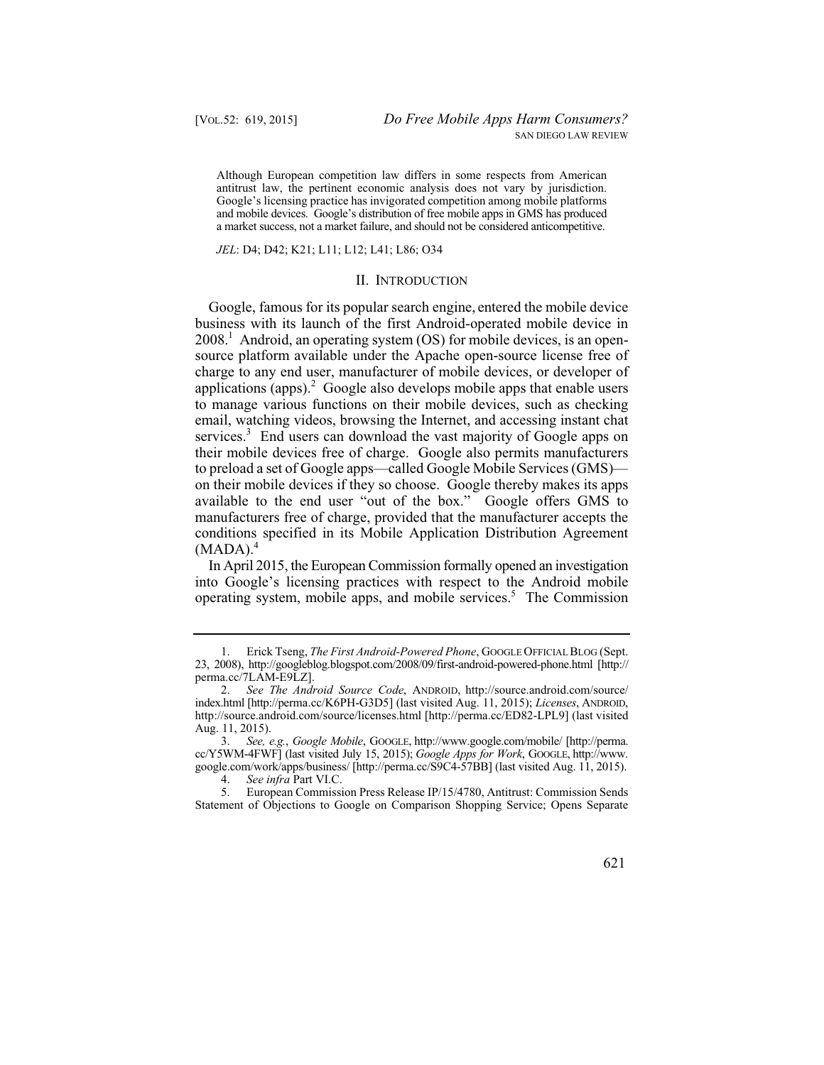a market success, not a market failure, and should not be considered anticompetitive. Although European competition law differs in some respects from American antitrust law, the pertinent economic analysis does not vary by jurisdiction. Google's licensing practice has invigorated competition among mobile platforms and mobile devices. Google's distribution of free mobile apps in GMS has produced

#### *JEL*: D4; D42; K21; L11; L12; L41; L86; O34

#### II. INTRODUCTION

Google, famous for its popular search engine, entered the mobile device business with its launch of the first Android-operated mobile device in  $2008<sup>1</sup>$  Android, an operating system (OS) for mobile devices, is an opensource platform available under the Apache open-source license free of charge to any end user, manufacturer of mobile devices, or developer of applications (apps). $^2$  Google also develops mobile apps that enable users to manage various functions on their mobile devices, such as checking email, watching videos, browsing the Internet, and accessing instant chat services.<sup>3</sup> End users can download the vast majority of Google apps on their mobile devices free of charge. Google also permits manufacturers to preload a set of Google apps—called Google Mobile Services (GMS) on their mobile devices if they so choose. Google thereby makes its apps available to the end user "out of the box." Google offers GMS to manufacturers free of charge, provided that the manufacturer accepts the conditions specified in its Mobile Application Distribution Agreement  $(MADA).<sup>4</sup>$ 

In April 2015, the European Commission formally opened an investigation into Google's licensing practices with respect to the Android mobile operating system, mobile apps, and mobile services.<sup>5</sup> The Commission

<sup>5.</sup> European Commission Press Release IP/15/4780, Antitrust: Commission Sends Statement of Objections to Google on Comparison Shopping Service; Opens Separate



 1. Erick Tseng, *The First Android-Powered Phone*, GOOGLE OFFICIAL BLOG (Sept. 23, 2008), http://googleblog.blogspot.com/2008/09/first-android-powered-phone.html [http:// perma.cc/7LAM-E9LZ].

 2. *See The Android Source Code*, ANDROID, http://source.android.com/source/ index.html [http://perma.cc/K6PH-G3D5] (last visited Aug. 11, 2015); *Licenses*, ANDROID, http://source.android.com/source/licenses.html [http://perma.cc/ED82-LPL9] (last visited Aug. 11, 2015).

 3. *See, e.g.*, *Google Mobile*, GOOGLE, http://www.google.com/mobile/ [http://perma. cc/Y5WM-4FWF] (last visited July 15, 2015); *Google Apps for Work*, GOOGLE, http://www. google.com/work/apps/business/ [http://perma.cc/S9C4-57BB] (last visited Aug. 11, 2015).

 4. *See infra* Part VI.C.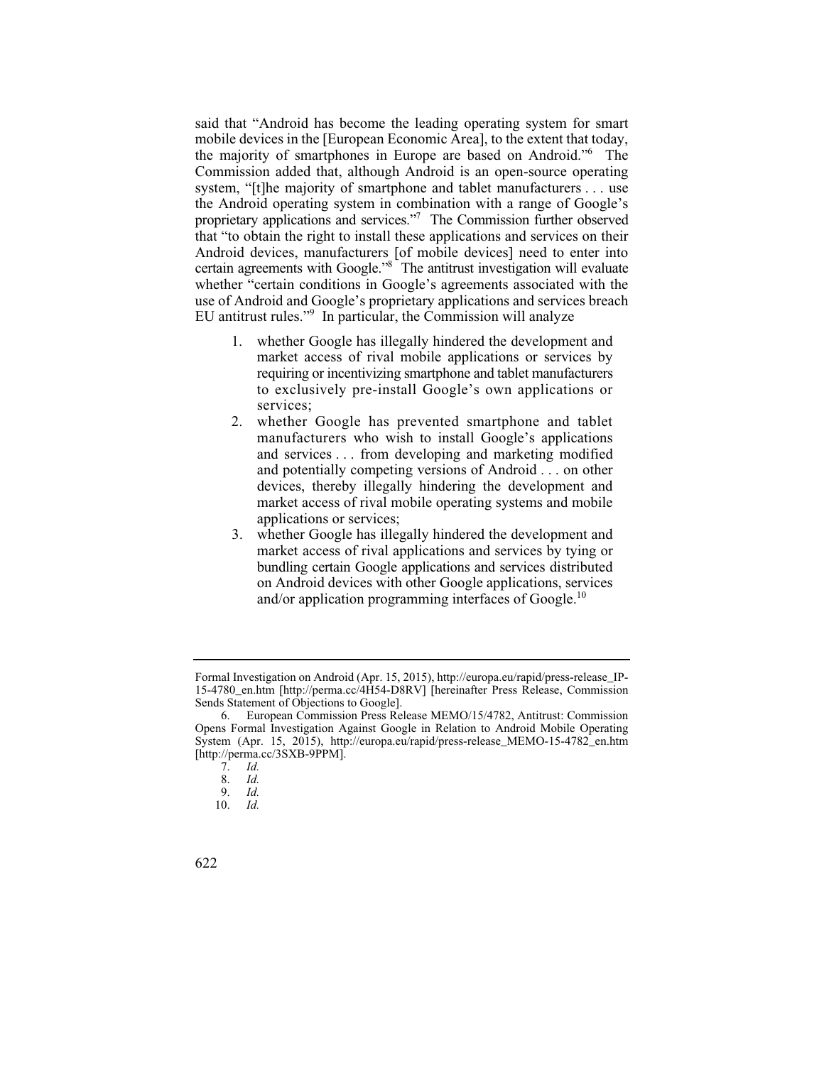said that "Android has become the leading operating system for smart mobile devices in the [European Economic Area], to the extent that today, the majority of smartphones in Europe are based on Android."6 The Commission added that, although Android is an open-source operating system, "[t]he majority of smartphone and tablet manufacturers . . . use the Android operating system in combination with a range of Google's proprietary applications and services."7 The Commission further observed that "to obtain the right to install these applications and services on their Android devices, manufacturers [of mobile devices] need to enter into certain agreements with Google."8 The antitrust investigation will evaluate whether "certain conditions in Google's agreements associated with the use of Android and Google's proprietary applications and services breach EU antitrust rules."<sup>9</sup> In particular, the Commission will analyze

- 1. whether Google has illegally hindered the development and market access of rival mobile applications or services by requiring or incentivizing smartphone and tablet manufacturers to exclusively pre-install Google's own applications or services;
- 2. whether Google has prevented smartphone and tablet manufacturers who wish to install Google's applications and services . . . from developing and marketing modified and potentially competing versions of Android . . . on other devices, thereby illegally hindering the development and market access of rival mobile operating systems and mobile applications or services;
- 3. whether Google has illegally hindered the development and market access of rival applications and services by tying or bundling certain Google applications and services distributed on Android devices with other Google applications, services and/or application programming interfaces of Google.<sup>10</sup>

Formal Investigation on Android (Apr. 15, 2015), http://europa.eu/rapid/press-release\_IP-15-4780\_en.htm [http://perma.cc/4H54-D8RV] [hereinafter Press Release, Commission Sends Statement of Objections to Google].

<sup>6.</sup> European Commission Press Release MEMO/15/4782, Antitrust: Commission Opens Formal Investigation Against Google in Relation to Android Mobile Operating System (Apr. 15, 2015), http://europa.eu/rapid/press-release\_MEMO-15-4782\_en.htm [http://perma.cc/3SXB-9PPM].<br>7. Id.

 7. *Id.*

 8. *Id.*

 9. *Id.*

Id. 10. *Id.* 

<sup>622</sup>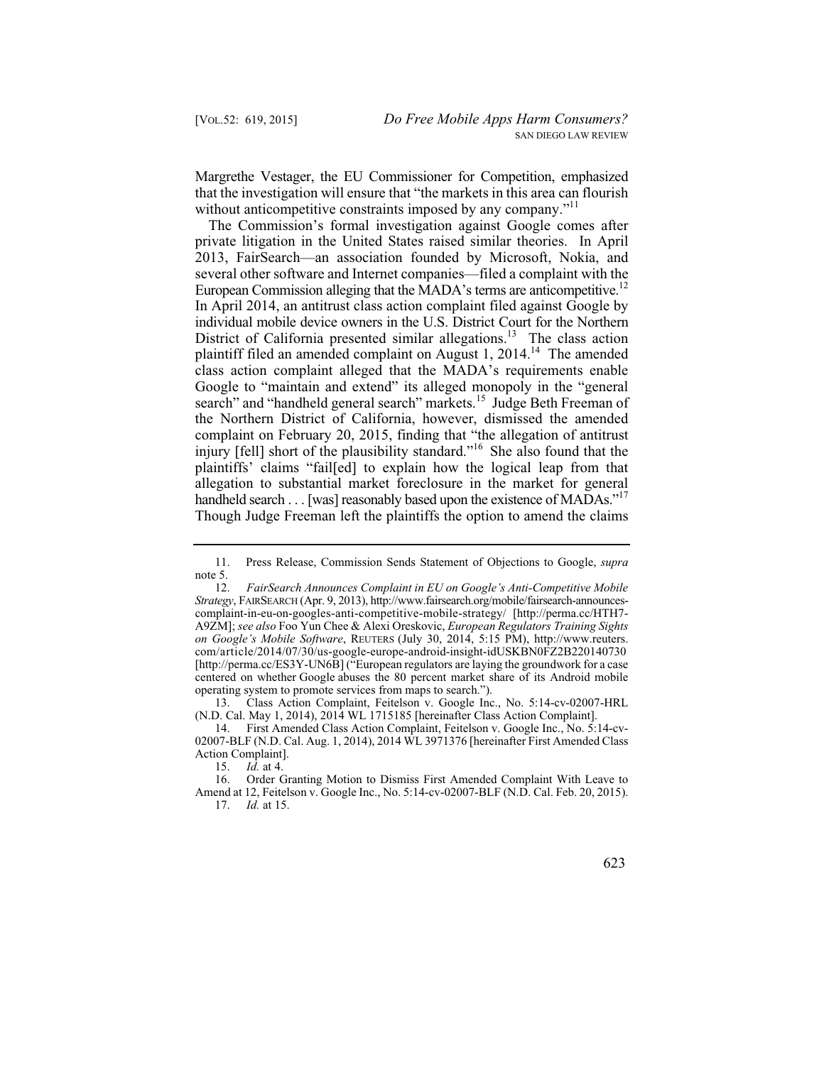Margrethe Vestager, the EU Commissioner for Competition, emphasized that the investigation will ensure that "the markets in this area can flourish without anticompetitive constraints imposed by any company."<sup>11</sup>

The Commission's formal investigation against Google comes after private litigation in the United States raised similar theories. In April 2013, FairSearch—an association founded by Microsoft, Nokia, and several other software and Internet companies—filed a complaint with the European Commission alleging that the MADA's terms are anticompetitive.<sup>12</sup> In April 2014, an antitrust class action complaint filed against Google by individual mobile device owners in the U.S. District Court for the Northern District of California presented similar allegations.<sup>13</sup> The class action plaintiff filed an amended complaint on August 1, 2014.<sup>14</sup> The amended class action complaint alleged that the MADA's requirements enable Google to "maintain and extend" its alleged monopoly in the "general search" and "handheld general search" markets.<sup>15</sup> Judge Beth Freeman of the Northern District of California, however, dismissed the amended complaint on February 20, 2015, finding that "the allegation of antitrust injury [fell] short of the plausibility standard."16 She also found that the plaintiffs' claims "fail[ed] to explain how the logical leap from that allegation to substantial market foreclosure in the market for general handheld search . . . [was] reasonably based upon the existence of MADAs."<sup>17</sup> Though Judge Freeman left the plaintiffs the option to amend the claims

13. Class Action Complaint, Feitelson v. Google Inc., No. 5:14-cv-02007-HRL (N.D. Cal. May 1, 2014), 2014 WL 1715185 [hereinafter Class Action Complaint].

14. First Amended Class Action Complaint, Feitelson v. Google Inc., No. 5:14-cv-02007-BLF (N.D. Cal. Aug. 1, 2014), 2014 WL 3971376 [hereinafter First Amended Class Action Complaint].<br>15. Id. at 4.

<sup>11.</sup> Press Release, Commission Sends Statement of Objections to Google, *supra*  note 5.<br> $12$ .

 12. *FairSearch Announces Complaint in EU on Google's Anti-Competitive Mobile*  centered on whether Google abuses the 80 percent market share of its Android mobile *Strategy*, FAIRSEARCH (Apr. 9, 2013), http://www.fairsearch.org/mobile/fairsearch-announcescomplaint-in-eu-on-googles-anti-competitive-mobile-strategy/ [http://perma.cc/HTH7 A9ZM]; *see also* Foo Yun Chee & Alexi Oreskovic, *European Regulators Training Sights on Google's Mobile Software*, REUTERS (July 30, 2014, 5:15 PM), http://www.reuters. com/article/2014/07/30/us-google-europe-android-insight-idUSKBN0FZ2B220140730 [http://perma.cc/ES3Y-UN6B] ("European regulators are laying the groundwork for a case operating system to promote services from maps to search.").<br>13. Class Action Complaint, Feitelson v. Google Inc

 15. *Id.* at 4.

 17. *Id.* at 15. 16. Order Granting Motion to Dismiss First Amended Complaint With Leave to Amend at 12, Feitelson v. Google Inc., No. 5:14-cv-02007-BLF (N.D. Cal. Feb. 20, 2015).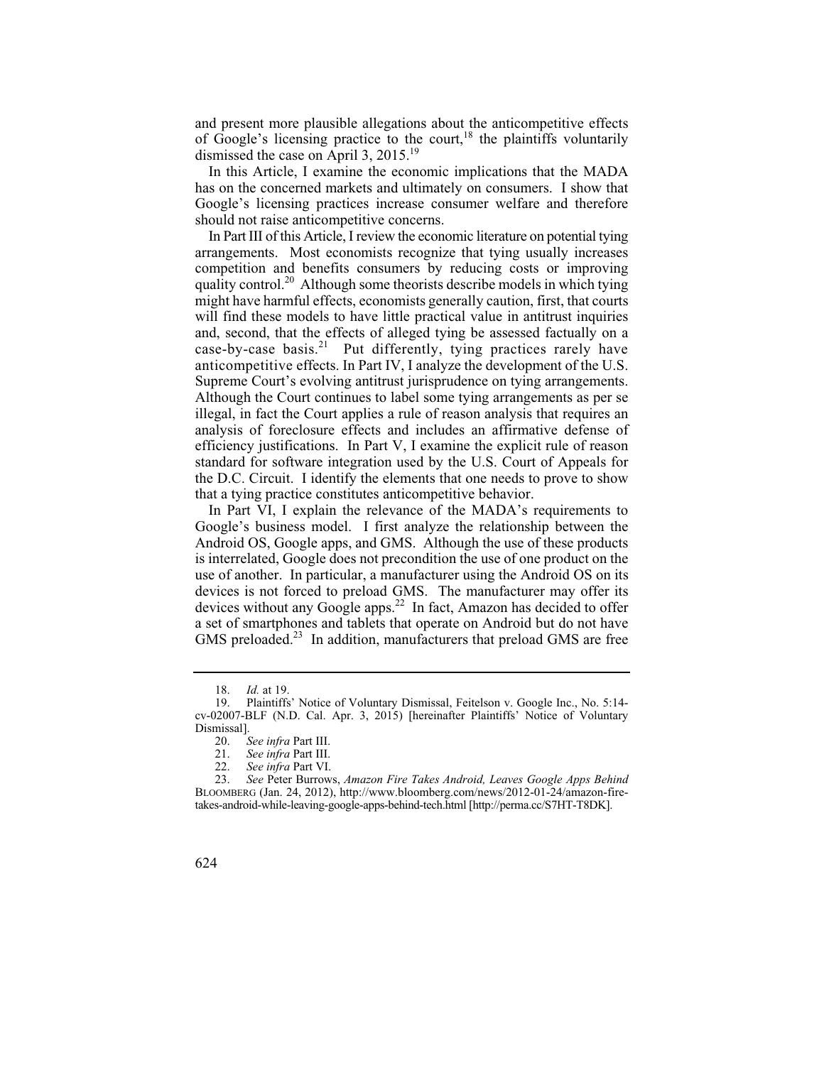and present more plausible allegations about the anticompetitive effects of Google's licensing practice to the court,  $18$  the plaintiffs voluntarily dismissed the case on April 3,  $2015.<sup>19</sup>$ 

In this Article, I examine the economic implications that the MADA has on the concerned markets and ultimately on consumers. I show that Google's licensing practices increase consumer welfare and therefore should not raise anticompetitive concerns.

 efficiency justifications. In Part V, I examine the explicit rule of reason In Part III of this Article, I review the economic literature on potential tying arrangements. Most economists recognize that tying usually increases competition and benefits consumers by reducing costs or improving quality control.<sup>20</sup> Although some theorists describe models in which tying might have harmful effects, economists generally caution, first, that courts will find these models to have little practical value in antitrust inquiries and, second, that the effects of alleged tying be assessed factually on a case-by-case basis.<sup>21</sup> Put differently, tying practices rarely have anticompetitive effects. In Part IV, I analyze the development of the U.S. Supreme Court's evolving antitrust jurisprudence on tying arrangements. Although the Court continues to label some tying arrangements as per se illegal, in fact the Court applies a rule of reason analysis that requires an analysis of foreclosure effects and includes an affirmative defense of standard for software integration used by the U.S. Court of Appeals for the D.C. Circuit. I identify the elements that one needs to prove to show that a tying practice constitutes anticompetitive behavior.

In Part VI, I explain the relevance of the MADA's requirements to Google's business model. I first analyze the relationship between the Android OS, Google apps, and GMS. Although the use of these products is interrelated, Google does not precondition the use of one product on the use of another. In particular, a manufacturer using the Android OS on its devices is not forced to preload GMS. The manufacturer may offer its devices without any Google apps.<sup>22</sup> In fact, Amazon has decided to offer a set of smartphones and tablets that operate on Android but do not have GMS preloaded.<sup>23</sup> In addition, manufacturers that preload GMS are free

 18. *Id.* at 19.

<sup>19.</sup> Plaintiffs' Notice of Voluntary Dismissal, Feitelson v. Google Inc., No. 5:14 cv-02007-BLF (N.D. Cal. Apr. 3, 2015) [hereinafter Plaintiffs' Notice of Voluntary Dismissal].<br>20. S

 20. *See infra* Part III.

 21. *See infra* Part III.

 22. *See infra* Part VI.

 23. *See* Peter Burrows, *Amazon Fire Takes Android, Leaves Google Apps Behind*  BLOOMBERG (Jan. 24, 2012), http://www.bloomberg.com/news/2012-01-24/amazon-firetakes-android-while-leaving-google-apps-behind-tech.html [http://perma.cc/S7HT-T8DK].

<sup>624</sup>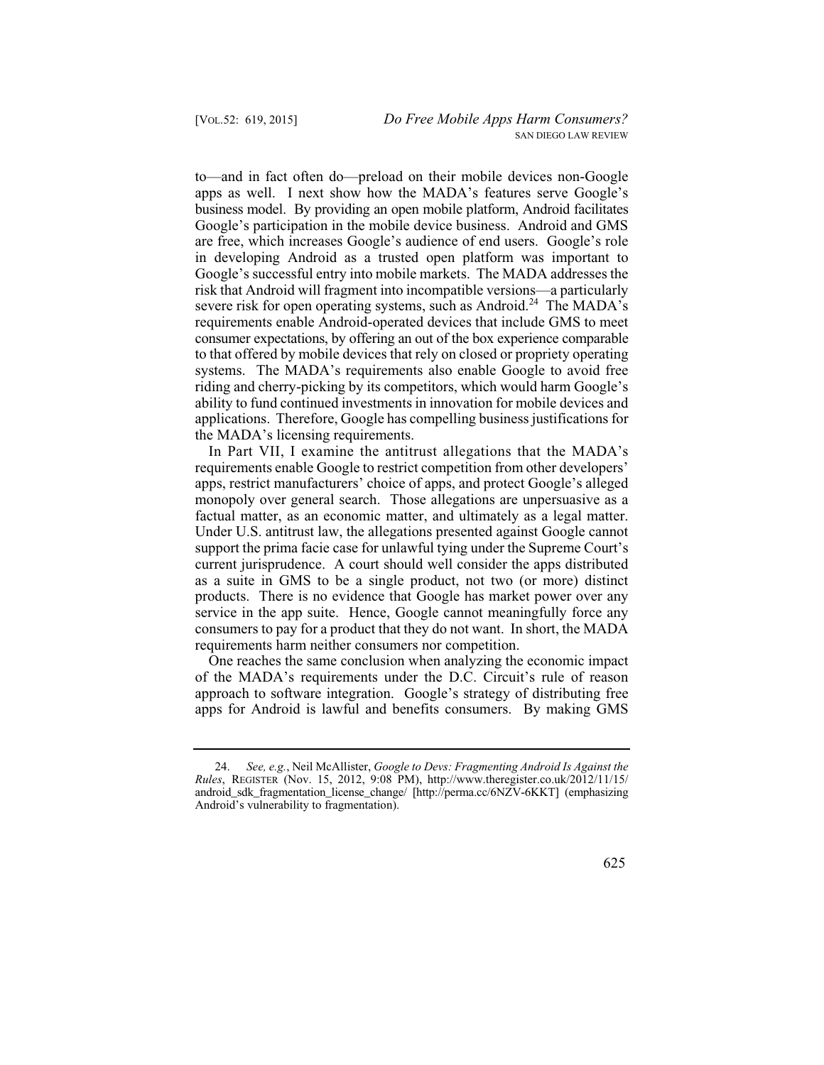to—and in fact often do—preload on their mobile devices non-Google apps as well. I next show how the MADA's features serve Google's business model. By providing an open mobile platform, Android facilitates Google's participation in the mobile device business. Android and GMS are free, which increases Google's audience of end users. Google's role in developing Android as a trusted open platform was important to Google's successful entry into mobile markets. The MADA addresses the risk that Android will fragment into incompatible versions—a particularly severe risk for open operating systems, such as Android.<sup>24</sup> The MADA's requirements enable Android-operated devices that include GMS to meet consumer expectations, by offering an out of the box experience comparable to that offered by mobile devices that rely on closed or propriety operating systems. The MADA's requirements also enable Google to avoid free riding and cherry-picking by its competitors, which would harm Google's ability to fund continued investments in innovation for mobile devices and applications. Therefore, Google has compelling business justifications for the MADA's licensing requirements.

In Part VII, I examine the antitrust allegations that the MADA's requirements enable Google to restrict competition from other developers' apps, restrict manufacturers' choice of apps, and protect Google's alleged monopoly over general search. Those allegations are unpersuasive as a factual matter, as an economic matter, and ultimately as a legal matter. Under U.S. antitrust law, the allegations presented against Google cannot support the prima facie case for unlawful tying under the Supreme Court's current jurisprudence. A court should well consider the apps distributed as a suite in GMS to be a single product, not two (or more) distinct products. There is no evidence that Google has market power over any service in the app suite. Hence, Google cannot meaningfully force any consumers to pay for a product that they do not want. In short, the MADA requirements harm neither consumers nor competition.

One reaches the same conclusion when analyzing the economic impact of the MADA's requirements under the D.C. Circuit's rule of reason approach to software integration. Google's strategy of distributing free apps for Android is lawful and benefits consumers. By making GMS

 24. *See, e.g.*, Neil McAllister, *Google to Devs: Fragmenting Android Is Against the Rules*, REGISTER (Nov. 15, 2012, 9:08 PM), http://www.theregister.co.uk/2012/11/15/ android\_sdk\_fragmentation\_license\_change/ [http://perma.cc/6NZV-6KKT] (emphasizing Android's vulnerability to fragmentation).

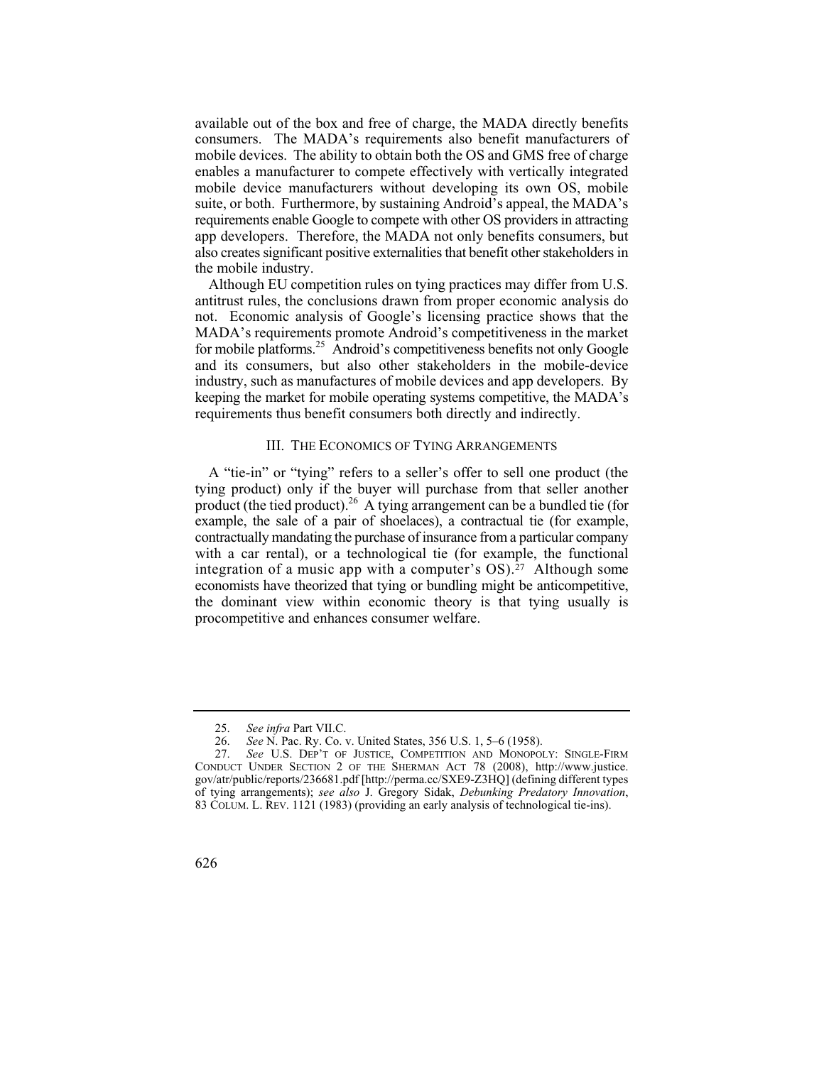available out of the box and free of charge, the MADA directly benefits consumers. The MADA's requirements also benefit manufacturers of mobile devices. The ability to obtain both the OS and GMS free of charge enables a manufacturer to compete effectively with vertically integrated mobile device manufacturers without developing its own OS, mobile suite, or both. Furthermore, by sustaining Android's appeal, the MADA's requirements enable Google to compete with other OS providers in attracting app developers. Therefore, the MADA not only benefits consumers, but also creates significant positive externalities that benefit other stakeholders in the mobile industry.

Although EU competition rules on tying practices may differ from U.S. antitrust rules, the conclusions drawn from proper economic analysis do not. Economic analysis of Google's licensing practice shows that the MADA's requirements promote Android's competitiveness in the market for mobile platforms.<sup>25</sup> Android's competitiveness benefits not only Google and its consumers, but also other stakeholders in the mobile-device industry, such as manufactures of mobile devices and app developers. By keeping the market for mobile operating systems competitive, the MADA's requirements thus benefit consumers both directly and indirectly.

#### III. THE ECONOMICS OF TYING ARRANGEMENTS

A "tie-in" or "tying" refers to a seller's offer to sell one product (the tying product) only if the buyer will purchase from that seller another product (the tied product).<sup>26</sup> A tying arrangement can be a bundled tie (for example, the sale of a pair of shoelaces), a contractual tie (for example, contractually mandating the purchase of insurance from a particular company with a car rental), or a technological tie (for example, the functional integration of a music app with a computer's  $OS$ ).<sup>27</sup> Although some economists have theorized that tying or bundling might be anticompetitive, the dominant view within economic theory is that tying usually is procompetitive and enhances consumer welfare.

 25. *See infra* Part VII.C.

 26. *See* N. Pac. Ry. Co. v. United States, 356 U.S. 1, 5–6 (1958).

 27. *See* U.S. DEP'T OF JUSTICE, COMPETITION AND MONOPOLY: SINGLE-FIRM CONDUCT UNDER SECTION 2 OF THE SHERMAN ACT 78 (2008), http://www.justice. gov/atr/public/reports/236681.pdf [http://perma.cc/SXE9-Z3HQ] (defining different types of tying arrangements); *see also* J. Gregory Sidak, *Debunking Predatory Innovation*, 83 COLUM. L. REV. 1121 (1983) (providing an early analysis of technological tie-ins).

<sup>626</sup>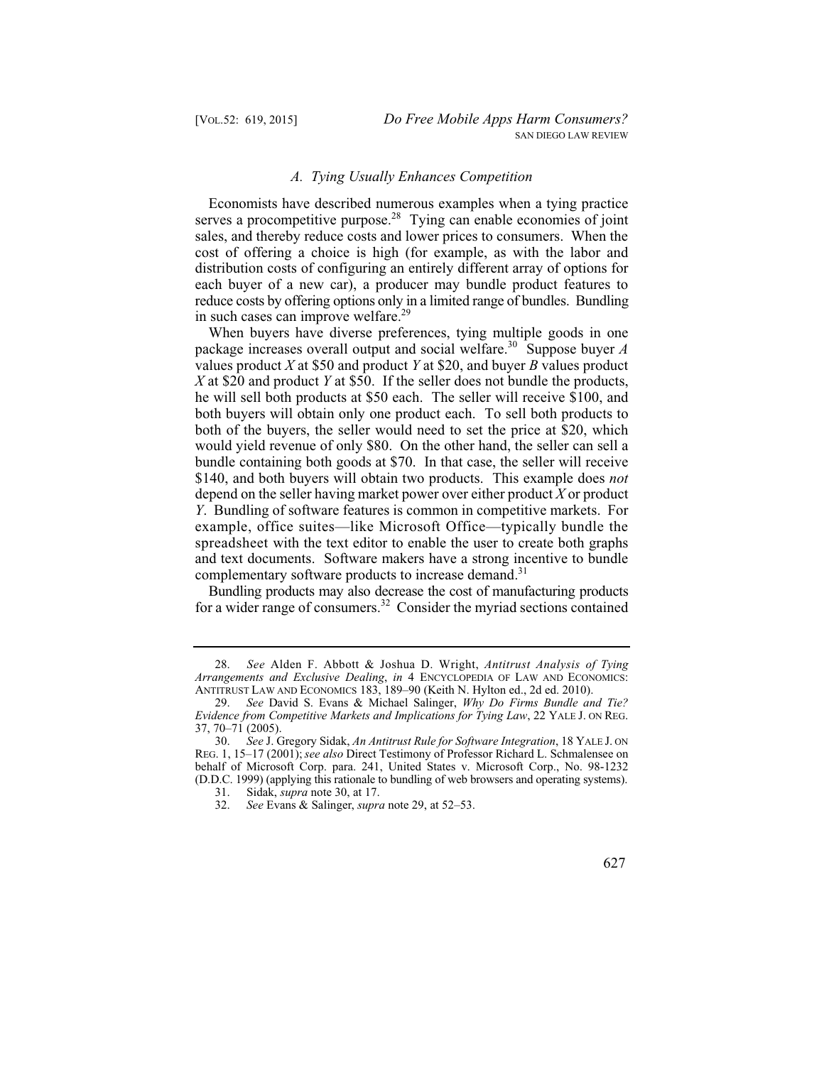#### *A. Tying Usually Enhances Competition*

Economists have described numerous examples when a tying practice serves a procompetitive purpose.<sup>28</sup> Tying can enable economies of joint sales, and thereby reduce costs and lower prices to consumers. When the cost of offering a choice is high (for example, as with the labor and distribution costs of configuring an entirely different array of options for each buyer of a new car), a producer may bundle product features to reduce costs by offering options only in a limited range of bundles. Bundling in such cases can improve welfare.<sup>29</sup>

When buyers have diverse preferences, tying multiple goods in one package increases overall output and social welfare.30 Suppose buyer *A*  values product *X* at \$50 and product *Y* at \$20, and buyer *B* values product *X* at \$20 and product *Y* at \$50. If the seller does not bundle the products, he will sell both products at \$50 each. The seller will receive \$100, and both buyers will obtain only one product each. To sell both products to both of the buyers, the seller would need to set the price at \$20, which would yield revenue of only \$80. On the other hand, the seller can sell a bundle containing both goods at \$70. In that case, the seller will receive \$140, and both buyers will obtain two products. This example does *not*  depend on the seller having market power over either product *X* or product *Y*. Bundling of software features is common in competitive markets. For example, office suites—like Microsoft Office—typically bundle the spreadsheet with the text editor to enable the user to create both graphs and text documents. Software makers have a strong incentive to bundle complementary software products to increase demand.<sup>31</sup>

Bundling products may also decrease the cost of manufacturing products for a wider range of consumers.<sup>32</sup> Consider the myriad sections contained

627

 28. *See* Alden F. Abbott & Joshua D. Wright, *Antitrust Analysis of Tying Arrangements and Exclusive Dealing*, *in* 4 ENCYCLOPEDIA OF LAW AND ECONOMICS: ANTITRUST LAW AND ECONOMICS 183, 189–90 (Keith N. Hylton ed., 2d ed. 2010).

 29. *See* David S. Evans & Michael Salinger, *Why Do Firms Bundle and Tie? Evidence from Competitive Markets and Implications for Tying Law*, 22 YALE J. ON REG. 37, 70–71 (2005).

 30. *See* J. Gregory Sidak, *An Antitrust Rule for Software Integration*, 18 YALE J. ON REG. 1, 15–17 (2001); *see also* Direct Testimony of Professor Richard L. Schmalensee on behalf of Microsoft Corp. para. 241, United States v. Microsoft Corp., No. 98-1232 (D.D.C. 1999) (applying this rationale to bundling of web browsers and operating systems).

 31. Sidak, *supra* note 30, at 17.

 32. *See* Evans & Salinger, *supra* note 29, at 52–53.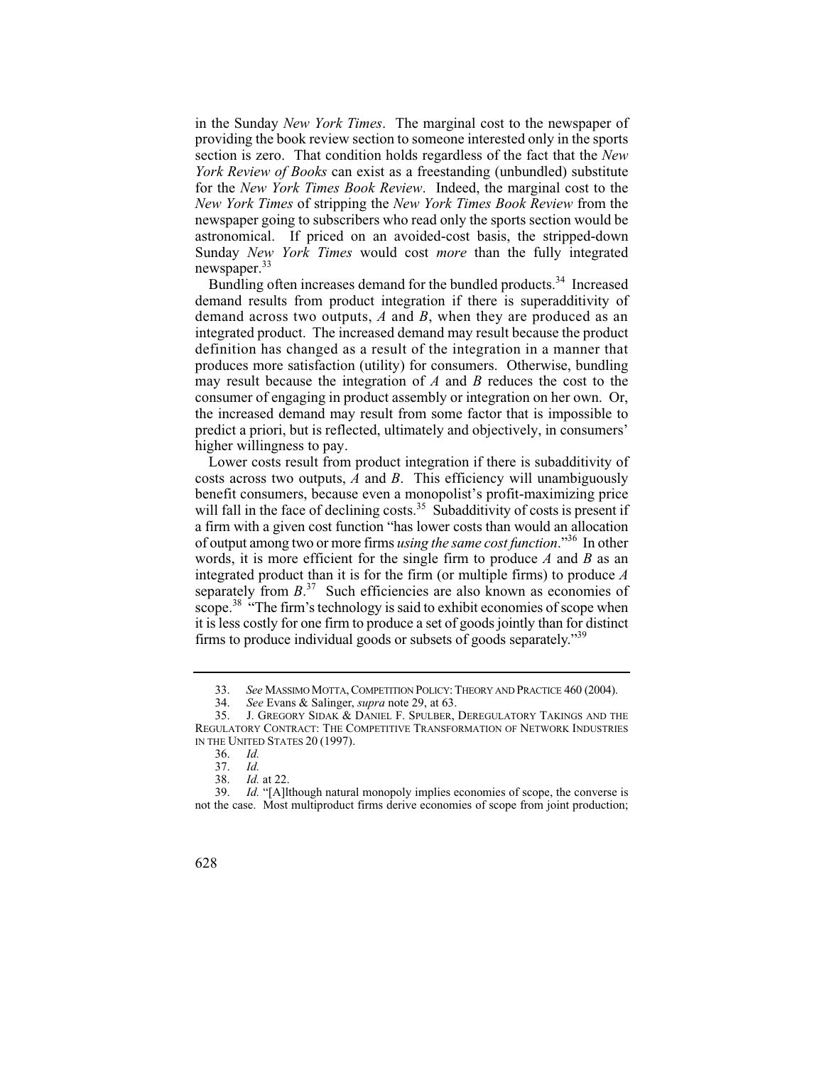in the Sunday *New York Times*. The marginal cost to the newspaper of providing the book review section to someone interested only in the sports section is zero. That condition holds regardless of the fact that the *New York Review of Books* can exist as a freestanding (unbundled) substitute for the *New York Times Book Review*. Indeed, the marginal cost to the *New York Times* of stripping the *New York Times Book Review* from the newspaper going to subscribers who read only the sports section would be astronomical. If priced on an avoided-cost basis, the stripped-down Sunday *New York Times* would cost *more* than the fully integrated newspaper.<sup>33</sup>

Bundling often increases demand for the bundled products.<sup>34</sup> Increased demand results from product integration if there is superadditivity of demand across two outputs, *A* and *B*, when they are produced as an integrated product. The increased demand may result because the product definition has changed as a result of the integration in a manner that produces more satisfaction (utility) for consumers. Otherwise, bundling may result because the integration of *A* and *B* reduces the cost to the consumer of engaging in product assembly or integration on her own. Or, the increased demand may result from some factor that is impossible to predict a priori, but is reflected, ultimately and objectively, in consumers' higher willingness to pay.

will fall in the face of declining costs.<sup>35</sup> Subadditivity of costs is present if of output among two or more firms *using the same cost function*."36 In other scope.<sup>38</sup> "The firm's technology is said to exhibit economies of scope when Lower costs result from product integration if there is subadditivity of costs across two outputs, *A* and *B*. This efficiency will unambiguously benefit consumers, because even a monopolist's profit-maximizing price a firm with a given cost function "has lower costs than would an allocation words, it is more efficient for the single firm to produce *A* and *B* as an integrated product than it is for the firm (or multiple firms) to produce *A*  separately from  $B$ <sup>37</sup> Such efficiencies are also known as economies of it is less costly for one firm to produce a set of goods jointly than for distinct firms to produce individual goods or subsets of goods separately."39

<sup>33.</sup> *See* MASSIMO MOTTA, COMPETITION POLICY: THEORY AND PRACTICE 460 (2004).<br>34. *See* Evans & Salinger. *supra* note 29. at 63.

 34. *See* Evans & Salinger, *supra* note 29, at 63.

 35. J. GREGORY SIDAK & DANIEL F. SPULBER, DEREGULATORY TAKINGS AND THE REGULATORY CONTRACT: THE COMPETITIVE TRANSFORMATION OF NETWORK INDUSTRIES IN THE UNITED STATES 20 (1997).

 36. *Id.*

Id. 37. *Id.*

 38. *Id.* at 22.

 39. *Id.* "[A]lthough natural monopoly implies economies of scope, the converse is not the case. Most multiproduct firms derive economies of scope from joint production;

<sup>628</sup>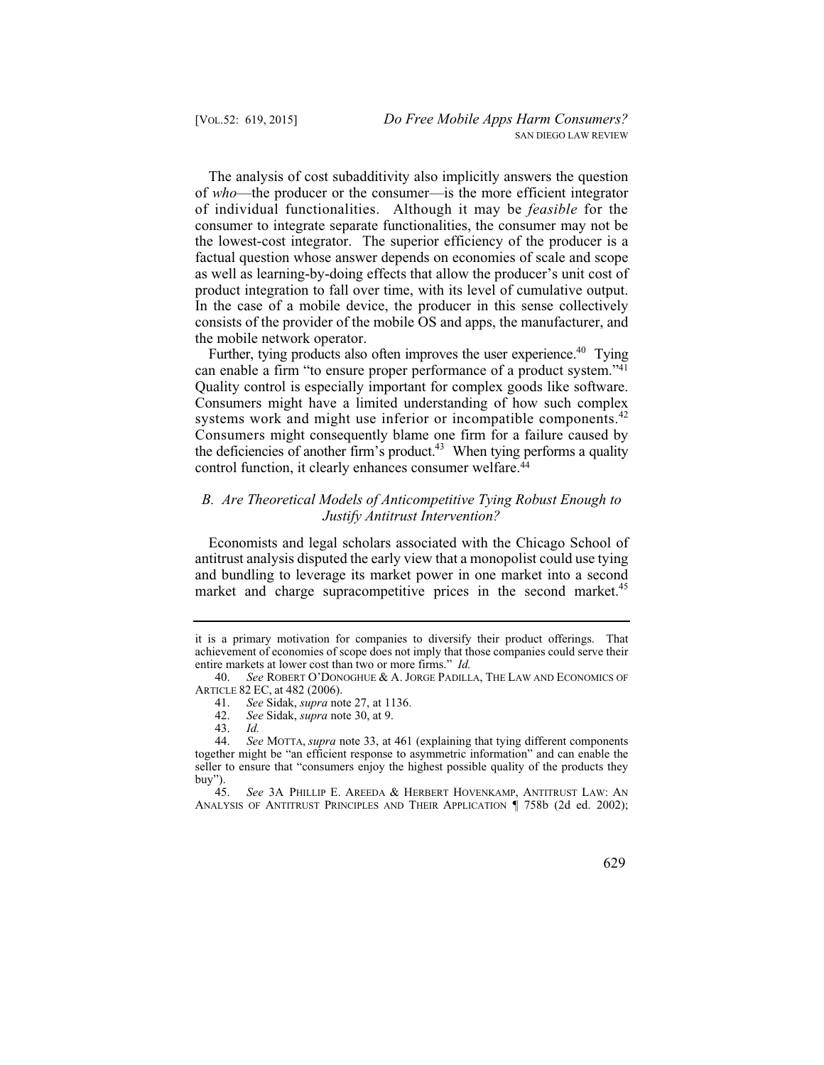The analysis of cost subadditivity also implicitly answers the question of *who*—the producer or the consumer—is the more efficient integrator of individual functionalities. Although it may be *feasible* for the consumer to integrate separate functionalities, the consumer may not be the lowest-cost integrator. The superior efficiency of the producer is a factual question whose answer depends on economies of scale and scope as well as learning-by-doing effects that allow the producer's unit cost of product integration to fall over time, with its level of cumulative output. In the case of a mobile device, the producer in this sense collectively consists of the provider of the mobile OS and apps, the manufacturer, and the mobile network operator.

Further, tying products also often improves the user experience.<sup>40</sup> Tying can enable a firm "to ensure proper performance of a product system."<sup>41</sup> Quality control is especially important for complex goods like software. Consumers might have a limited understanding of how such complex systems work and might use inferior or incompatible components.<sup>42</sup> Consumers might consequently blame one firm for a failure caused by the deficiencies of another firm's product.<sup>43</sup> When tying performs a quality control function, it clearly enhances consumer welfare.<sup>44</sup>

# *B. Are Theoretical Models of Anticompetitive Tying Robust Enough to Justify Antitrust Intervention?*

Economists and legal scholars associated with the Chicago School of antitrust analysis disputed the early view that a monopolist could use tying and bundling to leverage its market power in one market into a second market and charge supracompetitive prices in the second market.<sup>45</sup>

629

it is a primary motivation for companies to diversify their product offerings. That achievement of economies of scope does not imply that those companies could serve their entire markets at lower cost than two or more firms." *Id.*

 40. *See* ROBERT O'DONOGHUE & A. JORGE PADILLA, THE LAW AND ECONOMICS OF ARTICLE 82 EC, at 482 (2006).

 41. *See* Sidak, *supra* note 27, at 1136.

 42. *See* Sidak, *supra* note 30, at 9.

Id. 43. *Id.*

 44. *See* MOTTA, *supra* note 33, at 461 (explaining that tying different components together might be "an efficient response to asymmetric information" and can enable the seller to ensure that "consumers enjoy the highest possible quality of the products they buy").<br> $45.$ 

 45. *See* 3A PHILLIP E. AREEDA & HERBERT HOVENKAMP, ANTITRUST LAW: AN ANALYSIS OF ANTITRUST PRINCIPLES AND THEIR APPLICATION ¶ 758b (2d ed. 2002);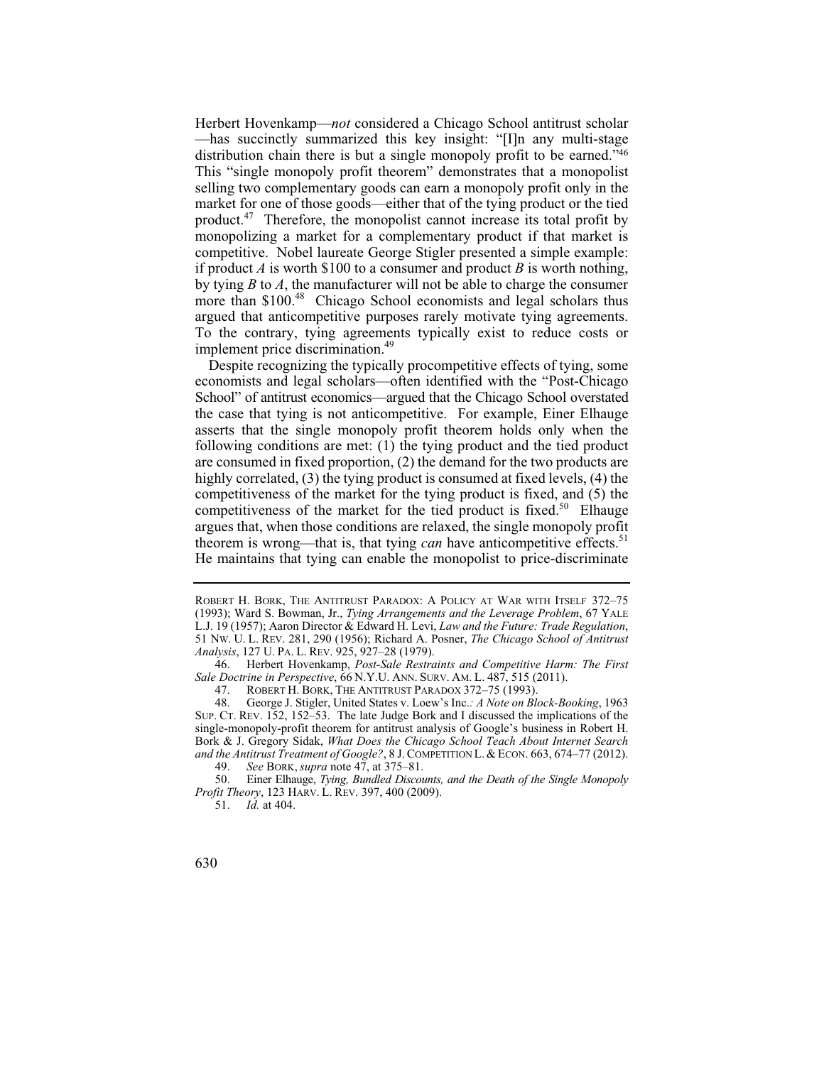selling two complementary goods can earn a monopoly profit only in the Herbert Hovenkamp—*not* considered a Chicago School antitrust scholar —has succinctly summarized this key insight: "[I]n any multi-stage distribution chain there is but a single monopoly profit to be earned."46 This "single monopoly profit theorem" demonstrates that a monopolist market for one of those goods—either that of the tying product or the tied product.47 Therefore, the monopolist cannot increase its total profit by monopolizing a market for a complementary product if that market is competitive. Nobel laureate George Stigler presented a simple example: if product *A* is worth \$100 to a consumer and product *B* is worth nothing, by tying *B* to *A*, the manufacturer will not be able to charge the consumer more than \$100.<sup>48</sup> Chicago School economists and legal scholars thus argued that anticompetitive purposes rarely motivate tying agreements. To the contrary, tying agreements typically exist to reduce costs or implement price discrimination.<sup>49</sup>

Despite recognizing the typically procompetitive effects of tying, some economists and legal scholars—often identified with the "Post-Chicago School" of antitrust economics—argued that the Chicago School overstated the case that tying is not anticompetitive. For example, Einer Elhauge asserts that the single monopoly profit theorem holds only when the following conditions are met: (1) the tying product and the tied product are consumed in fixed proportion, (2) the demand for the two products are highly correlated, (3) the tying product is consumed at fixed levels, (4) the competitiveness of the market for the tying product is fixed, and (5) the competitiveness of the market for the tied product is fixed.<sup>50</sup> Elhauge argues that, when those conditions are relaxed, the single monopoly profit theorem is wrong—that is, that tying *can* have anticompetitive effects.<sup>51</sup> He maintains that tying can enable the monopolist to price-discriminate

ROBERT H. BORK, THE ANTITRUST PARADOX: A POLICY AT WAR WITH ITSELF 372-75 (1993); Ward S. Bowman, Jr., *Tying Arrangements and the Leverage Problem*, 67 YALE L.J. 19 (1957); Aaron Director & Edward H. Levi, *Law and the Future: Trade Regulation*, 51 NW. U. L. REV. 281, 290 (1956); Richard A. Posner, *The Chicago School of Antitrust Analysis*, 127 U. PA. L. REV. 925, 927–28 (1979).

 46. Herbert Hovenkamp, *Post-Sale Restraints and Competitive Harm: The First Sale Doctrine in Perspective*, 66 N.Y.U. ANN. SURV. AM. L. 487, 515 (2011).

 47. ROBERT H. BORK, THE ANTITRUST PARADOX 372–75 (1993).

<sup>48.</sup> George J. Stigler, United States v. Loew's Inc.*: A Note on Block-Booking*, 1963 SUP. CT. REV. 152, 152–53. The late Judge Bork and I discussed the implications of the single-monopoly-profit theorem for antitrust analysis of Google's business in Robert H. Bork & J. Gregory Sidak, *What Does the Chicago School Teach About Internet Search and the Antitrust Treatment of Google?*, 8 J. COMPETITION L. & ECON. 663, 674–77 (2012).<br>49. See BORK. supra note 47. at 375–81.

 49. *See* BORK, *supra* note 47, at 375–81.

<sup>50.</sup>  50. Einer Elhauge, *Tying, Bundled Discounts, and the Death of the Single Monopoly Profit Theory*, 123 HARV. L. REV. 397, 400 (2009).

 51. *Id.* at 404.

<sup>630</sup>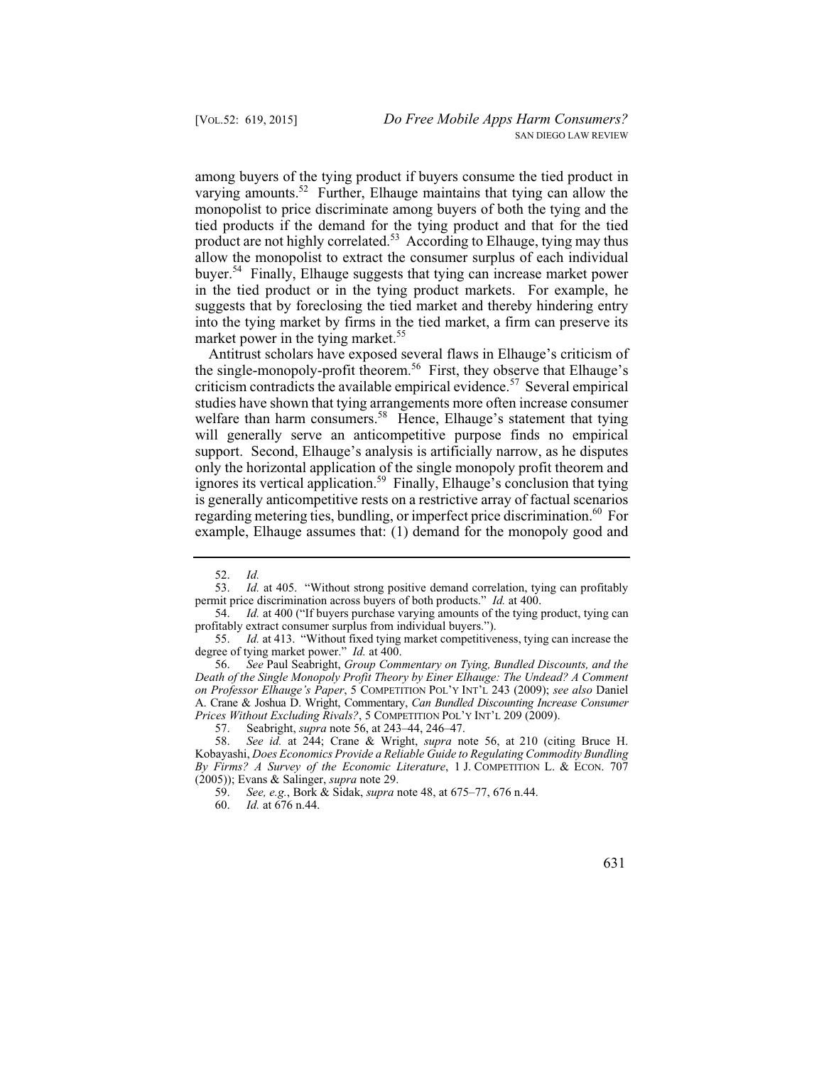among buyers of the tying product if buyers consume the tied product in varying amounts. $52$  Further, Elhauge maintains that tying can allow the monopolist to price discriminate among buyers of both the tying and the tied products if the demand for the tying product and that for the tied product are not highly correlated.<sup>53</sup> According to Elhauge, tying may thus allow the monopolist to extract the consumer surplus of each individual buyer.<sup>54</sup> Finally, Elhauge suggests that tying can increase market power in the tied product or in the tying product markets. For example, he suggests that by foreclosing the tied market and thereby hindering entry into the tying market by firms in the tied market, a firm can preserve its market power in the tying market.<sup>55</sup>

 only the horizontal application of the single monopoly profit theorem and Antitrust scholars have exposed several flaws in Elhauge's criticism of the single-monopoly-profit theorem.<sup>56</sup> First, they observe that Elhauge's criticism contradicts the available empirical evidence.<sup>57</sup> Several empirical studies have shown that tying arrangements more often increase consumer welfare than harm consumers.<sup>58</sup> Hence, Elhauge's statement that tying will generally serve an anticompetitive purpose finds no empirical support. Second, Elhauge's analysis is artificially narrow, as he disputes ignores its vertical application.<sup>59</sup> Finally, Elhauge's conclusion that tying is generally anticompetitive rests on a restrictive array of factual scenarios regarding metering ties, bundling, or imperfect price discrimination.<sup>60</sup> For example, Elhauge assumes that: (1) demand for the monopoly good and

Id. 52. *Id.*

 53. *Id.* at 405. "Without strong positive demand correlation, tying can profitably permit price discrimination across buyers of both products." *Id.* at 400.<br>54. *Id.* at 400 ("If buyers purchase varying amounts of the tying in

 54. *Id.* at 400 ("If buyers purchase varying amounts of the tying product, tying can profitably extract consumer surplus from individual buyers.").

 55. *Id.* at 413. "Without fixed tying market competitiveness, tying can increase the degree of tying market power." *Id.* at 400.

 56. *See* Paul Seabright, *Group Commentary on Tying, Bundled Discounts, and the Death of the Single Monopoly Profit Theory by Einer Elhauge: The Undead? A Comment on Professor Elhauge's Paper*, 5 COMPETITION POL'Y INT'L 243 (2009); *see also* Daniel A. Crane & Joshua D. Wright, Commentary, *Can Bundled Discounting Increase Consumer Prices Without Excluding Rivals?*, 5 COMPETITION POL'Y INT'L 209 (2009).

 57. Seabright, *supra* note 56, at 243–44, 246–47.

 58. *See id.* at 244; Crane & Wright, *supra* note 56, at 210 (citing Bruce H. Kobayashi, *Does Economics Provide a Reliable Guide to Regulating Commodity Bundling By Firms? A Survey of the Economic Literature*, 1 J. COMPETITION L. & ECON. 707 (2005)); Evans & Salinger, *supra* note 29.

 59. *See, e.g.*, Bork & Sidak, *supra* note 48, at 675–77, 676 n.44.

 60. *Id.* at 676 n.44.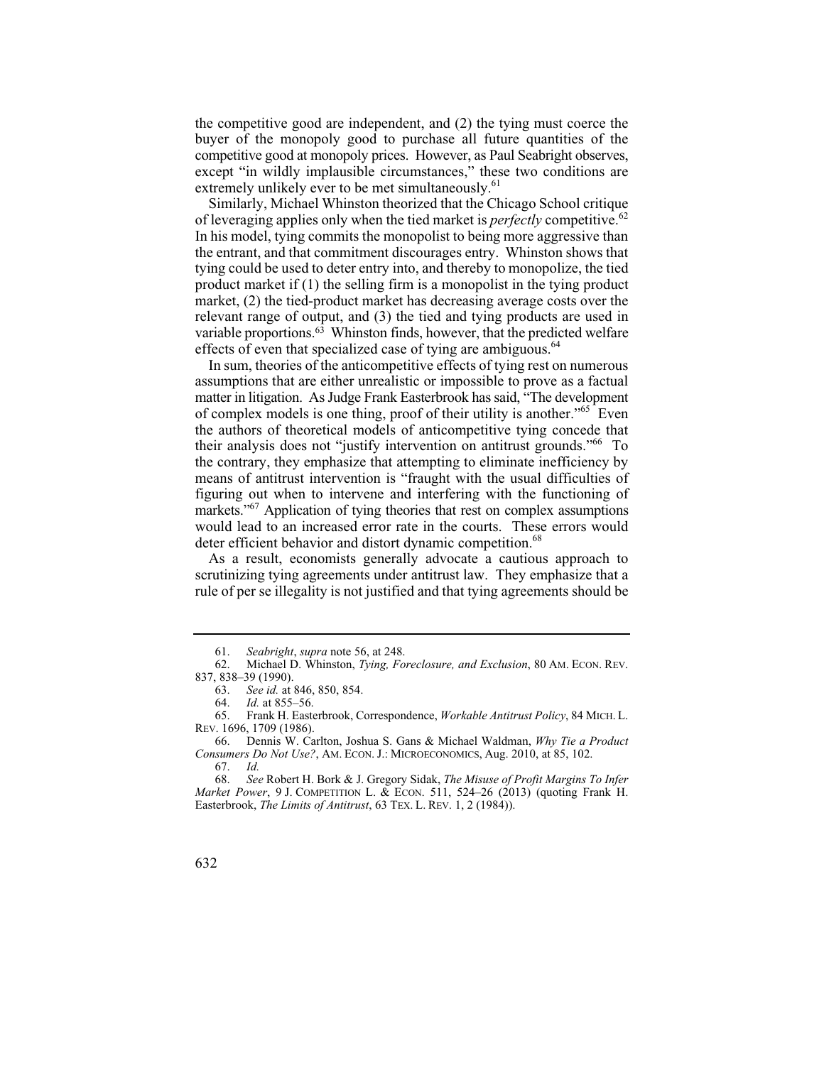buyer of the monopoly good to purchase all future quantities of the the competitive good are independent, and (2) the tying must coerce the competitive good at monopoly prices. However, as Paul Seabright observes, except "in wildly implausible circumstances," these two conditions are extremely unlikely ever to be met simultaneously.<sup>61</sup>

Similarly, Michael Whinston theorized that the Chicago School critique of leveraging applies only when the tied market is *perfectly* competitive.<sup>62</sup> In his model, tying commits the monopolist to being more aggressive than the entrant, and that commitment discourages entry. Whinston shows that tying could be used to deter entry into, and thereby to monopolize, the tied product market if (1) the selling firm is a monopolist in the tying product market, (2) the tied-product market has decreasing average costs over the relevant range of output, and (3) the tied and tying products are used in variable proportions.63 Whinston finds, however, that the predicted welfare effects of even that specialized case of tying are ambiguous.<sup>64</sup>

In sum, theories of the anticompetitive effects of tying rest on numerous assumptions that are either unrealistic or impossible to prove as a factual matter in litigation. As Judge Frank Easterbrook has said, "The development of complex models is one thing, proof of their utility is another."65 Even the authors of theoretical models of anticompetitive tying concede that their analysis does not "justify intervention on antitrust grounds."66 To the contrary, they emphasize that attempting to eliminate inefficiency by means of antitrust intervention is "fraught with the usual difficulties of figuring out when to intervene and interfering with the functioning of markets."<sup>67</sup> Application of tying theories that rest on complex assumptions would lead to an increased error rate in the courts. These errors would deter efficient behavior and distort dynamic competition.<sup>68</sup>

As a result, economists generally advocate a cautious approach to scrutinizing tying agreements under antitrust law. They emphasize that a rule of per se illegality is not justified and that tying agreements should be

 61. *Seabright*, *supra* note 56, at 248.

<sup>62.</sup> Michael D. Whinston, *Tying, Foreclosure, and Exclusion*, 80 AM. ECON. REV. 837, 838–39 (1990).

 63. *See id.* at 846, 850, 854.

 64. *Id.* at 855–56.

<sup>65.</sup> Frank H. Easterbrook, Correspondence, *Workable Antitrust Policy*, 84 MICH. L. REV. 1696, 1709 (1986).

<sup>66.</sup> Dennis W. Carlton, Joshua S. Gans & Michael Waldman, *Why Tie a Product Consumers Do Not Use?*, AM. ECON. J.: MICROECONOMICS, Aug. 2010, at 85, 102.

Id. 67. *Id.*

 68. *See* Robert H. Bork & J. Gregory Sidak, *The Misuse of Profit Margins To Infer Market Power*, 9 J. COMPETITION L. & ECON. 511, 524–26 (2013) (quoting Frank H. Easterbrook, *The Limits of Antitrust*, 63 TEX. L. REV. 1, 2 (1984)).

<sup>632</sup>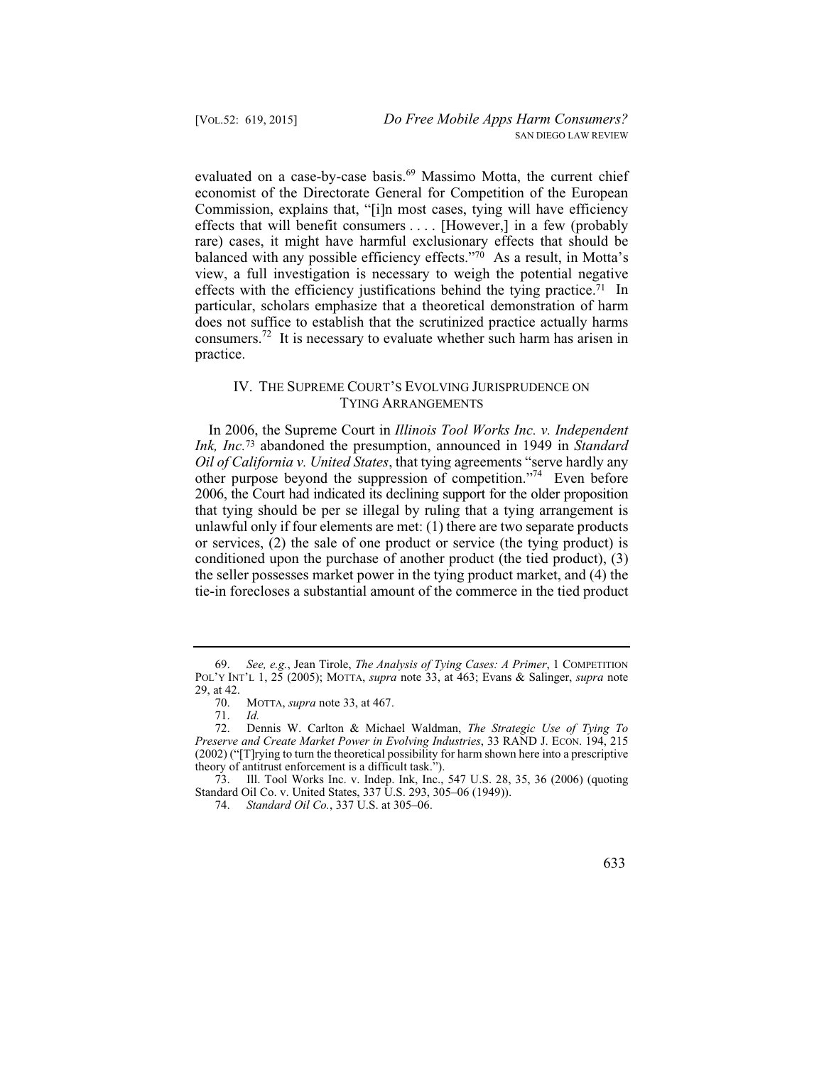evaluated on a case-by-case basis.<sup>69</sup> Massimo Motta, the current chief economist of the Directorate General for Competition of the European Commission, explains that, "[i]n most cases, tying will have efficiency effects that will benefit consumers . . . . [However,] in a few (probably rare) cases, it might have harmful exclusionary effects that should be balanced with any possible efficiency effects."70 As a result, in Motta's view, a full investigation is necessary to weigh the potential negative effects with the efficiency justifications behind the tying practice.<sup>71</sup> In particular, scholars emphasize that a theoretical demonstration of harm does not suffice to establish that the scrutinized practice actually harms consumers.72 It is necessary to evaluate whether such harm has arisen in practice.

#### IV. THE SUPREME COURT'S EVOLVING JURISPRUDENCE ON TYING ARRANGEMENTS

In 2006, the Supreme Court in *Illinois Tool Works Inc. v. Independent Ink, Inc.*73 abandoned the presumption, announced in 1949 in *Standard Oil of California v. United States*, that tying agreements "serve hardly any other purpose beyond the suppression of competition."74 Even before 2006, the Court had indicated its declining support for the older proposition that tying should be per se illegal by ruling that a tying arrangement is unlawful only if four elements are met: (1) there are two separate products or services, (2) the sale of one product or service (the tying product) is conditioned upon the purchase of another product (the tied product), (3) the seller possesses market power in the tying product market, and (4) the tie-in forecloses a substantial amount of the commerce in the tied product

 69. *See, e.g.*, Jean Tirole, *The Analysis of Tying Cases: A Primer*, 1 COMPETITION POL'Y INT'L 1, 25 (2005); MOTTA, *supra* note 33, at 463; Evans & Salinger, *supra* note 29, at 42.

 70. MOTTA, *supra* note 33, at 467.

 71. *Id.* 

<sup>72.</sup> Dennis W. Carlton & Michael Waldman, *The Strategic Use of Tying To Preserve and Create Market Power in Evolving Industries*, 33 RAND J. ECON. 194, 215 (2002) ("[T]rying to turn the theoretical possibility for harm shown here into a prescriptive theory of antitrust enforcement is a difficult task.").

<sup>73.</sup> Ill. Tool Works Inc. v. Indep. Ink, Inc., 547 U.S. 28, 35, 36 (2006) (quoting Standard Oil Co. v. United States, 337 U.S. 293, 305–06 (1949)).

 74. *Standard Oil Co.*, 337 U.S. at 305–06.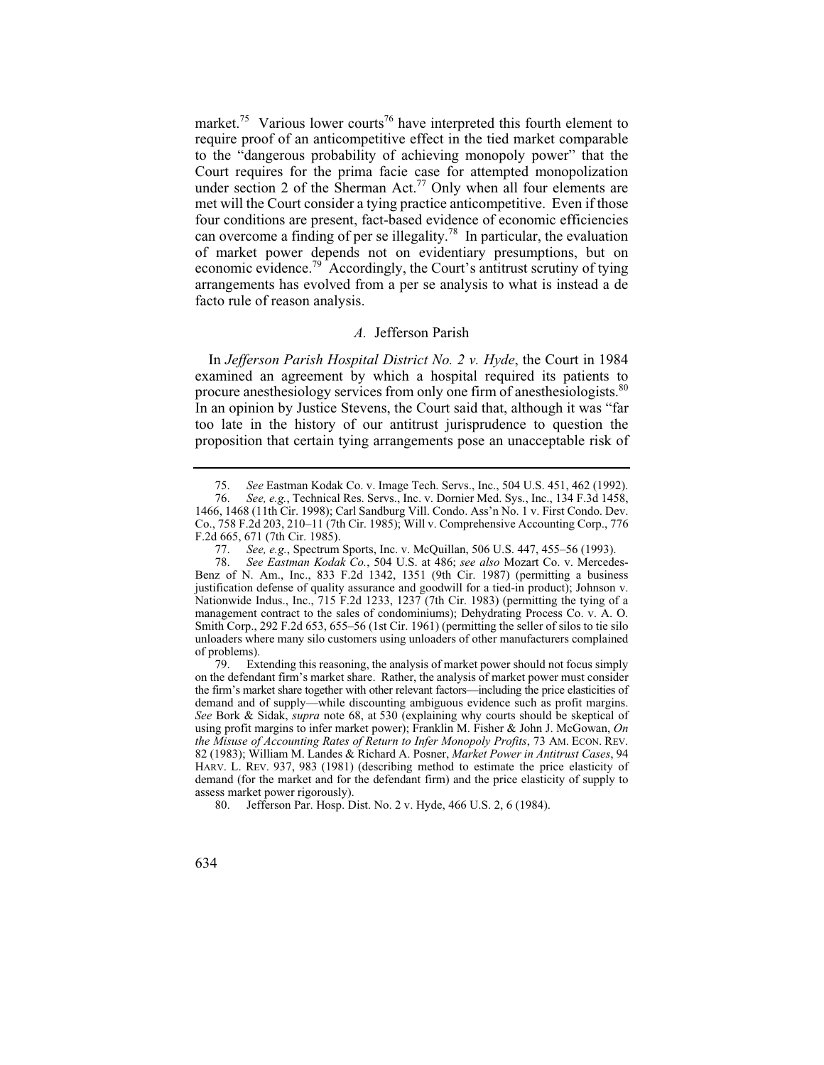market.<sup>75</sup> Various lower courts<sup>76</sup> have interpreted this fourth element to require proof of an anticompetitive effect in the tied market comparable to the "dangerous probability of achieving monopoly power" that the Court requires for the prima facie case for attempted monopolization under section 2 of the Sherman Act.<sup>77</sup> Only when all four elements are met will the Court consider a tying practice anticompetitive. Even if those four conditions are present, fact-based evidence of economic efficiencies can overcome a finding of per se illegality.<sup>78</sup> In particular, the evaluation of market power depends not on evidentiary presumptions, but on economic evidence.79 Accordingly, the Court's antitrust scrutiny of tying arrangements has evolved from a per se analysis to what is instead a de facto rule of reason analysis.

#### *A.* Jefferson Parish

In *Jefferson Parish Hospital District No. 2 v. Hyde*, the Court in 1984 examined an agreement by which a hospital required its patients to procure anesthesiology services from only one firm of anesthesiologists.<sup>80</sup> In an opinion by Justice Stevens, the Court said that, although it was "far too late in the history of our antitrust jurisprudence to question the proposition that certain tying arrangements pose an unacceptable risk of

 75. *See* Eastman Kodak Co. v. Image Tech. Servs., Inc., 504 U.S. 451, 462 (1992).

 76. *See, e.g.*, Technical Res. Servs., Inc. v. Dornier Med. Sys., Inc., 134 F.3d 1458, 1466, 1468 (11th Cir. 1998); Carl Sandburg Vill. Condo. Ass'n No. 1 v. First Condo. Dev. Co., 758 F.2d 203, 210–11 (7th Cir. 1985); Will v. Comprehensive Accounting Corp., 776 F.2d 665, 671 (7th Cir. 1985).<br>77. See, e.g., Spectrum

 77. *See, e.g.*, Spectrum Sports, Inc. v. McQuillan, 506 U.S. 447, 455–56 (1993).

 78. *See Eastman Kodak Co.*, 504 U.S. at 486; *see also* Mozart Co. v. Mercedes-Benz of N. Am., Inc., 833 F.2d 1342, 1351 (9th Cir. 1987) (permitting a business justification defense of quality assurance and goodwill for a tied-in product); Johnson v. Nationwide Indus., Inc., 715 F.2d 1233, 1237 (7th Cir. 1983) (permitting the tying of a management contract to the sales of condominiums); Dehydrating Process Co. v. A. O. Smith Corp., 292 F.2d 653, 655–56 (1st Cir. 1961) (permitting the seller of silos to tie silo unloaders where many silo customers using unloaders of other manufacturers complained of problems).<br>79. Ex

 HARV. L. REV. 937, 983 (1981) (describing method to estimate the price elasticity of demand (for the market and for the defendant firm) and the price elasticity of supply to Extending this reasoning, the analysis of market power should not focus simply on the defendant firm's market share. Rather, the analysis of market power must consider the firm's market share together with other relevant factors—including the price elasticities of demand and of supply—while discounting ambiguous evidence such as profit margins. *See* Bork & Sidak, *supra* note 68, at 530 (explaining why courts should be skeptical of using profit margins to infer market power); Franklin M. Fisher & John J. McGowan, *On the Misuse of Accounting Rates of Return to Infer Monopoly Profits*, 73 AM. ECON. REV. 82 (1983); William M. Landes & Richard A. Posner, *Market Power in Antitrust Cases*, 94 assess market power rigorously).

<sup>80.</sup> Jefferson Par. Hosp. Dist. No. 2 v. Hyde, 466 U.S. 2, 6 (1984).

<sup>634</sup>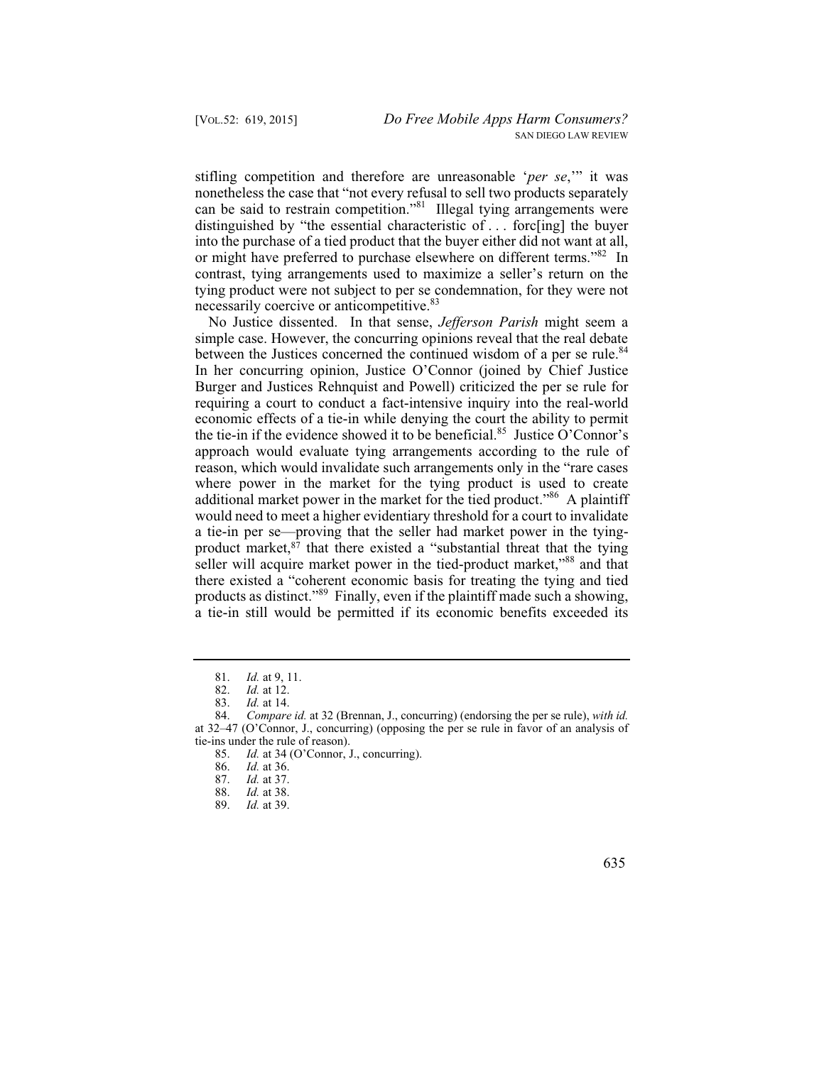stifling competition and therefore are unreasonable '*per se*,'" it was nonetheless the case that "not every refusal to sell two products separately can be said to restrain competition."81 Illegal tying arrangements were distinguished by "the essential characteristic of . . . forc[ing] the buyer into the purchase of a tied product that the buyer either did not want at all, or might have preferred to purchase elsewhere on different terms."<sup>82</sup> In contrast, tying arrangements used to maximize a seller's return on the tying product were not subject to per se condemnation, for they were not necessarily coercive or anticompetitive.<sup>83</sup>

No Justice dissented. In that sense, *Jefferson Parish* might seem a simple case. However, the concurring opinions reveal that the real debate between the Justices concerned the continued wisdom of a per se rule.<sup>84</sup> In her concurring opinion, Justice O'Connor (joined by Chief Justice Burger and Justices Rehnquist and Powell) criticized the per se rule for requiring a court to conduct a fact-intensive inquiry into the real-world economic effects of a tie-in while denying the court the ability to permit the tie-in if the evidence showed it to be beneficial.<sup>85</sup> Justice O'Connor's approach would evaluate tying arrangements according to the rule of reason, which would invalidate such arrangements only in the "rare cases where power in the market for the tying product is used to create additional market power in the market for the tied product."<sup>86</sup> A plaintiff would need to meet a higher evidentiary threshold for a court to invalidate a tie-in per se—proving that the seller had market power in the tyingproduct market, $87$  that there existed a "substantial threat that the tying seller will acquire market power in the tied-product market,"88 and that there existed a "coherent economic basis for treating the tying and tied products as distinct."89 Finally, even if the plaintiff made such a showing, a tie-in still would be permitted if its economic benefits exceeded its

 81. *Id.* at 9, 11.

 82. *Id.* at 12.

 83. *Id.* at 14.

 84. *Compare id.* at 32 (Brennan, J., concurring) (endorsing the per se rule), *with id.*  at 32–47 (O'Connor, J., concurring) (opposing the per se rule in favor of an analysis of tie-ins under the rule of reason).

 85. *Id.* at 34 (O'Connor, J., concurring).

 86. *Id.* at 36.

 87. *Id.* at 37.

 88. *Id.* at 38.

 89. *Id.* at 39.

 <sup>635</sup>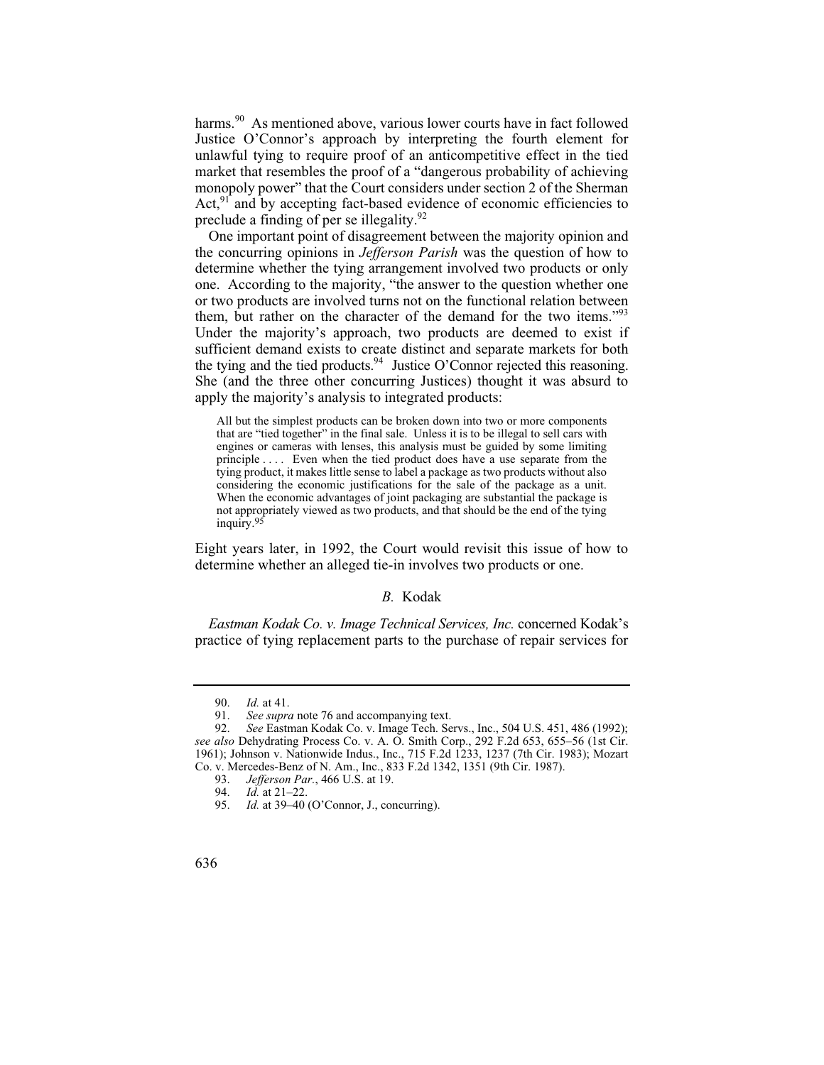harms.<sup>90</sup> As mentioned above, various lower courts have in fact followed Justice O'Connor's approach by interpreting the fourth element for unlawful tying to require proof of an anticompetitive effect in the tied market that resembles the proof of a "dangerous probability of achieving monopoly power" that the Court considers under section 2 of the Sherman Act, $91$  and by accepting fact-based evidence of economic efficiencies to preclude a finding of per se illegality.<sup>92</sup>

One important point of disagreement between the majority opinion and the concurring opinions in *Jefferson Parish* was the question of how to determine whether the tying arrangement involved two products or only one. According to the majority, "the answer to the question whether one or two products are involved turns not on the functional relation between them, but rather on the character of the demand for the two items."<sup>93</sup> Under the majority's approach, two products are deemed to exist if sufficient demand exists to create distinct and separate markets for both the tying and the tied products.<sup>94</sup> Justice O'Connor rejected this reasoning. She (and the three other concurring Justices) thought it was absurd to apply the majority's analysis to integrated products:

 not appropriately viewed as two products, and that should be the end of the tying All but the simplest products can be broken down into two or more components that are "tied together" in the final sale. Unless it is to be illegal to sell cars with engines or cameras with lenses, this analysis must be guided by some limiting principle . . . . Even when the tied product does have a use separate from the tying product, it makes little sense to label a package as two products without also considering the economic justifications for the sale of the package as a unit. When the economic advantages of joint packaging are substantial the package is inquiry.95

Eight years later, in 1992, the Court would revisit this issue of how to determine whether an alleged tie-in involves two products or one.

#### *B.* Kodak

*Eastman Kodak Co. v. Image Technical Services, Inc.* concerned Kodak's practice of tying replacement parts to the purchase of repair services for

 90. *Id.* at 41.

 91. *See supra* note 76 and accompanying text.

 92. *See* Eastman Kodak Co. v. Image Tech. Servs., Inc., 504 U.S. 451, 486 (1992); *see also* Dehydrating Process Co. v. A. O. Smith Corp., 292 F.2d 653, 655–56 (1st Cir. 1961); Johnson v. Nationwide Indus., Inc., 715 F.2d 1233, 1237 (7th Cir. 1983); Mozart Co. v. Mercedes-Benz of N. Am., Inc., 833 F.2d 1342, 1351 (9th Cir. 1987).

 93. *Jefferson Par.*, 466 U.S. at 19.

<sup>94.</sup> *Id.* at 21–22.

<sup>95.</sup> *Id.* at 39–40 (O'Connor, J., concurring).

<sup>636</sup>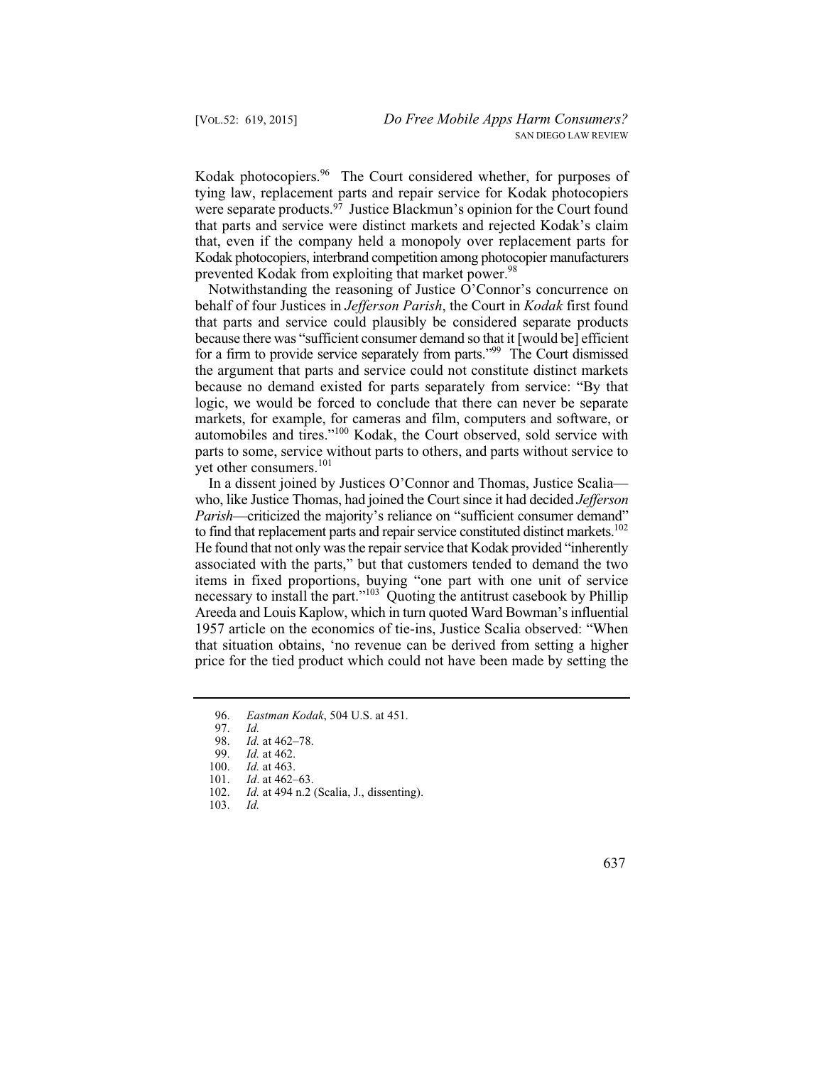Kodak photocopiers.<sup>96</sup> The Court considered whether, for purposes of tying law, replacement parts and repair service for Kodak photocopiers were separate products.<sup>97</sup> Justice Blackmun's opinion for the Court found that parts and service were distinct markets and rejected Kodak's claim that, even if the company held a monopoly over replacement parts for Kodak photocopiers, interbrand competition among photocopier manufacturers prevented Kodak from exploiting that market power.<sup>98</sup>

Notwithstanding the reasoning of Justice O'Connor's concurrence on behalf of four Justices in *Jefferson Parish*, the Court in *Kodak* first found that parts and service could plausibly be considered separate products because there was "sufficient consumer demand so that it [would be] efficient for a firm to provide service separately from parts."99 The Court dismissed the argument that parts and service could not constitute distinct markets because no demand existed for parts separately from service: "By that logic, we would be forced to conclude that there can never be separate markets, for example, for cameras and film, computers and software, or automobiles and tires."100 Kodak, the Court observed, sold service with parts to some, service without parts to others, and parts without service to yet other consumers.<sup>101</sup>

 Areeda and Louis Kaplow, which in turn quoted Ward Bowman's influential In a dissent joined by Justices O'Connor and Thomas, Justice Scalia who, like Justice Thomas, had joined the Court since it had decided *Jefferson Parish—criticized the majority's reliance on "sufficient consumer demand"* to find that replacement parts and repair service constituted distinct markets.<sup>102</sup> He found that not only was the repair service that Kodak provided "inherently associated with the parts," but that customers tended to demand the two items in fixed proportions, buying "one part with one unit of service necessary to install the part."<sup>103</sup> Quoting the antitrust casebook by Phillip 1957 article on the economics of tie-ins, Justice Scalia observed: "When that situation obtains, 'no revenue can be derived from setting a higher price for the tied product which could not have been made by setting the

- 101. *Id*. at 462–63.
- 102. *Id.* at 494 n.2 (Scalia, J., dissenting).
- Id. 103. *Id.*
- 637

 96. *Eastman Kodak*, 504 U.S. at 451.

Id. 97. *Id.*

 98. *Id.* at 462–78.

 99. *Id.* at 462.

 100. *Id.* at 463.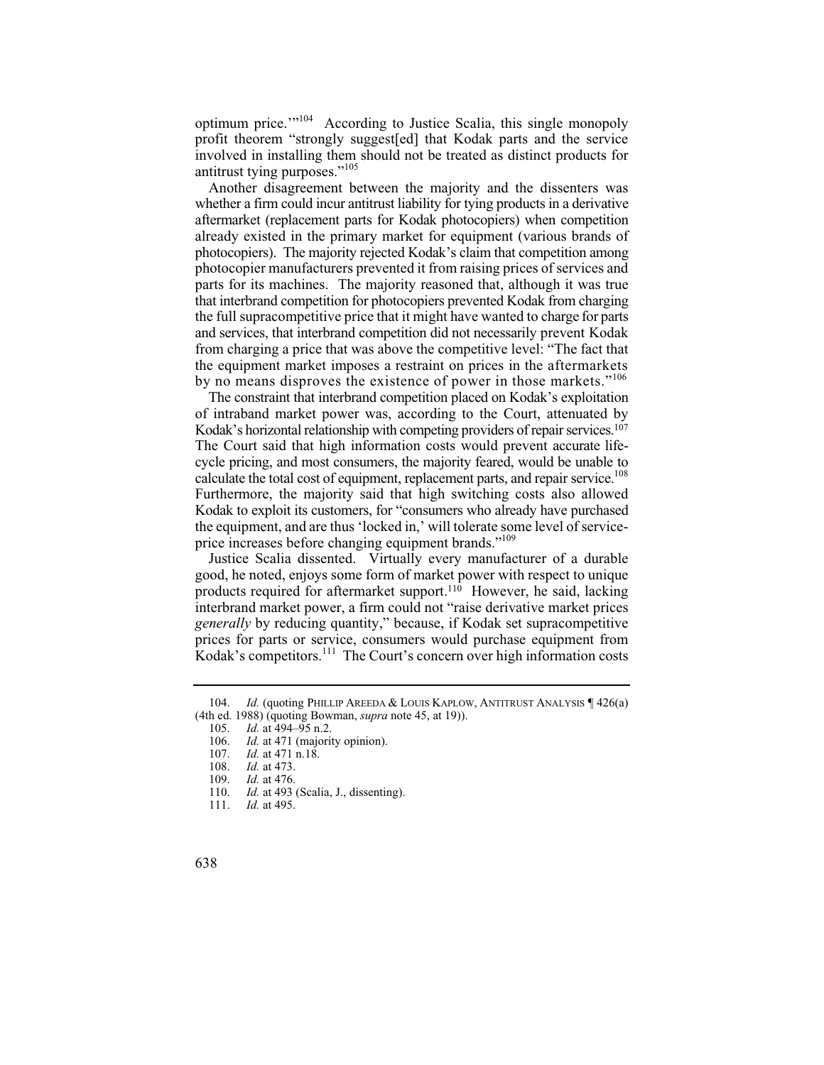optimum price.'"104 According to Justice Scalia, this single monopoly profit theorem "strongly suggest[ed] that Kodak parts and the service involved in installing them should not be treated as distinct products for antitrust tying purposes."<sup>105</sup>

 the full supracompetitive price that it might have wanted to charge for parts and services, that interbrand competition did not necessarily prevent Kodak Another disagreement between the majority and the dissenters was whether a firm could incur antitrust liability for tying products in a derivative aftermarket (replacement parts for Kodak photocopiers) when competition already existed in the primary market for equipment (various brands of photocopiers). The majority rejected Kodak's claim that competition among photocopier manufacturers prevented it from raising prices of services and parts for its machines. The majority reasoned that, although it was true that interbrand competition for photocopiers prevented Kodak from charging from charging a price that was above the competitive level: "The fact that the equipment market imposes a restraint on prices in the aftermarkets by no means disproves the existence of power in those markets."<sup>106</sup>

 Kodak to exploit its customers, for "consumers who already have purchased The constraint that interbrand competition placed on Kodak's exploitation of intraband market power was, according to the Court, attenuated by Kodak's horizontal relationship with competing providers of repair services.<sup>107</sup> The Court said that high information costs would prevent accurate lifecycle pricing, and most consumers, the majority feared, would be unable to calculate the total cost of equipment, replacement parts, and repair service.<sup>108</sup> Furthermore, the majority said that high switching costs also allowed the equipment, and are thus 'locked in,' will tolerate some level of serviceprice increases before changing equipment brands."<sup>109</sup>

Justice Scalia dissented. Virtually every manufacturer of a durable good, he noted, enjoys some form of market power with respect to unique products required for aftermarket support.110 However, he said, lacking interbrand market power, a firm could not "raise derivative market prices *generally* by reducing quantity," because, if Kodak set supracompetitive prices for parts or service, consumers would purchase equipment from Kodak's competitors.<sup>111</sup> The Court's concern over high information costs

<sup>104.</sup> *Id.* (quoting PHILLIP AREEDA & LOUIS KAPLOW, ANTITRUST ANALYSIS 1426(a) (4th ed. 1988) (quoting Bowman, *supra* note 45, at 19)).

 105. *Id.* at 494–95 n.2.

 106. *Id.* at 471 (majority opinion).

 107. *Id.* at 471 n.18.

 108. *Id.* at 473.

 109. *Id.* at 476.

 110. *Id.* at 493 (Scalia, J., dissenting).

 111. *Id.* at 495.

<sup>638</sup>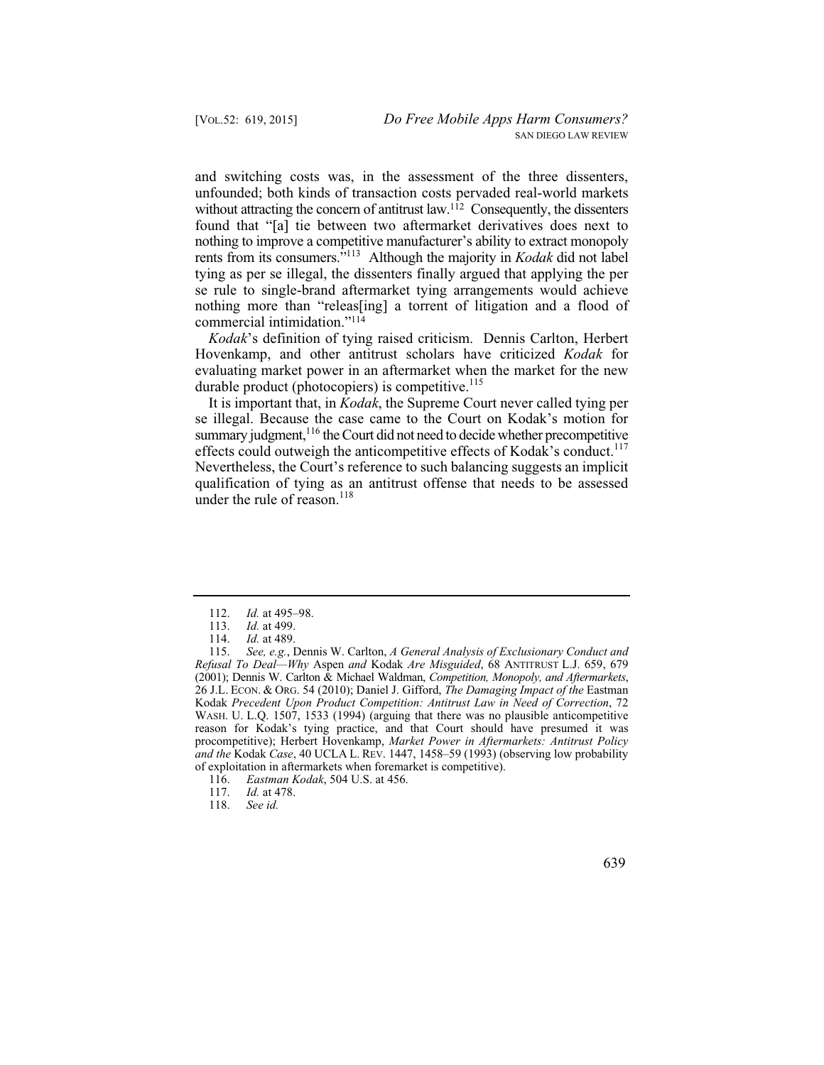and switching costs was, in the assessment of the three dissenters, unfounded; both kinds of transaction costs pervaded real-world markets without attracting the concern of antitrust law.<sup>112</sup> Consequently, the dissenters found that "[a] tie between two aftermarket derivatives does next to nothing to improve a competitive manufacturer's ability to extract monopoly rents from its consumers."113 Although the majority in *Kodak* did not label tying as per se illegal, the dissenters finally argued that applying the per se rule to single-brand aftermarket tying arrangements would achieve nothing more than "releas[ing] a torrent of litigation and a flood of commercial intimidation."114

*Kodak*'s definition of tying raised criticism. Dennis Carlton, Herbert Hovenkamp, and other antitrust scholars have criticized *Kodak* for evaluating market power in an aftermarket when the market for the new durable product (photocopiers) is competitive. $115$ 

It is important that, in *Kodak*, the Supreme Court never called tying per se illegal. Because the case came to the Court on Kodak's motion for summary judgment,<sup>116</sup> the Court did not need to decide whether precompetitive effects could outweigh the anticompetitive effects of Kodak's conduct.<sup>117</sup> Nevertheless, the Court's reference to such balancing suggests an implicit qualification of tying as an antitrust offense that needs to be assessed under the rule of reason. $^{118}$ 

639

 112. *Id.* at 495–98.

 113. *Id.* at 499.

 114. *Id.* at 489.

 115. *See, e.g.*, Dennis W. Carlton, *A General Analysis of Exclusionary Conduct and Refusal To Deal—Why* Aspen *and* Kodak *Are Misguided*, 68 ANTITRUST L.J. 659, 679 (2001); Dennis W. Carlton & Michael Waldman, *Competition, Monopoly, and Aftermarkets*, 26 J.L. ECON. & ORG. 54 (2010); Daniel J. Gifford, *The Damaging Impact of the* Eastman Kodak *Precedent Upon Product Competition: Antitrust Law in Need of Correction*, 72 WASH. U. L.Q. 1507, 1533 (1994) (arguing that there was no plausible anticompetitive reason for Kodak's tying practice, and that Court should have presumed it was procompetitive); Herbert Hovenkamp, *Market Power in Aftermarkets: Antitrust Policy and the* Kodak *Case*, 40 UCLA L. REV. 1447, 1458–59 (1993) (observing low probability of exploitation in aftermarkets when foremarket is competitive).

 116. *Eastman Kodak*, 504 U.S. at 456.

 117. *Id.* at 478.

 118. *See id.*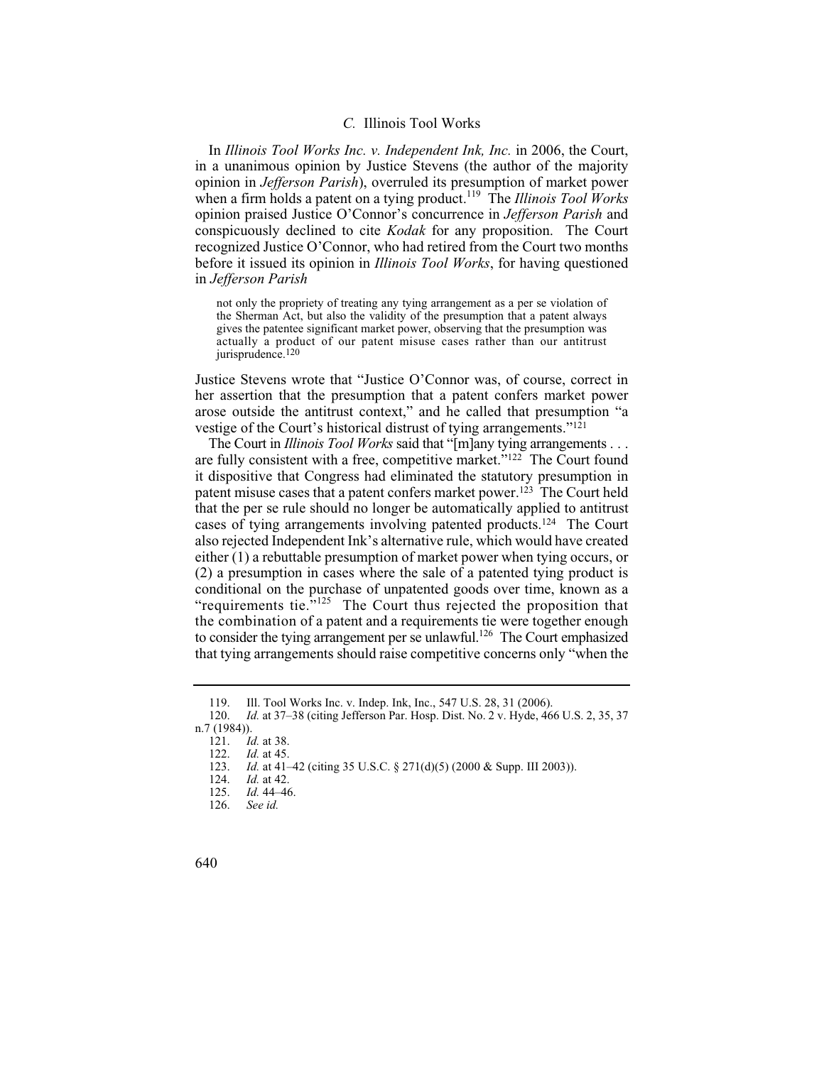#### *C.* Illinois Tool Works

In *Illinois Tool Works Inc. v. Independent Ink, Inc.* in 2006, the Court, in a unanimous opinion by Justice Stevens (the author of the majority opinion in *Jefferson Parish*), overruled its presumption of market power when a firm holds a patent on a tying product.<sup>119</sup> The *Illinois Tool Works* opinion praised Justice O'Connor's concurrence in *Jefferson Parish* and conspicuously declined to cite *Kodak* for any proposition. The Court recognized Justice O'Connor, who had retired from the Court two months before it issued its opinion in *Illinois Tool Works*, for having questioned in *Jefferson Parish* 

not only the propriety of treating any tying arrangement as a per se violation of the Sherman Act, but also the validity of the presumption that a patent always gives the patentee significant market power, observing that the presumption was actually a product of our patent misuse cases rather than our antitrust jurisprudence.<sup>120</sup>

Justice Stevens wrote that "Justice O'Connor was, of course, correct in her assertion that the presumption that a patent confers market power arose outside the antitrust context," and he called that presumption "a vestige of the Court's historical distrust of tying arrangements."121

 The Court in *Illinois Tool Works* said that "[m]any tying arrangements . . . are fully consistent with a free, competitive market."122 The Court found it dispositive that Congress had eliminated the statutory presumption in patent misuse cases that a patent confers market power.123 The Court held that the per se rule should no longer be automatically applied to antitrust cases of tying arrangements involving patented products.124 The Court also rejected Independent Ink's alternative rule, which would have created either (1) a rebuttable presumption of market power when tying occurs, or (2) a presumption in cases where the sale of a patented tying product is conditional on the purchase of unpatented goods over time, known as a "requirements tie."<sup>125</sup> The Court thus rejected the proposition that the combination of a patent and a requirements tie were together enough to consider the tying arrangement per se unlawful.<sup>126</sup> The Court emphasized that tying arrangements should raise competitive concerns only "when the

<sup>119.</sup> Ill. Tool Works Inc. v. Indep. Ink, Inc., 547 U.S. 28, 31 (2006).

 120. *Id.* at 37–38 (citing Jefferson Par. Hosp. Dist. No. 2 v. Hyde, 466 U.S. 2, 35, 37 n.7 (1984)).

 121. *Id.* at 38.

 122. *Id.* at 45.

 123. *Id.* at 41–42 (citing 35 U.S.C. § 271(d)(5) (2000 & Supp. III 2003)).

 124. *Id.* at 42.

 125. *Id.* 44–46.

 126. *See id.* 

<sup>640</sup>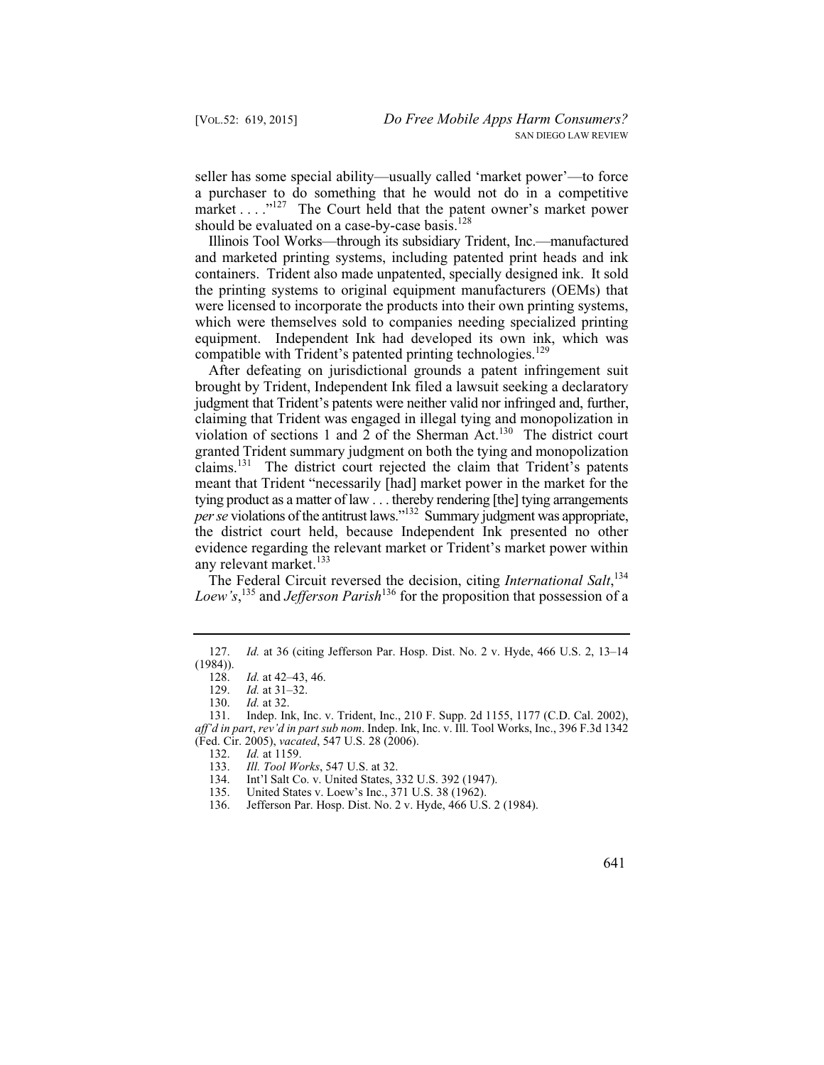seller has some special ability—usually called 'market power'—to force a purchaser to do something that he would not do in a competitive market . . . . "<sup>127</sup> The Court held that the patent owner's market power should be evaluated on a case-by-case basis.<sup>128</sup>

Illinois Tool Works—through its subsidiary Trident, Inc.—manufactured and marketed printing systems, including patented print heads and ink containers. Trident also made unpatented, specially designed ink. It sold the printing systems to original equipment manufacturers (OEMs) that were licensed to incorporate the products into their own printing systems, which were themselves sold to companies needing specialized printing equipment. Independent Ink had developed its own ink, which was compatible with Trident's patented printing technologies.<sup>129</sup>

After defeating on jurisdictional grounds a patent infringement suit brought by Trident, Independent Ink filed a lawsuit seeking a declaratory judgment that Trident's patents were neither valid nor infringed and, further, claiming that Trident was engaged in illegal tying and monopolization in violation of sections 1 and 2 of the Sherman Act.<sup>130</sup> The district court granted Trident summary judgment on both the tying and monopolization claims.131 The district court rejected the claim that Trident's patents meant that Trident "necessarily [had] market power in the market for the tying product as a matter of law . . . thereby rendering [the] tying arrangements *per se* violations of the antitrust laws."<sup>132</sup> Summary judgment was appropriate, the district court held, because Independent Ink presented no other evidence regarding the relevant market or Trident's market power within any relevant market.<sup>133</sup>

The Federal Circuit reversed the decision, citing *International Salt*, 134 *Loew's*, 135 and *Jefferson Parish*136 for the proposition that possession of a

- 135. United States v. Loew's Inc., 371 U.S. 38 (1962).<br>136. Jefferson Par. Hosp. Dist. No. 2 v. Hyde, 466 U.S.
- 136. Jefferson Par. Hosp. Dist. No. 2 v. Hyde, 466 U.S. 2 (1984).

641

 127. *Id.* at 36 (citing Jefferson Par. Hosp. Dist. No. 2 v. Hyde, 466 U.S. 2, 13–14  $(1984)$ ).<br>128.

 128. *Id.* at 42–43, 46.

 129. *Id.* at 31–32.

 130. *Id.* at 32.

<sup>131.</sup> Indep. Ink, Inc. v. Trident, Inc., 210 F. Supp. 2d 1155, 1177 (C.D. Cal. 2002), *aff'd in part*, *rev'd in part sub nom*. Indep. Ink, Inc. v. Ill. Tool Works, Inc., 396 F.3d 1342 (Fed. Cir. 2005), *vacated*, 547 U.S. 28 (2006).

 132. *Id.* at 1159.

 133. *Ill. Tool Works*, 547 U.S. at 32.

<sup>134.</sup> Int'l Salt Co. v. United States, 332 U.S. 392 (1947).<br>135. United States v. Loew's Inc., 371 U.S. 38 (1962).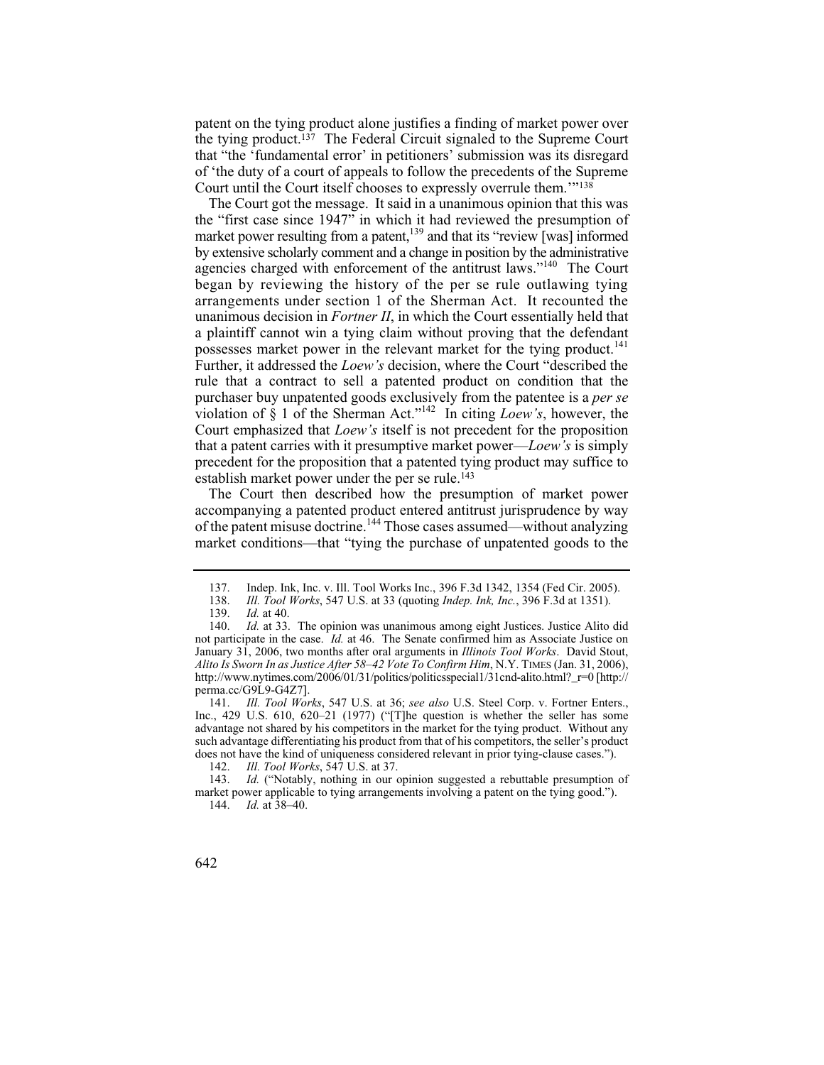patent on the tying product alone justifies a finding of market power over the tying product.137 The Federal Circuit signaled to the Supreme Court that "the 'fundamental error' in petitioners' submission was its disregard of 'the duty of a court of appeals to follow the precedents of the Supreme Court until the Court itself chooses to expressly overrule them.'"138

The Court got the message. It said in a unanimous opinion that this was the "first case since 1947" in which it had reviewed the presumption of market power resulting from a patent, $139$  and that its "review [was] informed by extensive scholarly comment and a change in position by the administrative agencies charged with enforcement of the antitrust laws."140 The Court began by reviewing the history of the per se rule outlawing tying arrangements under section 1 of the Sherman Act. It recounted the unanimous decision in *Fortner II*, in which the Court essentially held that a plaintiff cannot win a tying claim without proving that the defendant possesses market power in the relevant market for the tying product.<sup>141</sup> Further, it addressed the *Loew's* decision, where the Court "described the rule that a contract to sell a patented product on condition that the purchaser buy unpatented goods exclusively from the patentee is a *per se*  violation of § 1 of the Sherman Act."142 In citing *Loew's*, however, the Court emphasized that *Loew's* itself is not precedent for the proposition that a patent carries with it presumptive market power—*Loew's* is simply precedent for the proposition that a patented tying product may suffice to establish market power under the per se rule.<sup>143</sup>

The Court then described how the presumption of market power accompanying a patented product entered antitrust jurisprudence by way of the patent misuse doctrine.144 Those cases assumed—without analyzing market conditions—that "tying the purchase of unpatented goods to the

 141. *Ill. Tool Works*, 547 U.S. at 36; *see also* U.S. Steel Corp. v. Fortner Enters., Inc., 429 U.S. 610, 620–21 (1977) ("[T]he question is whether the seller has some advantage not shared by his competitors in the market for the tying product. Without any such advantage differentiating his product from that of his competitors, the seller's product does not have the kind of uniqueness considered relevant in prior tying-clause cases.").<br>142. Ill. Tool Works, 547 U.S. at 37.

 144. *Id.* at 38–40.



<sup>137.</sup> Indep. Ink, Inc. v. Ill. Tool Works Inc., 396 F.3d 1342, 1354 (Fed Cir. 2005).<br>138. *Ill. Tool Works*, 547 U.S. at 33 (quoting *Indep. Ink. Inc.*, 396 F.3d at 1351).

 138. *Ill. Tool Works*, 547 U.S. at 33 (quoting *Indep. Ink, Inc.*, 396 F.3d at 1351).

 139. *Id.* at 40.

<sup>140.</sup> *Id.* at 33. The opinion was unanimous among eight Justices. Justice Alito did  *Alito Is Sworn In as Justice After 58–42 Vote To Confirm Him*, N.Y. TIMES (Jan. 31, 2006), not participate in the case. *Id.* at 46. The Senate confirmed him as Associate Justice on January 31, 2006, two months after oral arguments in *Illinois Tool Works*. David Stout, http://www.nytimes.com/2006/01/31/politics/politicsspecial1/31cnd-alito.html?\_r=0 [http:// perma.cc/G9L9-G4Z7].

 142. *Ill. Tool Works*, 547 U.S. at 37.

 143. *Id.* ("Notably, nothing in our opinion suggested a rebuttable presumption of market power applicable to tying arrangements involving a patent on the tying good.").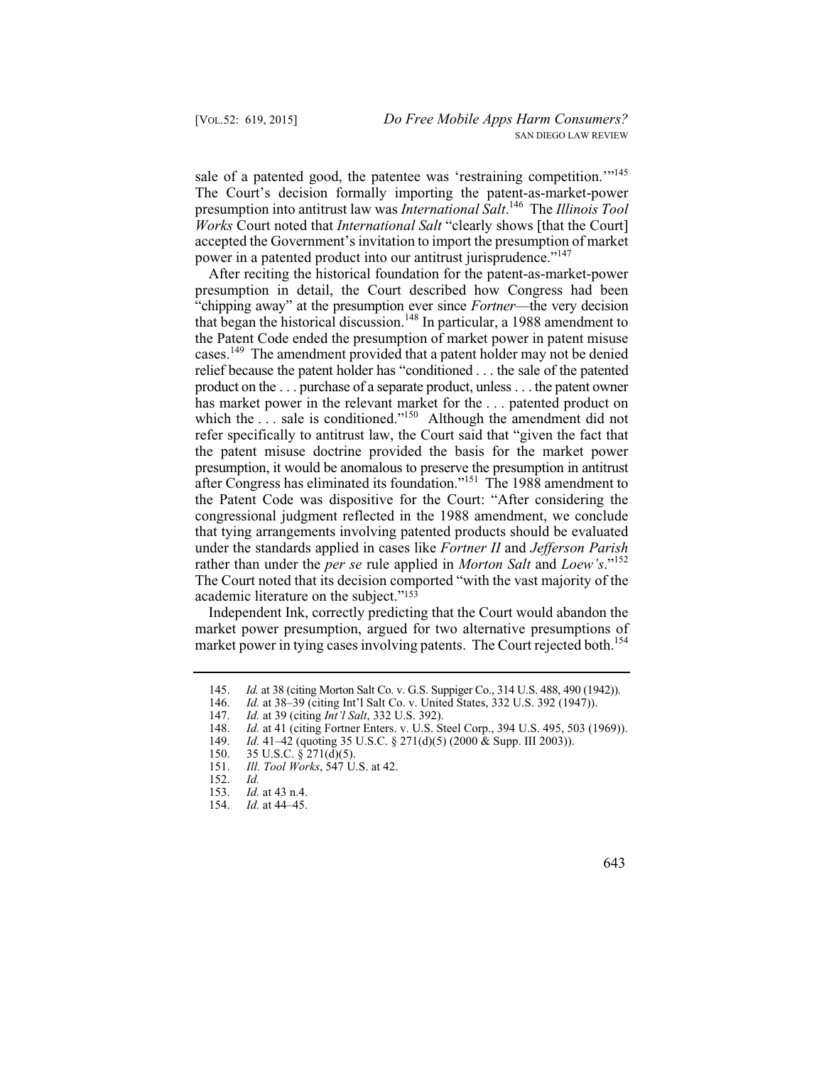sale of a patented good, the patentee was 'restraining competition.'"<sup>145</sup> The Court's decision formally importing the patent-as-market-power presumption into antitrust law was *International Salt*. 146 The *Illinois Tool Works* Court noted that *International Salt* "clearly shows [that the Court] accepted the Government's invitation to import the presumption of market power in a patented product into our antitrust jurisprudence."<sup>147</sup>

After reciting the historical foundation for the patent-as-market-power presumption in detail, the Court described how Congress had been "chipping away" at the presumption ever since *Fortner*—the very decision that began the historical discussion.148 In particular, a 1988 amendment to the Patent Code ended the presumption of market power in patent misuse cases.<sup>149</sup> The amendment provided that a patent holder may not be denied relief because the patent holder has "conditioned . . . the sale of the patented product on the . . . purchase of a separate product, unless . . . the patent owner has market power in the relevant market for the ... patented product on which the  $\ldots$  sale is conditioned."<sup>150</sup> Although the amendment did not refer specifically to antitrust law, the Court said that "given the fact that the patent misuse doctrine provided the basis for the market power presumption, it would be anomalous to preserve the presumption in antitrust after Congress has eliminated its foundation."151 The 1988 amendment to the Patent Code was dispositive for the Court: "After considering the congressional judgment reflected in the 1988 amendment, we conclude that tying arrangements involving patented products should be evaluated under the standards applied in cases like *Fortner II* and *Jefferson Parish*  rather than under the *per se* rule applied in *Morton Salt* and *Loew's*."152 The Court noted that its decision comported "with the vast majority of the academic literature on the subject."153

Independent Ink, correctly predicting that the Court would abandon the market power presumption, argued for two alternative presumptions of market power in tying cases involving patents. The Court rejected both.<sup>154</sup>

148. *Id.* at 41 (citing Fortner Enters. v. U.S. Steel Corp., 394 U.S. 495, 503 (1969)).

 154. *Id.* at 44–45.



 145. *Id.* at 38 (citing Morton Salt Co. v. G.S. Suppiger Co., 314 U.S. 488, 490 (1942)).

 146. *Id.* at 38–39 (citing Int'l Salt Co. v. United States, 332 U.S. 392 (1947)).

 147. *Id.* at 39 (citing *Int'l Salt*, 332 U.S. 392).

 149. *Id.* 41–42 (quoting 35 U.S.C. § 271(d)(5) (2000 & Supp. III 2003)).

<sup>150. 35</sup> U.S.C. § 271(d)(5).<br>151. Ill. Tool Works, 547 U.

 151. *Ill. Tool Works*, 547 U.S. at 42.

 $Id$ 152. *Id.*

 153. *Id.* at 43 n.4.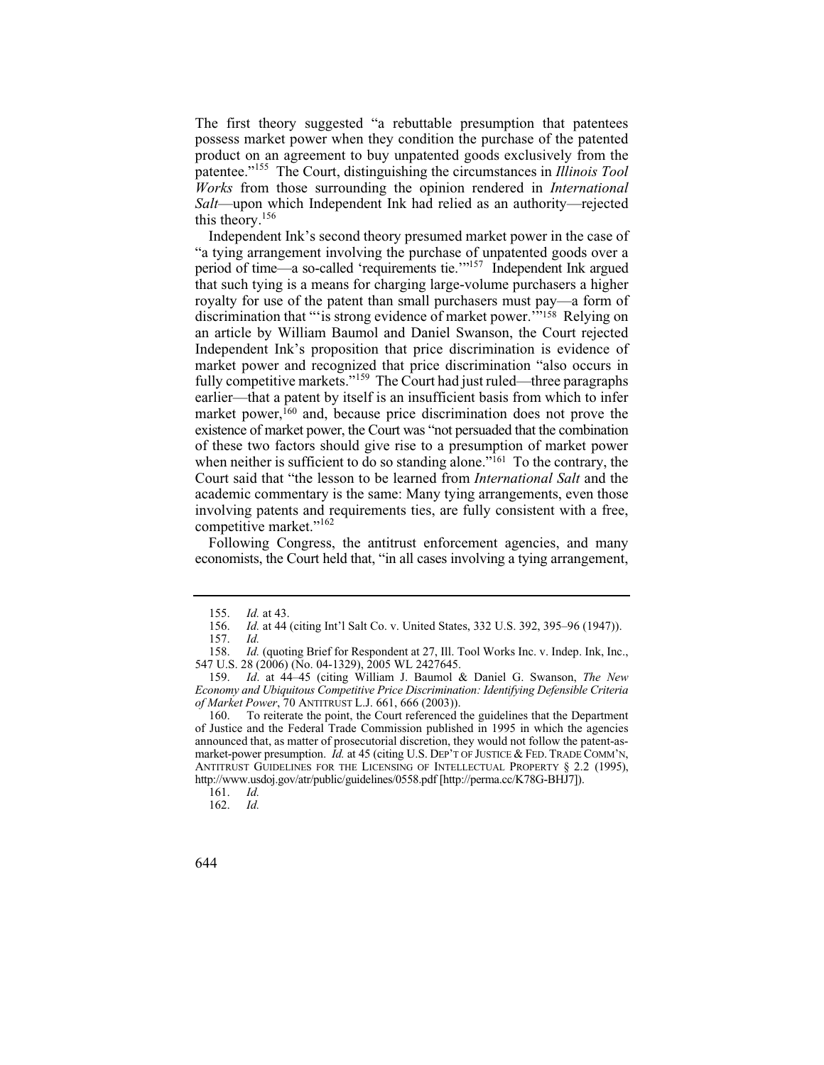The first theory suggested "a rebuttable presumption that patentees possess market power when they condition the purchase of the patented product on an agreement to buy unpatented goods exclusively from the patentee."155 The Court, distinguishing the circumstances in *Illinois Tool Works* from those surrounding the opinion rendered in *International Salt*—upon which Independent Ink had relied as an authority—rejected this theory.156

Independent Ink's second theory presumed market power in the case of "a tying arrangement involving the purchase of unpatented goods over a period of time—a so-called 'requirements tie.'"157 Independent Ink argued that such tying is a means for charging large-volume purchasers a higher royalty for use of the patent than small purchasers must pay—a form of discrimination that "'is strong evidence of market power.<sup>""158</sup> Relying on an article by William Baumol and Daniel Swanson, the Court rejected Independent Ink's proposition that price discrimination is evidence of market power and recognized that price discrimination "also occurs in fully competitive markets."<sup>159</sup> The Court had just ruled—three paragraphs earlier—that a patent by itself is an insufficient basis from which to infer market power,<sup>160</sup> and, because price discrimination does not prove the existence of market power, the Court was "not persuaded that the combination of these two factors should give rise to a presumption of market power when neither is sufficient to do so standing alone."<sup>161</sup> To the contrary, the Court said that "the lesson to be learned from *International Salt* and the academic commentary is the same: Many tying arrangements, even those involving patents and requirements ties, are fully consistent with a free, competitive market."<sup>162</sup>

Following Congress, the antitrust enforcement agencies, and many economists, the Court held that, "in all cases involving a tying arrangement,

 155. *Id.* at 43.

 156. *Id.* at 44 (citing Int'l Salt Co. v. United States, 332 U.S. 392, 395–96 (1947)).

 157. *Id.*

 158. *Id.* (quoting Brief for Respondent at 27, Ill. Tool Works Inc. v. Indep. Ink, Inc., 547 U.S. 28 (2006) (No. 04-1329), 2005 WL 2427645.

 159. *Id*. at 44–45 (citing William J. Baumol & Daniel G. Swanson, *The New Economy and Ubiquitous Competitive Price Discrimination: Identifying Defensible Criteria of Market Power*, 70 ANTITRUST L.J. 661, 666 (2003)).

<sup>160.</sup> To reiterate the point, the Court referenced the guidelines that the Department of Justice and the Federal Trade Commission published in 1995 in which the agencies announced that, as matter of prosecutorial discretion, they would not follow the patent-asmarket-power presumption. *Id.* at 45 (citing U.S. DEP'T OF JUSTICE & FED. TRADE COMM'N, ANTITRUST GUIDELINES FOR THE LICENSING OF INTELLECTUAL PROPERTY § 2.2 (1995), http://www.usdoj.gov/atr/public/guidelines/0558.pdf [http://perma.cc/K78G-BHJ7]).

 161. *Id.*

Id. 162. *Id.* 

<sup>644</sup>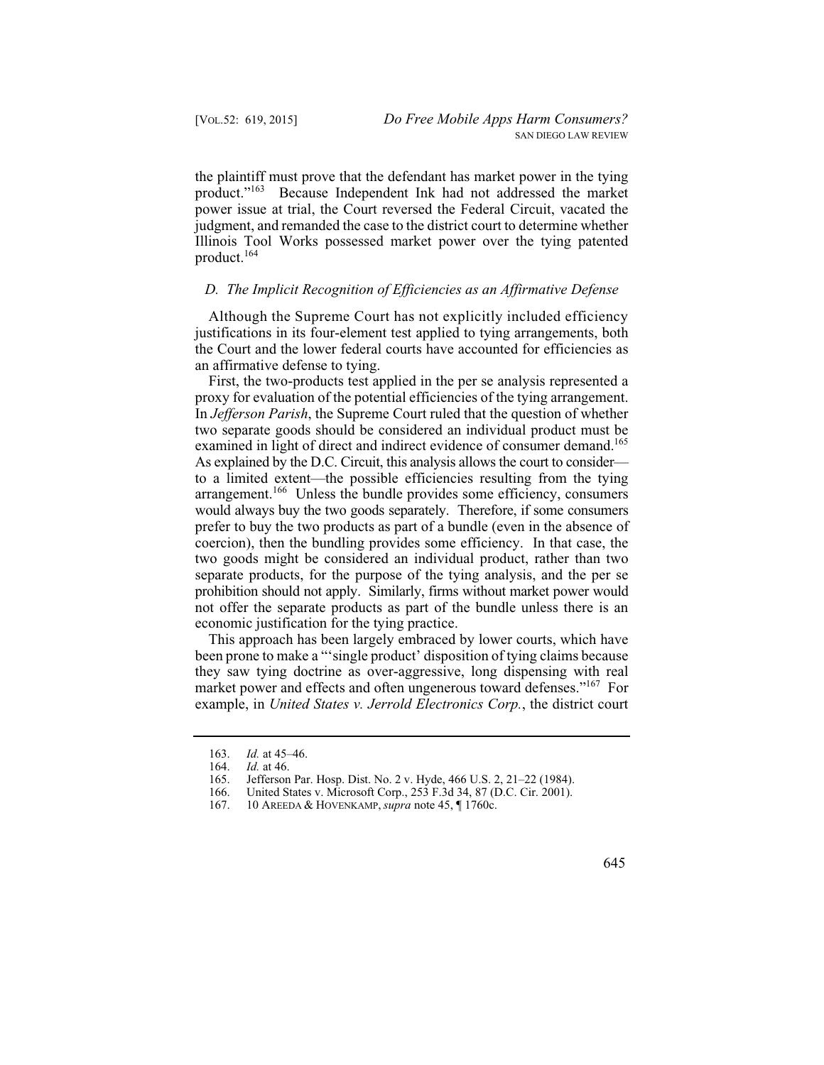the plaintiff must prove that the defendant has market power in the tying product."163 Because Independent Ink had not addressed the market power issue at trial, the Court reversed the Federal Circuit, vacated the judgment, and remanded the case to the district court to determine whether Illinois Tool Works possessed market power over the tying patented product.<sup>164</sup>

# *D. The Implicit Recognition of Efficiencies as an Affirmative Defense*

Although the Supreme Court has not explicitly included efficiency justifications in its four-element test applied to tying arrangements, both the Court and the lower federal courts have accounted for efficiencies as an affirmative defense to tying.

First, the two-products test applied in the per se analysis represented a proxy for evaluation of the potential efficiencies of the tying arrangement. In *Jefferson Parish*, the Supreme Court ruled that the question of whether two separate goods should be considered an individual product must be examined in light of direct and indirect evidence of consumer demand.<sup>165</sup> As explained by the D.C. Circuit, this analysis allows the court to consider to a limited extent—the possible efficiencies resulting from the tying arrangement.<sup>166</sup> Unless the bundle provides some efficiency, consumers would always buy the two goods separately. Therefore, if some consumers prefer to buy the two products as part of a bundle (even in the absence of coercion), then the bundling provides some efficiency. In that case, the two goods might be considered an individual product, rather than two separate products, for the purpose of the tying analysis, and the per se prohibition should not apply. Similarly, firms without market power would not offer the separate products as part of the bundle unless there is an economic justification for the tying practice.

market power and effects and often ungenerous toward defenses."<sup>167</sup> For This approach has been largely embraced by lower courts, which have been prone to make a "'single product' disposition of tying claims because they saw tying doctrine as over-aggressive, long dispensing with real example, in *United States v. Jerrold Electronics Corp.*, the district court

645

 *Id.* at 45–46. 163.

 *Id.* at 46. 164.

<sup>165.</sup>  Jefferson Par. Hosp. Dist. No. 2 v. Hyde, 466 U.S. 2, 21–22 (1984).

<sup>166.</sup>  United States v. Microsoft Corp., 253 F.3d 34, 87 (D.C. Cir. 2001).

 10 AREEDA & HOVENKAMP, *supra* note 45, ¶ 1760c. 167.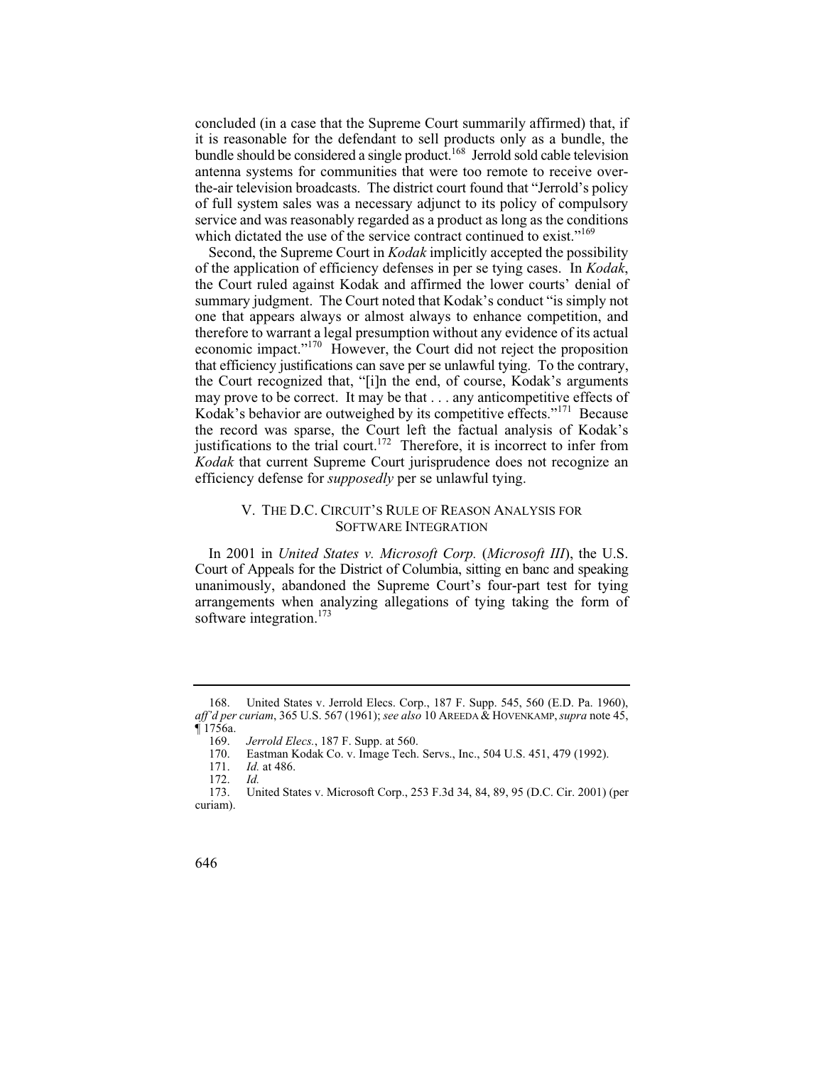concluded (in a case that the Supreme Court summarily affirmed) that, if it is reasonable for the defendant to sell products only as a bundle, the bundle should be considered a single product.<sup>168</sup> Jerrold sold cable television antenna systems for communities that were too remote to receive overthe-air television broadcasts. The district court found that "Jerrold's policy of full system sales was a necessary adjunct to its policy of compulsory service and was reasonably regarded as a product as long as the conditions which dictated the use of the service contract continued to exist."<sup>169</sup>

 that efficiency justifications can save per se unlawful tying. To the contrary, Second, the Supreme Court in *Kodak* implicitly accepted the possibility of the application of efficiency defenses in per se tying cases. In *Kodak*, the Court ruled against Kodak and affirmed the lower courts' denial of summary judgment. The Court noted that Kodak's conduct "is simply not one that appears always or almost always to enhance competition, and therefore to warrant a legal presumption without any evidence of its actual economic impact."170 However, the Court did not reject the proposition the Court recognized that, "[i]n the end, of course, Kodak's arguments may prove to be correct. It may be that . . . any anticompetitive effects of Kodak's behavior are outweighed by its competitive effects."171 Because the record was sparse, the Court left the factual analysis of Kodak's justifications to the trial court.<sup>172</sup> Therefore, it is incorrect to infer from *Kodak* that current Supreme Court jurisprudence does not recognize an efficiency defense for *supposedly* per se unlawful tying.

#### V. THE D.C. CIRCUIT'S RULE OF REASON ANALYSIS FOR SOFTWARE INTEGRATION

In 2001 in *United States v. Microsoft Corp.* (*Microsoft III*), the U.S. Court of Appeals for the District of Columbia, sitting en banc and speaking unanimously, abandoned the Supreme Court's four-part test for tying arrangements when analyzing allegations of tying taking the form of software integration.<sup>173</sup>

<sup>168.</sup> United States v. Jerrold Elecs. Corp., 187 F. Supp. 545, 560 (E.D. Pa. 1960), *aff'd per curiam*, 365 U.S. 567 (1961); *see also* 10 AREEDA & HOVENKAMP, *supra* note 45,  $$1756a.  
169.$ 

 169. *Jerrold Elecs.*, 187 F. Supp. at 560.

<sup>170.</sup> Eastman Kodak Co. v. Image Tech. Servs., Inc., 504 U.S. 451, 479 (1992).<br>171. Id. at 486.

 171. *Id.* at 486.

Id. 172. *Id.* 

United States v. Microsoft Corp., 253 F.3d 34, 84, 89, 95 (D.C. Cir. 2001) (per curiam).

<sup>646</sup>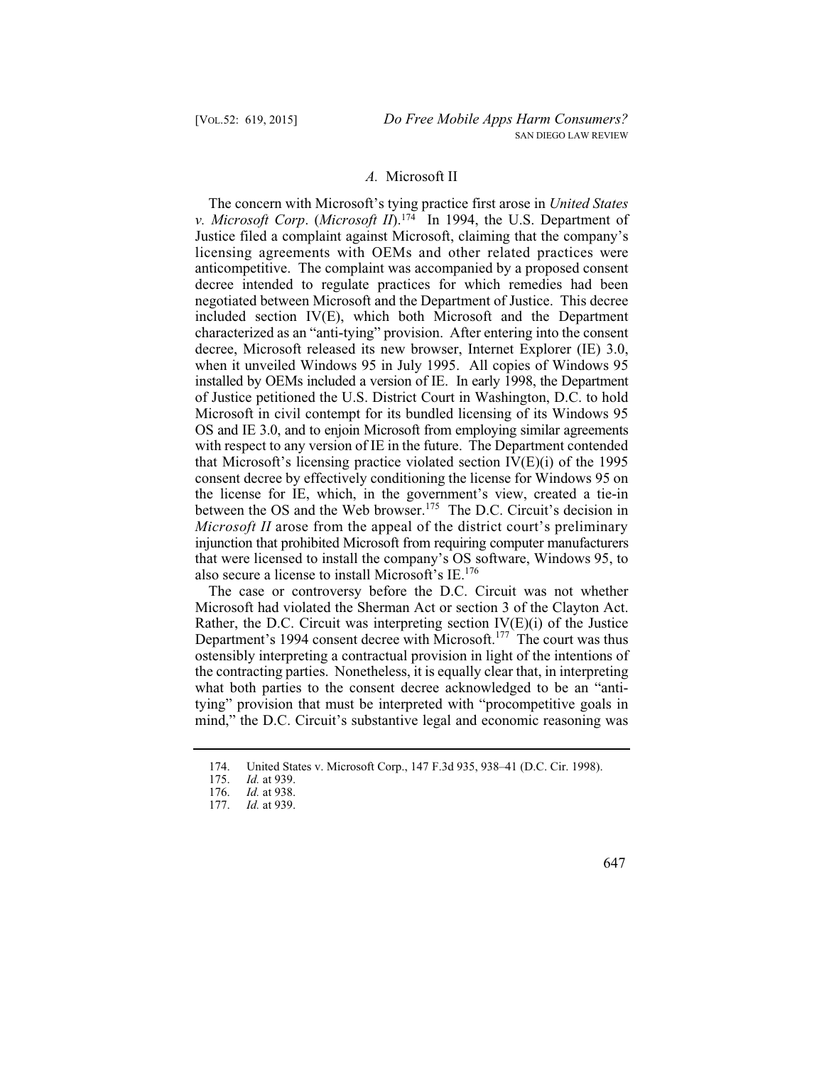## *A.* Microsoft II

The concern with Microsoft's tying practice first arose in *United States v. Microsoft Corp*. (*Microsoft II*).174 In 1994, the U.S. Department of Justice filed a complaint against Microsoft, claiming that the company's licensing agreements with OEMs and other related practices were anticompetitive. The complaint was accompanied by a proposed consent decree intended to regulate practices for which remedies had been negotiated between Microsoft and the Department of Justice. This decree included section IV(E), which both Microsoft and the Department characterized as an "anti-tying" provision. After entering into the consent decree, Microsoft released its new browser, Internet Explorer (IE) 3.0, when it unveiled Windows 95 in July 1995. All copies of Windows 95 installed by OEMs included a version of IE. In early 1998, the Department of Justice petitioned the U.S. District Court in Washington, D.C. to hold Microsoft in civil contempt for its bundled licensing of its Windows 95 OS and IE 3.0, and to enjoin Microsoft from employing similar agreements with respect to any version of IE in the future. The Department contended that Microsoft's licensing practice violated section IV(E)(i) of the 1995 consent decree by effectively conditioning the license for Windows 95 on the license for IE, which, in the government's view, created a tie-in between the OS and the Web browser.<sup>175</sup> The D.C. Circuit's decision in *Microsoft II* arose from the appeal of the district court's preliminary injunction that prohibited Microsoft from requiring computer manufacturers that were licensed to install the company's OS software, Windows 95, to also secure a license to install Microsoft's  $IE^{176}$ 

The case or controversy before the D.C. Circuit was not whether Microsoft had violated the Sherman Act or section 3 of the Clayton Act. Rather, the D.C. Circuit was interpreting section  $IV(E)(i)$  of the Justice Department's 1994 consent decree with Microsoft.<sup>177</sup> The court was thus ostensibly interpreting a contractual provision in light of the intentions of the contracting parties. Nonetheless, it is equally clear that, in interpreting what both parties to the consent decree acknowledged to be an "antitying" provision that must be interpreted with "procompetitive goals in mind," the D.C. Circuit's substantive legal and economic reasoning was

<sup>174.</sup> United States v. Microsoft Corp., 147 F.3d 935, 938–41 (D.C. Cir. 1998).<br>175. Id. at 939.

 175. *Id.* at 939.

 176. *Id.* at 938.

 177. *Id.* at 939.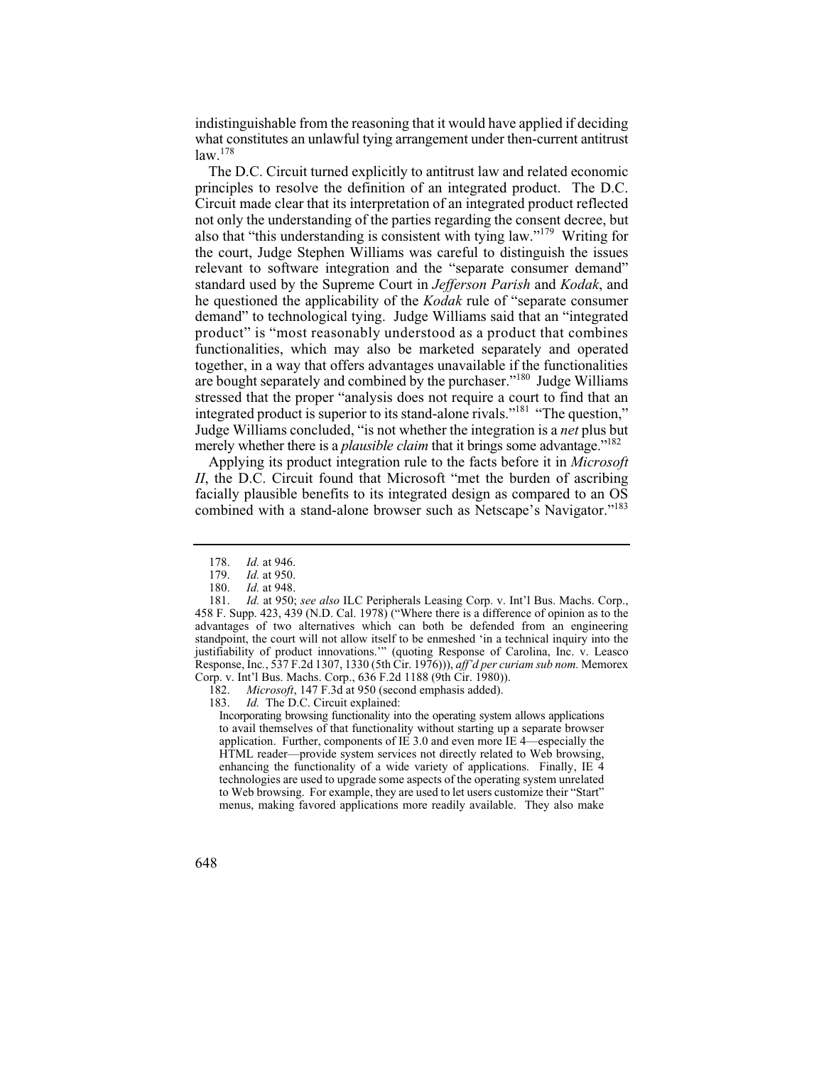indistinguishable from the reasoning that it would have applied if deciding what constitutes an unlawful tying arrangement under then-current antitrust  $law<sup>178</sup>$ 

The D.C. Circuit turned explicitly to antitrust law and related economic principles to resolve the definition of an integrated product. The D.C. Circuit made clear that its interpretation of an integrated product reflected not only the understanding of the parties regarding the consent decree, but also that "this understanding is consistent with tying law."179 Writing for the court, Judge Stephen Williams was careful to distinguish the issues relevant to software integration and the "separate consumer demand" standard used by the Supreme Court in *Jefferson Parish* and *Kodak*, and he questioned the applicability of the *Kodak* rule of "separate consumer demand" to technological tying. Judge Williams said that an "integrated product" is "most reasonably understood as a product that combines functionalities, which may also be marketed separately and operated together, in a way that offers advantages unavailable if the functionalities are bought separately and combined by the purchaser."180 Judge Williams stressed that the proper "analysis does not require a court to find that an integrated product is superior to its stand-alone rivals."181 "The question," Judge Williams concluded, "is not whether the integration is a *net* plus but merely whether there is a *plausible claim* that it brings some advantage."<sup>182</sup>

Applying its product integration rule to the facts before it in *Microsoft II*, the D.C. Circuit found that Microsoft "met the burden of ascribing facially plausible benefits to its integrated design as compared to an OS combined with a stand-alone browser such as Netscape's Navigator."183

182. *Microsoft*, 147 F.3d at 950 (second emphasis added).

183. *Id.* The D.C. Circuit explained:

 Incorporating browsing functionality into the operating system allows applications enhancing the functionality of a wide variety of applications. Finally, IE 4 to avail themselves of that functionality without starting up a separate browser application. Further, components of IE 3.0 and even more IE 4—especially the HTML reader—provide system services not directly related to Web browsing, technologies are used to upgrade some aspects of the operating system unrelated to Web browsing. For example, they are used to let users customize their "Start" menus, making favored applications more readily available. They also make

 178. *Id.* at 946.

 179. *Id.* at 950.

 180. *Id.* at 948.

 181. *Id.* at 950; *see also* ILC Peripherals Leasing Corp. v. Int'l Bus. Machs. Corp., 458 F. Supp. 423, 439 (N.D. Cal. 1978) ("Where there is a difference of opinion as to the advantages of two alternatives which can both be defended from an engineering standpoint, the court will not allow itself to be enmeshed 'in a technical inquiry into the justifiability of product innovations.'" (quoting Response of Carolina, Inc. v. Leasco Response, Inc*.*, 537 F.2d 1307, 1330 (5th Cir. 1976))), *aff'd per curiam sub nom.* Memorex Corp. v. Int'l Bus. Machs. Corp., 636 F.2d 1188 (9th Cir. 1980)).

<sup>648</sup>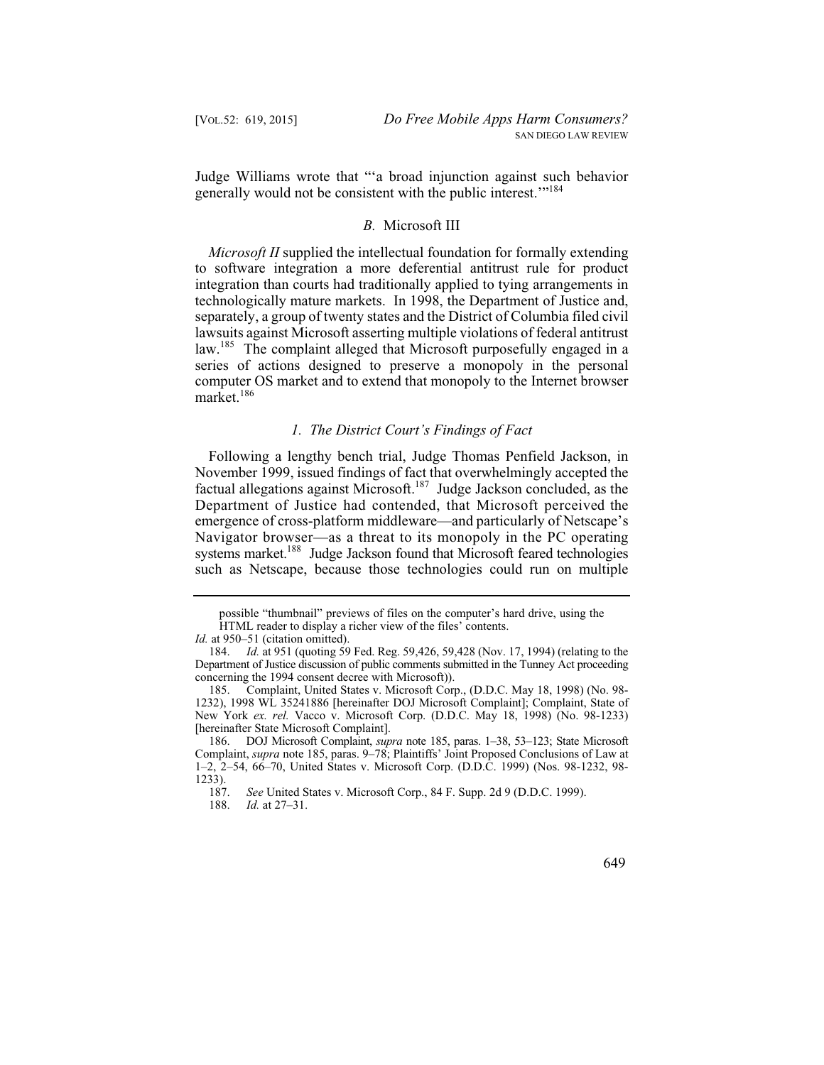Judge Williams wrote that "'a broad injunction against such behavior generally would not be consistent with the public interest.<sup>"184</sup>

### *B.* Microsoft III

*Microsoft II* supplied the intellectual foundation for formally extending to software integration a more deferential antitrust rule for product integration than courts had traditionally applied to tying arrangements in technologically mature markets. In 1998, the Department of Justice and, separately, a group of twenty states and the District of Columbia filed civil lawsuits against Microsoft asserting multiple violations of federal antitrust law.<sup>185</sup> The complaint alleged that Microsoft purposefully engaged in a series of actions designed to preserve a monopoly in the personal computer OS market and to extend that monopoly to the Internet browser market.<sup>186</sup>

#### *1. The District Court's Findings of Fact*

 Department of Justice had contended, that Microsoft perceived the Following a lengthy bench trial, Judge Thomas Penfield Jackson, in November 1999, issued findings of fact that overwhelmingly accepted the factual allegations against Microsoft.<sup>187</sup> Judge Jackson concluded, as the emergence of cross-platform middleware—and particularly of Netscape's Navigator browser—as a threat to its monopoly in the PC operating systems market.<sup>188</sup> Judge Jackson found that Microsoft feared technologies such as Netscape, because those technologies could run on multiple

 188. *Id.* at 27–31.



possible "thumbnail" previews of files on the computer's hard drive, using the HTML reader to display a richer view of the files' contents.

*Id.* at 950–51 (citation omitted).

 184. *Id.* at 951 (quoting 59 Fed. Reg. 59,426, 59,428 (Nov. 17, 1994) (relating to the Department of Justice discussion of public comments submitted in the Tunney Act proceeding concerning the 1994 consent decree with Microsoft)).

<sup>185.</sup> Complaint, United States v. Microsoft Corp., (D.D.C. May 18, 1998) (No. 98 1232), 1998 WL 35241886 [hereinafter DOJ Microsoft Complaint]; Complaint, State of New York *ex. rel.* Vacco v. Microsoft Corp. (D.D.C. May 18, 1998) (No. 98-1233) [hereinafter State Microsoft Complaint].

<sup>186.</sup> DOJ Microsoft Complaint, *supra* note 185, paras. 1–38, 53–123; State Microsoft Complaint, *supra* note 185, paras. 9–78; Plaintiffs' Joint Proposed Conclusions of Law at 1–2, 2–54, 66–70, United States v. Microsoft Corp. (D.D.C. 1999) (Nos. 98-1232, 98  $\frac{1233}{187}$ .

 187. *See* United States v. Microsoft Corp., 84 F. Supp. 2d 9 (D.D.C. 1999).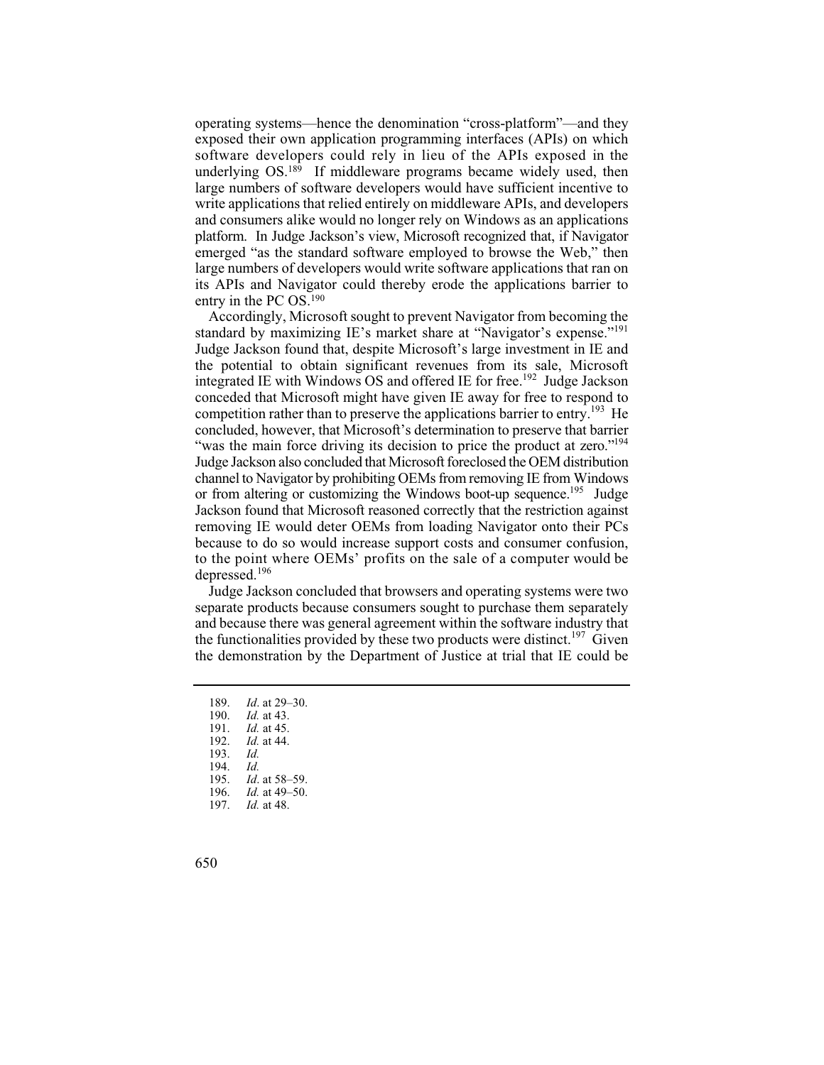software developers could rely in lieu of the APIs exposed in the operating systems—hence the denomination "cross-platform"—and they exposed their own application programming interfaces (APIs) on which underlying OS.189 If middleware programs became widely used, then large numbers of software developers would have sufficient incentive to write applications that relied entirely on middleware APIs, and developers and consumers alike would no longer rely on Windows as an applications platform. In Judge Jackson's view, Microsoft recognized that, if Navigator emerged "as the standard software employed to browse the Web," then large numbers of developers would write software applications that ran on its APIs and Navigator could thereby erode the applications barrier to entry in the PC OS.190

or from altering or customizing the Windows boot-up sequence.<sup>195</sup> Judge to the point where OEMs' profits on the sale of a computer would be Accordingly, Microsoft sought to prevent Navigator from becoming the standard by maximizing IE's market share at "Navigator's expense."<sup>191</sup> Judge Jackson found that, despite Microsoft's large investment in IE and the potential to obtain significant revenues from its sale, Microsoft integrated IE with Windows OS and offered IE for free.<sup>192</sup> Judge Jackson conceded that Microsoft might have given IE away for free to respond to competition rather than to preserve the applications barrier to entry.<sup>193</sup> He concluded, however, that Microsoft's determination to preserve that barrier "was the main force driving its decision to price the product at zero."<sup>194</sup> Judge Jackson also concluded that Microsoft foreclosed the OEM distribution channel to Navigator by prohibiting OEMs from removing IE from Windows Jackson found that Microsoft reasoned correctly that the restriction against removing IE would deter OEMs from loading Navigator onto their PCs because to do so would increase support costs and consumer confusion, depressed.<sup>196</sup>

Judge Jackson concluded that browsers and operating systems were two separate products because consumers sought to purchase them separately and because there was general agreement within the software industry that the functionalities provided by these two products were distinct.<sup>197</sup> Given the demonstration by the Department of Justice at trial that IE could be

- 189. *Id*. at 29–30.
- 190. *Id.* at 43.
- 191. *Id.* at 45.
- 192. *Id.* at 44.

 $Id.$ 193. *Id.*

- Id. 194. *Id.*
- 195. *Id*. at 58–59.
	- 196. *Id.* at 49–50.
	- 197. *Id.* at 48.
- 650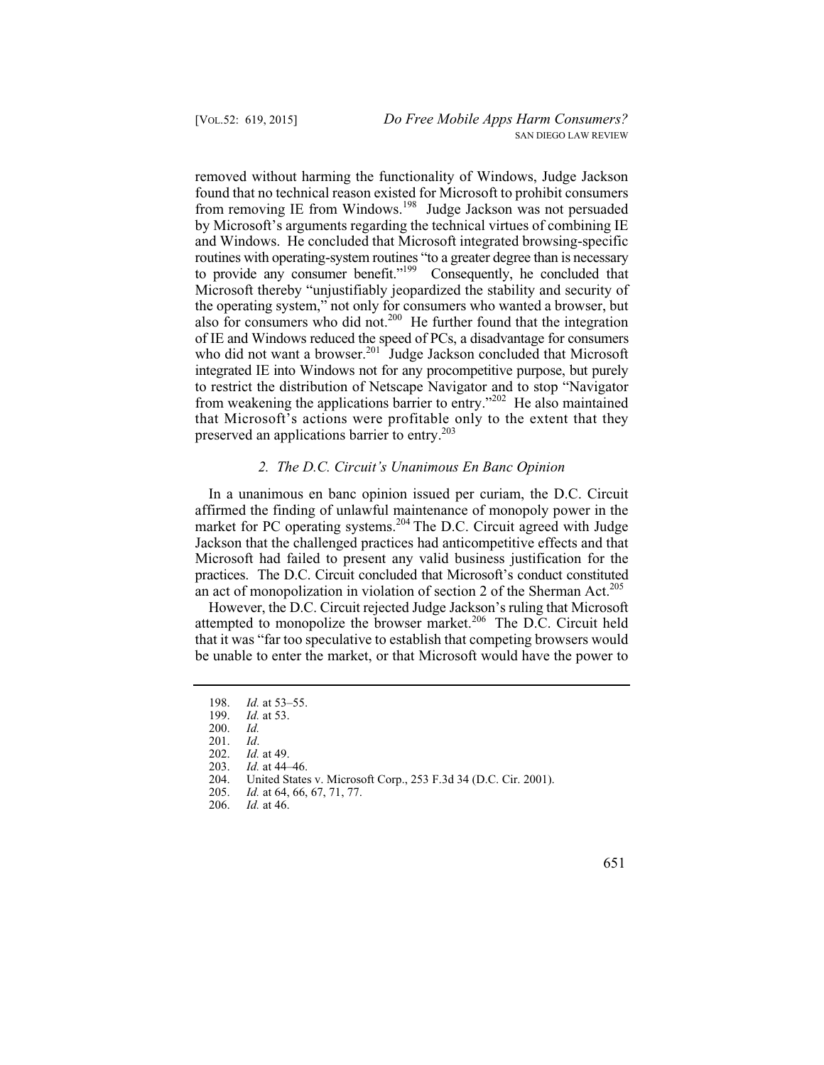removed without harming the functionality of Windows, Judge Jackson found that no technical reason existed for Microsoft to prohibit consumers from removing IE from Windows.198 Judge Jackson was not persuaded by Microsoft's arguments regarding the technical virtues of combining IE and Windows. He concluded that Microsoft integrated browsing-specific routines with operating-system routines "to a greater degree than is necessary to provide any consumer benefit."<sup>199</sup> Consequently, he concluded that Microsoft thereby "unjustifiably jeopardized the stability and security of the operating system," not only for consumers who wanted a browser, but also for consumers who did not.<sup>200</sup> He further found that the integration of IE and Windows reduced the speed of PCs, a disadvantage for consumers who did not want a browser.<sup>201</sup> Judge Jackson concluded that Microsoft integrated IE into Windows not for any procompetitive purpose, but purely to restrict the distribution of Netscape Navigator and to stop "Navigator from weakening the applications barrier to entry."202 He also maintained that Microsoft's actions were profitable only to the extent that they preserved an applications barrier to entry.<sup>203</sup>

#### *2. The D.C. Circuit's Unanimous En Banc Opinion*

In a unanimous en banc opinion issued per curiam, the D.C. Circuit affirmed the finding of unlawful maintenance of monopoly power in the market for PC operating systems.<sup>204</sup> The D.C. Circuit agreed with Judge Jackson that the challenged practices had anticompetitive effects and that Microsoft had failed to present any valid business justification for the practices. The D.C. Circuit concluded that Microsoft's conduct constituted an act of monopolization in violation of section 2 of the Sherman Act.<sup>205</sup>

However, the D.C. Circuit rejected Judge Jackson's ruling that Microsoft attempted to monopolize the browser market.<sup>206</sup> The D.C. Circuit held that it was "far too speculative to establish that competing browsers would be unable to enter the market, or that Microsoft would have the power to



 198. *Id.* at 53–55.

 199. *Id.* at 53.

Id. 200. *Id.*

Id. 201. *Id*.

 202. *Id.* at 49.

 203. *Id.* at 44–46.

<sup>204.</sup> United States v. Microsoft Corp., 253 F.3d 34 (D.C. Cir. 2001).<br>205. Id. at 64, 66, 67, 71, 77.

 205. *Id.* at 64, 66, 67, 71, 77.

 206. *Id.* at 46.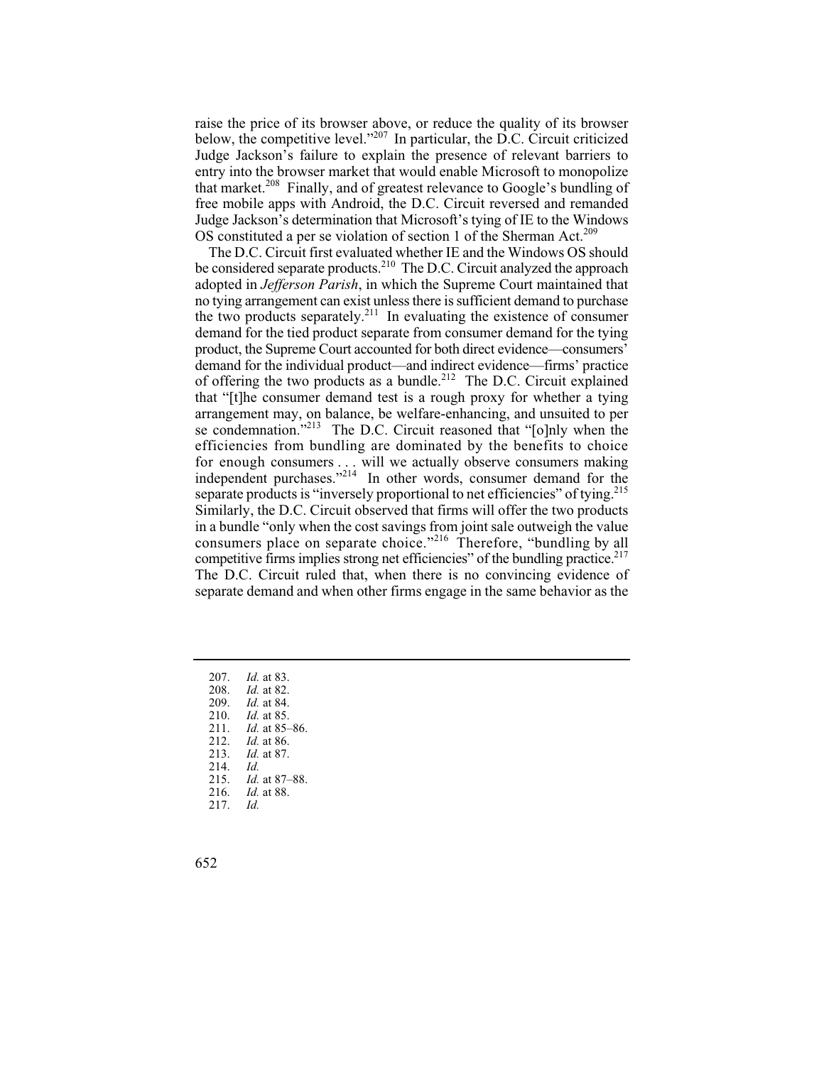that market.<sup>208</sup> Finally, and of greatest relevance to Google's bundling of raise the price of its browser above, or reduce the quality of its browser below, the competitive level."<sup>207</sup> In particular, the D.C. Circuit criticized Judge Jackson's failure to explain the presence of relevant barriers to entry into the browser market that would enable Microsoft to monopolize free mobile apps with Android, the D.C. Circuit reversed and remanded Judge Jackson's determination that Microsoft's tying of IE to the Windows OS constituted a per se violation of section 1 of the Sherman Act.<sup>209</sup>

consumers place on separate choice."<sup>216</sup> Therefore, "bundling by all The D.C. Circuit first evaluated whether IE and the Windows OS should be considered separate products.<sup>210</sup> The D.C. Circuit analyzed the approach adopted in *Jefferson Parish*, in which the Supreme Court maintained that no tying arrangement can exist unless there is sufficient demand to purchase the two products separately.<sup>211</sup> In evaluating the existence of consumer demand for the tied product separate from consumer demand for the tying product, the Supreme Court accounted for both direct evidence—consumers' demand for the individual product—and indirect evidence—firms' practice of offering the two products as a bundle.<sup>212</sup> The D.C. Circuit explained that "[t]he consumer demand test is a rough proxy for whether a tying arrangement may, on balance, be welfare-enhancing, and unsuited to per se condemnation."<sup>213</sup> The D.C. Circuit reasoned that "[o]nly when the efficiencies from bundling are dominated by the benefits to choice for enough consumers . . . will we actually observe consumers making independent purchases."<sup>214</sup> In other words, consumer demand for the separate products is "inversely proportional to net efficiencies" of tying.<sup>215</sup> Similarly, the D.C. Circuit observed that firms will offer the two products in a bundle "only when the cost savings from joint sale outweigh the value competitive firms implies strong net efficiencies" of the bundling practice.<sup>217</sup> The D.C. Circuit ruled that, when there is no convincing evidence of separate demand and when other firms engage in the same behavior as the

 207. *Id.* at 83. 208. *Id.* at 82. 209. *Id.* at 84. 210. *Id.* at 85. 211. *Id.* at 85–86. 212. *Id.* at 86. 213. *Id.* at 87. Id. 215. *Id.* at 87–88. 216. *Id.* at 88. Id. 214. *Id.* 217. *Id.* 

652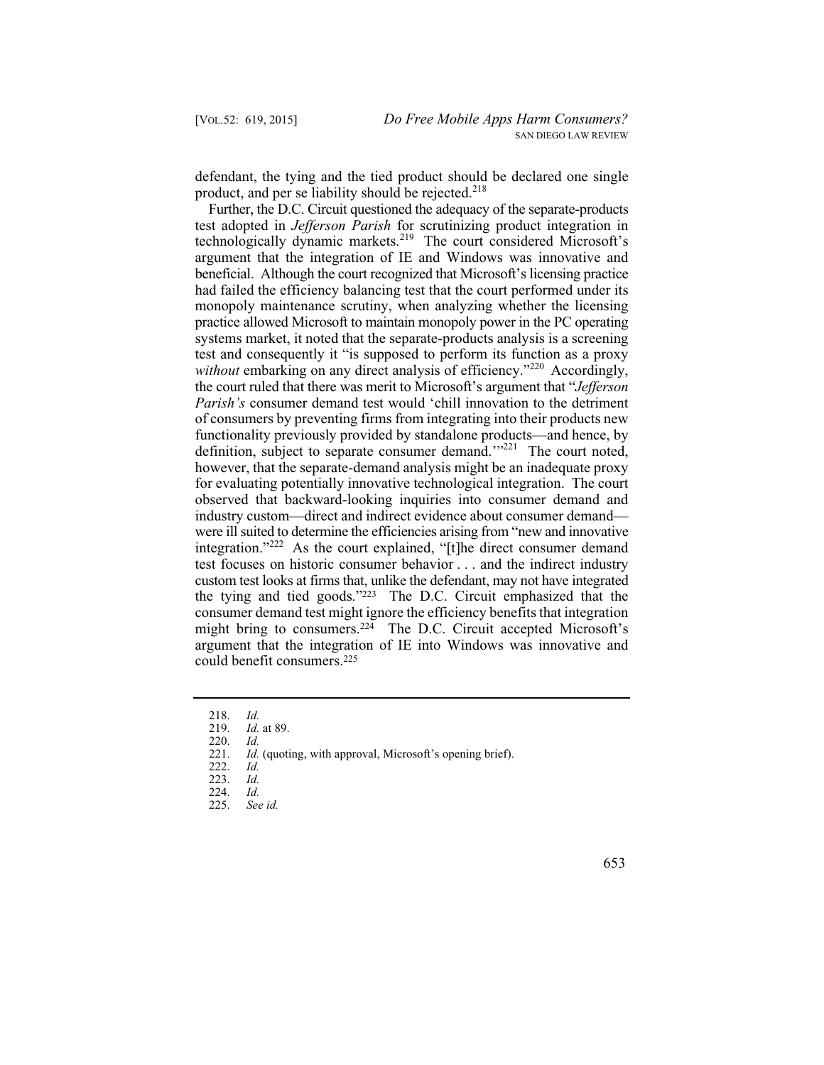defendant, the tying and the tied product should be declared one single product, and per se liability should be rejected.<sup>218</sup>

 were ill suited to determine the efficiencies arising from "new and innovative Further, the D.C. Circuit questioned the adequacy of the separate-products test adopted in *Jefferson Parish* for scrutinizing product integration in technologically dynamic markets.<sup>219</sup> The court considered Microsoft's argument that the integration of IE and Windows was innovative and beneficial. Although the court recognized that Microsoft's licensing practice had failed the efficiency balancing test that the court performed under its monopoly maintenance scrutiny, when analyzing whether the licensing practice allowed Microsoft to maintain monopoly power in the PC operating systems market, it noted that the separate-products analysis is a screening test and consequently it "is supposed to perform its function as a proxy *without* embarking on any direct analysis of efficiency."<sup>220</sup> Accordingly, the court ruled that there was merit to Microsoft's argument that "*Jefferson Parish's* consumer demand test would 'chill innovation to the detriment of consumers by preventing firms from integrating into their products new functionality previously provided by standalone products—and hence, by definition, subject to separate consumer demand.'"<sup>221</sup> The court noted, however, that the separate-demand analysis might be an inadequate proxy for evaluating potentially innovative technological integration. The court observed that backward-looking inquiries into consumer demand and industry custom—direct and indirect evidence about consumer demand integration."<sup>222</sup> As the court explained, "[t]he direct consumer demand test focuses on historic consumer behavior . . . and the indirect industry custom test looks at firms that, unlike the defendant, may not have integrated the tying and tied goods."223 The D.C. Circuit emphasized that the consumer demand test might ignore the efficiency benefits that integration might bring to consumers.224 The D.C. Circuit accepted Microsoft's argument that the integration of IE into Windows was innovative and could benefit consumers.225

 $Id.$ 218. *Id.*

 219. *Id.* at 89.

Id. 220. *Id.*

<sup>221.</sup> *Id.* (quoting, with approval, Microsoft's opening brief).

Id. 222. *Id.*

Id. 223. *Id.*

Id. 224. *Id.*

 225. *See id.*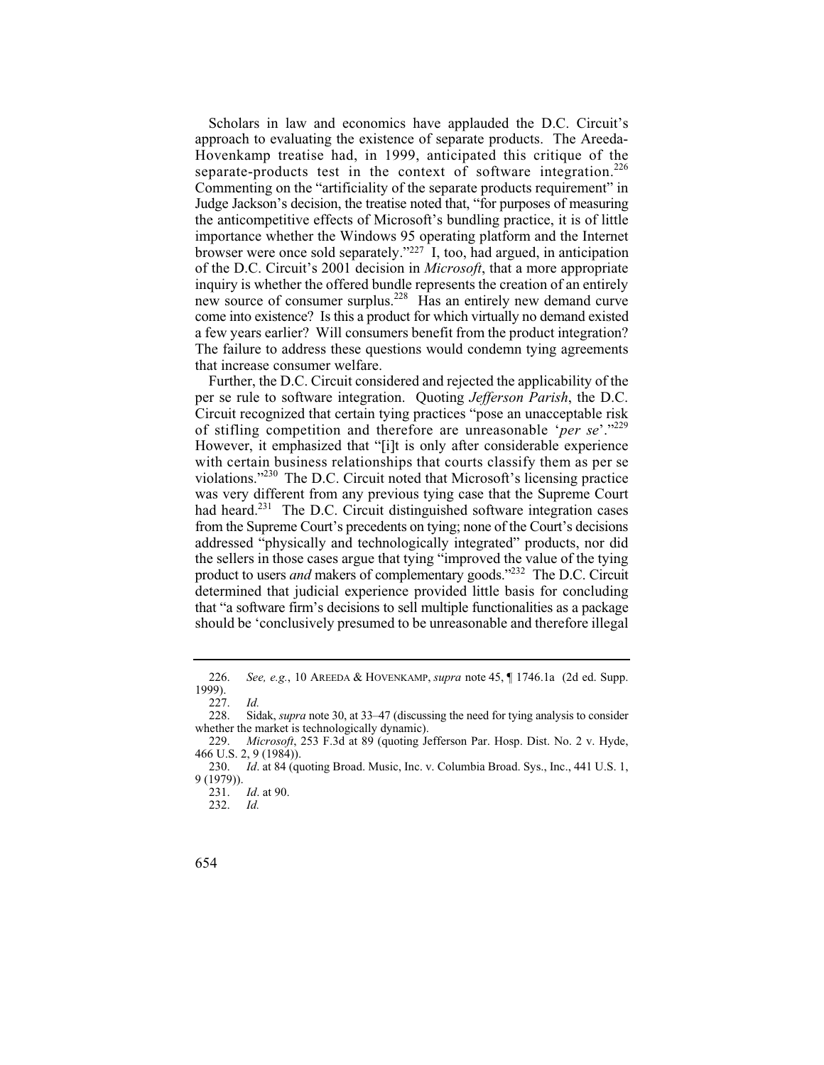Scholars in law and economics have applauded the D.C. Circuit's approach to evaluating the existence of separate products. The Areeda-Hovenkamp treatise had, in 1999, anticipated this critique of the separate-products test in the context of software integration.<sup>226</sup> Commenting on the "artificiality of the separate products requirement" in Judge Jackson's decision, the treatise noted that, "for purposes of measuring the anticompetitive effects of Microsoft's bundling practice, it is of little importance whether the Windows 95 operating platform and the Internet browser were once sold separately." $227$  I, too, had argued, in anticipation of the D.C. Circuit's 2001 decision in *Microsoft*, that a more appropriate inquiry is whether the offered bundle represents the creation of an entirely new source of consumer surplus.<sup>228</sup> Has an entirely new demand curve come into existence? Is this a product for which virtually no demand existed a few years earlier? Will consumers benefit from the product integration? The failure to address these questions would condemn tying agreements that increase consumer welfare.

Further, the D.C. Circuit considered and rejected the applicability of the per se rule to software integration. Quoting *Jefferson Parish*, the D.C. Circuit recognized that certain tying practices "pose an unacceptable risk of stifling competition and therefore are unreasonable '*per se*'."229 However, it emphasized that "[i]t is only after considerable experience with certain business relationships that courts classify them as per se violations."230 The D.C. Circuit noted that Microsoft's licensing practice was very different from any previous tying case that the Supreme Court had heard.<sup>231</sup> The D.C. Circuit distinguished software integration cases from the Supreme Court's precedents on tying; none of the Court's decisions addressed "physically and technologically integrated" products, nor did the sellers in those cases argue that tying "improved the value of the tying product to users *and* makers of complementary goods."232 The D.C. Circuit determined that judicial experience provided little basis for concluding that "a software firm's decisions to sell multiple functionalities as a package should be 'conclusively presumed to be unreasonable and therefore illegal

 226. *See, e.g.*, 10 AREEDA & HOVENKAMP, *supra* note 45, ¶ 1746.1a (2d ed. Supp. 1999).

 228. Sidak, *supra* note 30, at 33–47 (discussing the need for tying analysis to consider 227. *Id.* whether the market is technologically dynamic).

 229. *Microsoft*, 253 F.3d at 89 (quoting Jefferson Par. Hosp. Dist. No. 2 v. Hyde, 466 U.S. 2, 9 (1984)).

<sup>230.</sup> *Id*. at 84 (quoting Broad. Music, Inc. v. Columbia Broad. Sys., Inc., 441 U.S. 1, 9 (1979)).

 231. *Id*. at 90.

Id. 232. *Id.* 

<sup>654</sup>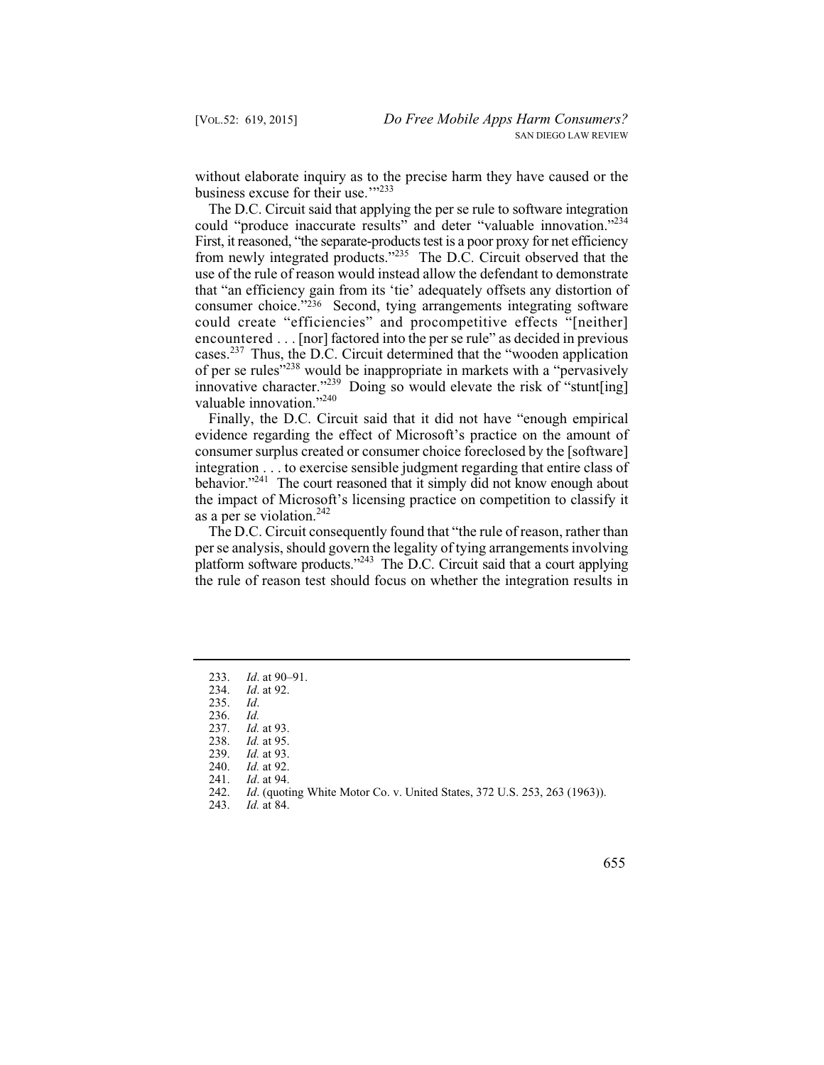without elaborate inquiry as to the precise harm they have caused or the business excuse for their use."<sup>233</sup>

The D.C. Circuit said that applying the per se rule to software integration could "produce inaccurate results" and deter "valuable innovation."234 First, it reasoned, "the separate-products test is a poor proxy for net efficiency from newly integrated products."<sup>235</sup> The D.C. Circuit observed that the use of the rule of reason would instead allow the defendant to demonstrate that "an efficiency gain from its 'tie' adequately offsets any distortion of consumer choice."236 Second, tying arrangements integrating software could create "efficiencies" and procompetitive effects "[neither] encountered . . . [nor] factored into the per se rule" as decided in previous cases.<sup>237</sup> Thus, the D.C. Circuit determined that the "wooden application" of per se rules"238 would be inappropriate in markets with a "pervasively innovative character."<sup>239</sup> Doing so would elevate the risk of "stunt[ing] valuable innovation."<sup>240</sup>

Finally, the D.C. Circuit said that it did not have "enough empirical evidence regarding the effect of Microsoft's practice on the amount of consumer surplus created or consumer choice foreclosed by the [software] integration . . . to exercise sensible judgment regarding that entire class of behavior."<sup>241</sup> The court reasoned that it simply did not know enough about the impact of Microsoft's licensing practice on competition to classify it as a per se violation. $242$ 

The D.C. Circuit consequently found that "the rule of reason, rather than per se analysis, should govern the legality of tying arrangements involving platform software products."<sup>243</sup> The D.C. Circuit said that a court applying the rule of reason test should focus on whether the integration results in

 233. *Id*. at 90–91.

 234. *Id*. at 92.

 $Id.$ 235. *Id*.

Id. 236. *Id.*

 237. *Id.* at 93.

 238. *Id.* at 95.

 239. *Id.* at 93.

 240. *Id.* at 92.

 241. *Id*. at 94.

 242. *Id*. (quoting White Motor Co. v. United States, 372 U.S. 253, 263 (1963)).

 243. *Id.* at 84.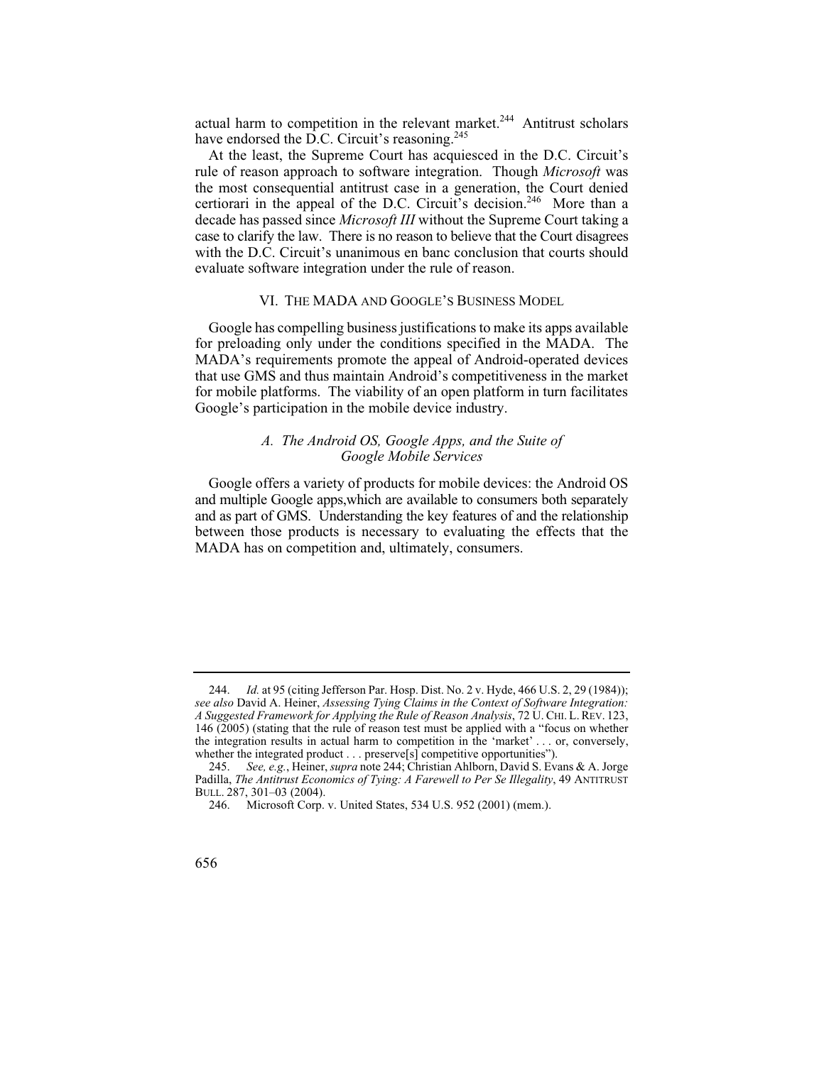actual harm to competition in the relevant market.<sup>244</sup> Antitrust scholars have endorsed the  $\overline{D}$ .C. Circuit's reasoning.<sup>245</sup>

At the least, the Supreme Court has acquiesced in the D.C. Circuit's rule of reason approach to software integration. Though *Microsoft* was the most consequential antitrust case in a generation, the Court denied certiorari in the appeal of the D.C. Circuit's decision.<sup>246</sup> More than a decade has passed since *Microsoft III* without the Supreme Court taking a case to clarify the law. There is no reason to believe that the Court disagrees with the D.C. Circuit's unanimous en banc conclusion that courts should evaluate software integration under the rule of reason.

#### VI. THE MADA AND GOOGLE'S BUSINESS MODEL

Google has compelling business justifications to make its apps available for preloading only under the conditions specified in the MADA. The MADA's requirements promote the appeal of Android-operated devices that use GMS and thus maintain Android's competitiveness in the market for mobile platforms. The viability of an open platform in turn facilitates Google's participation in the mobile device industry.

# *A. The Android OS, Google Apps, and the Suite of Google Mobile Services*

 and multiple Google apps,which are available to consumers both separately Google offers a variety of products for mobile devices: the Android OS and as part of GMS. Understanding the key features of and the relationship between those products is necessary to evaluating the effects that the MADA has on competition and, ultimately, consumers.

 244. *Id.* at 95 (citing Jefferson Par. Hosp. Dist. No. 2 v. Hyde, 466 U.S. 2, 29 (1984)); *see also* David A. Heiner, *Assessing Tying Claims in the Context of Software Integration: A Suggested Framework for Applying the Rule of Reason Analysis*, 72 U. CHI. L. REV. 123, 146 (2005) (stating that the rule of reason test must be applied with a "focus on whether the integration results in actual harm to competition in the 'market' . . . or, conversely, whether the integrated product . . . preserve[s] competitive opportunities").

 245. *See, e.g.*, Heiner, *supra* note 244; Christian Ahlborn, David S. Evans & A. Jorge Padilla, *The Antitrust Economics of Tying: A Farewell to Per Se Illegality*, 49 ANTITRUST BULL. 287, 301–03 (2004).

<sup>246.</sup> Microsoft Corp. v. United States, 534 U.S. 952 (2001) (mem.).

<sup>656</sup>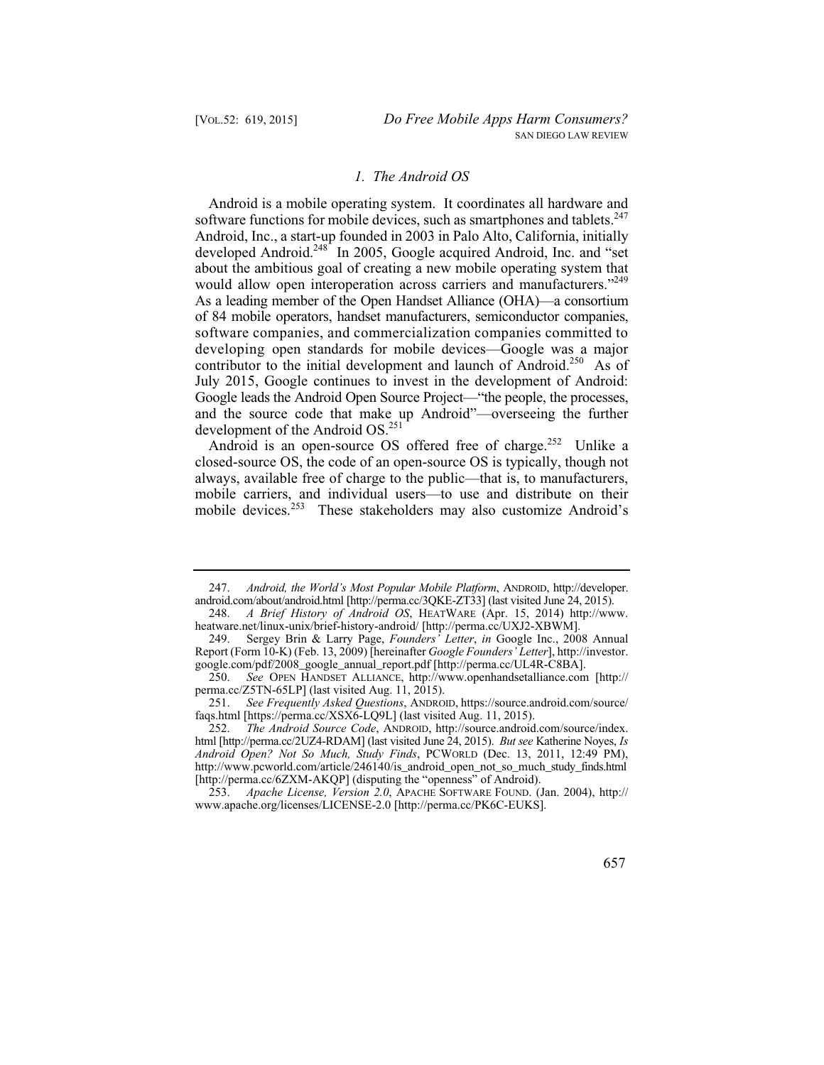# *1. The Android OS*

Android is a mobile operating system. It coordinates all hardware and software functions for mobile devices, such as smartphones and tablets.<sup>247</sup> Android, Inc., a start-up founded in 2003 in Palo Alto, California, initially developed Android.<sup>248</sup> In 2005, Google acquired Android, Inc. and "set about the ambitious goal of creating a new mobile operating system that would allow open interoperation across carriers and manufacturers."<sup>249</sup> As a leading member of the Open Handset Alliance (OHA)—a consortium of 84 mobile operators, handset manufacturers, semiconductor companies, software companies, and commercialization companies committed to developing open standards for mobile devices—Google was a major contributor to the initial development and launch of Android.<sup>250</sup> As of July 2015, Google continues to invest in the development of Android: Google leads the Android Open Source Project—"the people, the processes, and the source code that make up Android"—overseeing the further development of the Android OS.251

Android is an open-source OS offered free of charge.<sup>252</sup> Unlike a closed-source OS, the code of an open-source OS is typically, though not always, available free of charge to the public—that is, to manufacturers, mobile carriers, and individual users—to use and distribute on their mobile devices.<sup>253</sup> These stakeholders may also customize Android's

 247. *Android, the World's Most Popular Mobile Platform*, ANDROID, http://developer. android.com/about/android.html [http://perma.cc/3QKE-ZT33] (last visited June 24, 2015).<br>248. A Brief History of Android OS, HEATWARE (Apr. 15, 2014) http://ww

 248. *A Brief History of Android OS*, HEATWARE (Apr. 15, 2014) http://www. heatware.net/linux-unix/brief-history-android/ [http://perma.cc/UXJ2-XBWM].

<sup>249.</sup> Sergey Brin & Larry Page, *Founders' Letter*, *in* Google Inc., 2008 Annual Report (Form 10-K) (Feb. 13, 2009) [hereinafter *Google Founders' Letter*], http://investor. google.com/pdf/2008\_google\_annual\_report.pdf [http://perma.cc/UL4R-C8BA].

 250. *See* OPEN HANDSET ALLIANCE, http://www.openhandsetalliance.com [http:// perma.cc/Z5TN-65LP] (last visited Aug. 11, 2015).

 251. *See Frequently Asked Questions*, ANDROID, https://source.android.com/source/ faqs.html [https://perma.cc/XSX6-LQ9L] (last visited Aug. 11, 2015).

 252. *The Android Source Code*, ANDROID, http://source.android.com/source/index. html [http://perma.cc/2UZ4-RDAM] (last visited June 24, 2015). *But see* Katherine Noyes, *Is Android Open? Not So Much, Study Finds*, PCWORLD (Dec. 13, 2011, 12:49 PM), http://www.pcworld.com/article/246140/is\_android\_open\_not\_so\_much\_study\_finds.html [http://perma.cc/6ZXM-AKQP] (disputing the "openness" of Android).

 253. *Apache License, Version 2.0*, APACHE SOFTWARE FOUND. (Jan. 2004), http:// www.apache.org/licenses/LICENSE-2.0 [http://perma.cc/PK6C-EUKS].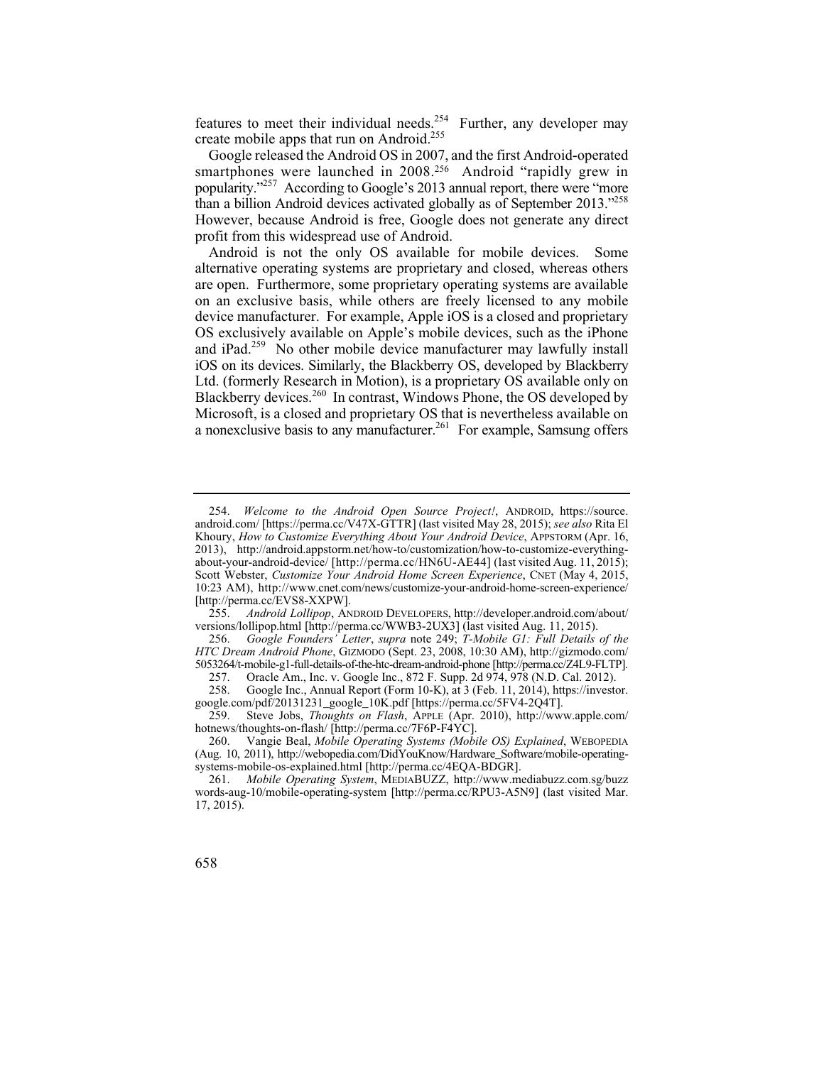features to meet their individual needs.<sup>254</sup> Further, any developer may create mobile apps that run on Android.<sup>255</sup>

Google released the Android OS in 2007, and the first Android-operated smartphones were launched in 2008.<sup>256</sup> Android "rapidly grew in popularity."257 According to Google's 2013 annual report, there were "more than a billion Android devices activated globally as of September 2013."258 However, because Android is free, Google does not generate any direct profit from this widespread use of Android.

Android is not the only OS available for mobile devices. Some alternative operating systems are proprietary and closed, whereas others are open. Furthermore, some proprietary operating systems are available on an exclusive basis, while others are freely licensed to any mobile device manufacturer. For example, Apple iOS is a closed and proprietary OS exclusively available on Apple's mobile devices, such as the iPhone and iPad.259 No other mobile device manufacturer may lawfully install iOS on its devices. Similarly, the Blackberry OS, developed by Blackberry Ltd. (formerly Research in Motion), is a proprietary OS available only on Blackberry devices.<sup>260</sup> In contrast, Windows Phone, the OS developed by Microsoft, is a closed and proprietary OS that is nevertheless available on a nonexclusive basis to any manufacturer.<sup>261</sup> For example, Samsung offers

 about-your-android-device/ [http://perma.cc/HN6U-AE44] (last visited Aug. 11, 2015); 254. *Welcome to the Android Open Source Project!*, ANDROID, https://source. android.com/ [https://perma.cc/V47X-GTTR] (last visited May 28, 2015); *see also* Rita El Khoury, *How to Customize Everything About Your Android Device*, APPSTORM (Apr. 16, 2013), http://android.appstorm.net/how-to/customization/how-to-customize-everything-Scott Webster, *Customize Your Android Home Screen Experience*, CNET (May 4, 2015, 10:23 AM), http://www.cnet.com/news/customize-your-android-home-screen-experience/ [http://perma.cc/EVS8-XXPW].<br>255. Android Lollipop, AN

 255. *Android Lollipop*, ANDROID DEVELOPERS, http://developer.android.com/about/ versions/lollipop.html [http://perma.cc/WWB3-2UX3] (last visited Aug. 11, 2015).

 256. *Google Founders' Letter*, *supra* note 249; *T-Mobile G1: Full Details of the HTC Dream Android Phone*, GIZMODO (Sept. 23, 2008, 10:30 AM), http://gizmodo.com/ 5053264/t-mobile-g1-full-details-of-the-htc-dream-android-phone [http://perma.cc/Z4L9-FLTP].

<sup>257.</sup> Oracle Am., Inc. v. Google Inc., 872 F. Supp. 2d 974, 978 (N.D. Cal. 2012).<br>258. Google Inc., Annual Report (Form 10-K), at 3 (Feb. 11, 2014), https://investo

Google Inc., Annual Report (Form 10-K), at 3 (Feb. 11, 2014), https://investor. google.com/pdf/20131231\_google\_10K.pdf [https://perma.cc/5FV4-2Q4T].<br>259. Steve Jobs. Thoughts on Flash. APPLE (Apr. 2010). http://ww

 259. Steve Jobs, *Thoughts on Flash*, APPLE (Apr. 2010), http://www.apple.com/ hotnews/thoughts-on-flash/ [http://perma.cc/7F6P-F4YC].

<sup>260.</sup> Vangie Beal, *Mobile Operating Systems (Mobile OS) Explained*, WEBOPEDIA (Aug. 10, 2011), http://webopedia.com/DidYouKnow/Hardware\_Software/mobile-operatingsystems-mobile-os-explained.html [http://perma.cc/4EQA-BDGR].

<sup>261.</sup> *Mobile Operating System*, MEDIABUZZ, http://www.mediabuzz.com.sg/buzz words-aug-10/mobile-operating-system [http://perma.cc/RPU3-A5N9] (last visited Mar. 17, 2015).

<sup>658</sup>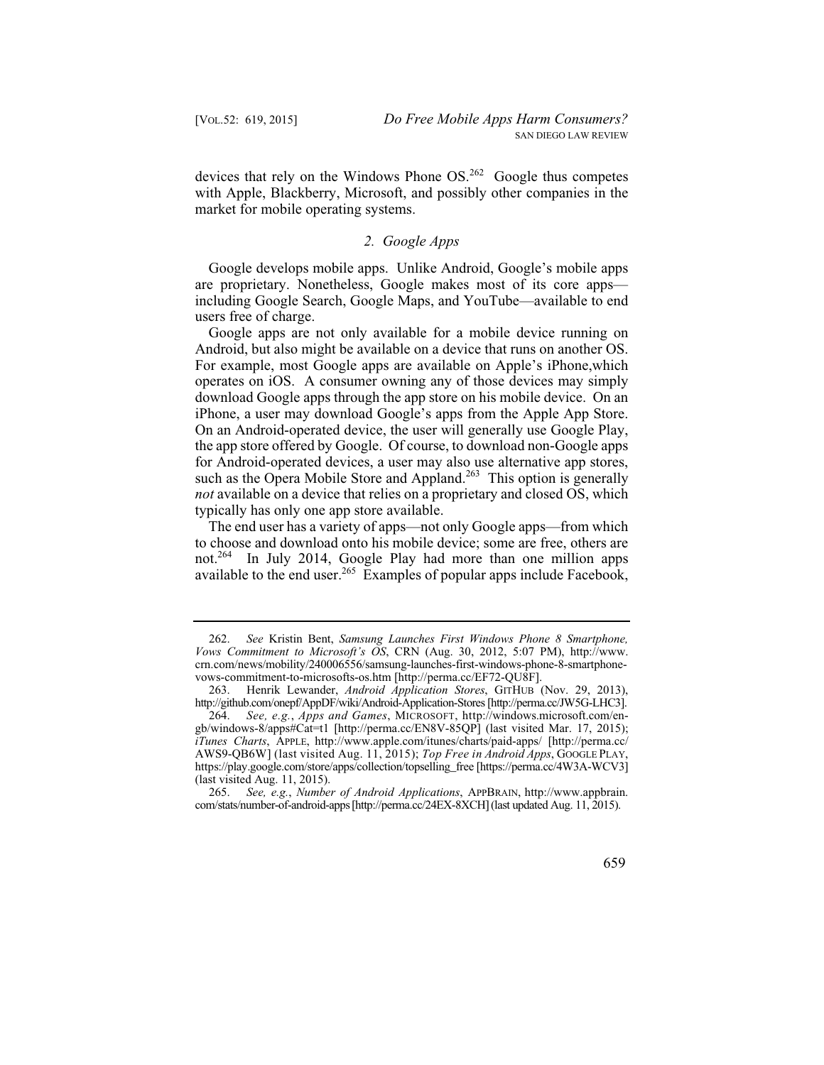devices that rely on the Windows Phone  $OS<sup>262</sup>$  Google thus competes with Apple, Blackberry, Microsoft, and possibly other companies in the market for mobile operating systems.

# *2. Google Apps*

Google develops mobile apps. Unlike Android, Google's mobile apps are proprietary. Nonetheless, Google makes most of its core apps including Google Search, Google Maps, and YouTube—available to end users free of charge.

Google apps are not only available for a mobile device running on Android, but also might be available on a device that runs on another OS. For example, most Google apps are available on Apple's iPhone,which operates on iOS. A consumer owning any of those devices may simply download Google apps through the app store on his mobile device. On an iPhone, a user may download Google's apps from the Apple App Store. On an Android-operated device, the user will generally use Google Play, the app store offered by Google. Of course, to download non-Google apps for Android-operated devices, a user may also use alternative app stores, such as the Opera Mobile Store and Appland.<sup>263</sup> This option is generally *not* available on a device that relies on a proprietary and closed OS, which typically has only one app store available.

available to the end user.<sup>265</sup> Examples of popular apps include Facebook, The end user has a variety of apps—not only Google apps—from which to choose and download onto his mobile device; some are free, others are not.264 In July 2014, Google Play had more than one million apps

 262. *See* Kristin Bent, *Samsung Launches First Windows Phone 8 Smartphone, Vows Commitment to Microsoft's OS*, CRN (Aug. 30, 2012, 5:07 PM), http://www. crn.com/news/mobility/240006556/samsung-launches-first-windows-phone-8-smartphonevows-commitment-to-microsofts-os.htm [http://perma.cc/EF72-QU8F].

 263. Henrik Lewander, *Android Application Stores*, GITHUB (Nov. 29, 2013), http://github.com/onepf/AppDF/wiki/Android-Application-Stores [http://perma.cc/JW5G-LHC3].

 264. *See, e.g.*, *Apps and Games*, MICROSOFT, http://windows.microsoft.com/en- AWS9-QB6W] (last visited Aug. 11, 2015); *Top Free in Android Apps*, GOOGLE PLAY, gb/windows-8/apps#Cat=t1 [http://perma.cc/EN8V-85QP] (last visited Mar. 17, 2015); *iTunes Charts*, APPLE, http://www.apple.com/itunes/charts/paid-apps/ [http://perma.cc/ https://play.google.com/store/apps/collection/topselling\_free [https://perma.cc/4W3A-WCV3] (last visited Aug. 11, 2015).

 265. *See, e.g.*, *Number of Android Applications*, APPBRAIN, http://www.appbrain. com/stats/number-of-android-apps [http://perma.cc/24EX-8XCH] (last updated Aug. 11, 2015).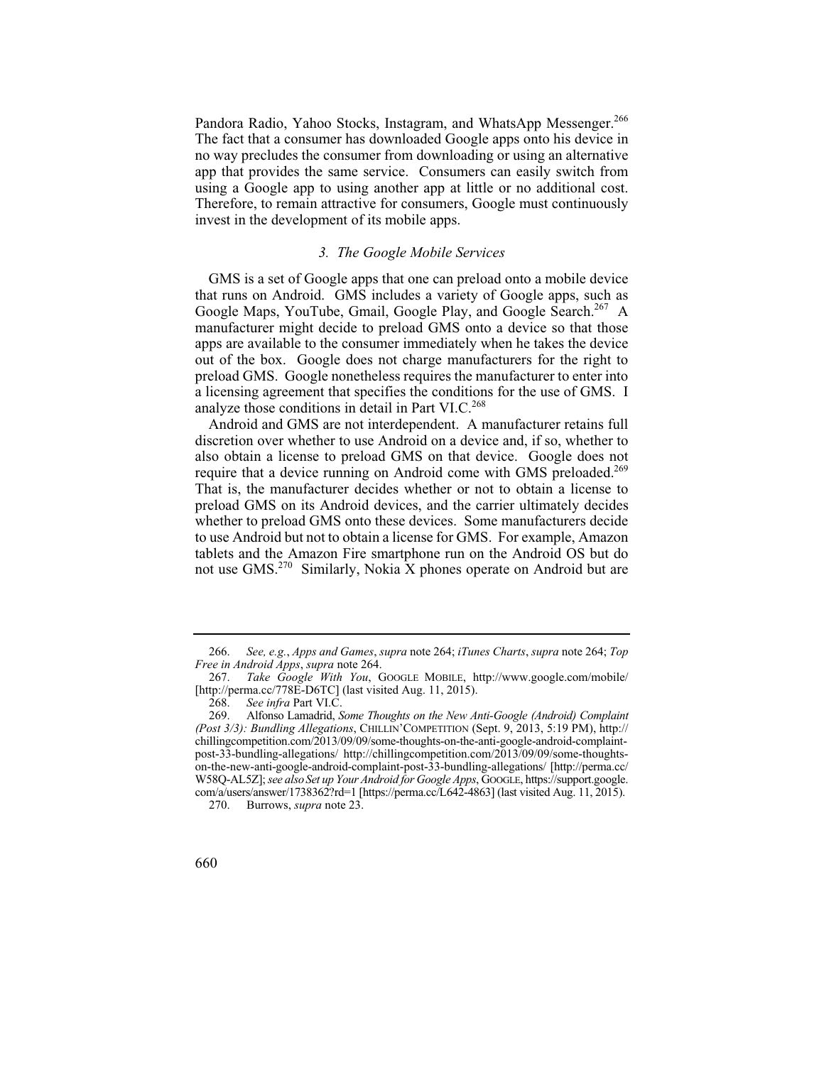Pandora Radio, Yahoo Stocks, Instagram, and WhatsApp Messenger.<sup>266</sup> The fact that a consumer has downloaded Google apps onto his device in no way precludes the consumer from downloading or using an alternative app that provides the same service. Consumers can easily switch from using a Google app to using another app at little or no additional cost. Therefore, to remain attractive for consumers, Google must continuously invest in the development of its mobile apps.

#### *3. The Google Mobile Services*

Google Maps, YouTube, Gmail, Google Play, and Google Search.<sup>267</sup> A GMS is a set of Google apps that one can preload onto a mobile device that runs on Android. GMS includes a variety of Google apps, such as manufacturer might decide to preload GMS onto a device so that those apps are available to the consumer immediately when he takes the device out of the box. Google does not charge manufacturers for the right to preload GMS. Google nonetheless requires the manufacturer to enter into a licensing agreement that specifies the conditions for the use of GMS. I analyze those conditions in detail in Part VI.C.<sup>268</sup>

Android and GMS are not interdependent. A manufacturer retains full discretion over whether to use Android on a device and, if so, whether to also obtain a license to preload GMS on that device. Google does not require that a device running on Android come with GMS preloaded.<sup>269</sup> That is, the manufacturer decides whether or not to obtain a license to preload GMS on its Android devices, and the carrier ultimately decides whether to preload GMS onto these devices. Some manufacturers decide to use Android but not to obtain a license for GMS. For example, Amazon tablets and the Amazon Fire smartphone run on the Android OS but do not use GMS.<sup>270</sup> Similarly, Nokia  $X$  phones operate on Android but are

 270. Burrows, *supra* note 23.



 266. *See, e.g.*, *Apps and Games*, *supra* note 264; *iTunes Charts*, *supra* note 264; *Top Free in Android Apps*, *supra* note 264.

 267. *Take Google With You*, GOOGLE MOBILE, http://www.google.com/mobile/ [http://perma.cc/778E-D6TC] (last visited Aug. 11, 2015).

 268. *See infra* Part VI.C.

 269. Alfonso Lamadrid, *Some Thoughts on the New Anti-Google (Android) Complaint*  W58Q-AL5Z]; *see also Set up Your Android for Google Apps*, GOOGLE, https://support.google. *(Post 3/3): Bundling Allegations*, CHILLIN'COMPETITION (Sept. 9, 2013, 5:19 PM), http:// chillingcompetition.com/2013/09/09/some-thoughts-on-the-anti-google-android-complaintpost-33-bundling-allegations/ http://chillingcompetition.com/2013/09/09/some-thoughtson-the-new-anti-google-android-complaint-post-33-bundling-allegations/ [http://perma.cc/ com/a/users/answer/1738362?rd=1 [https://perma.cc/L642-4863] (last visited Aug. 11, 2015).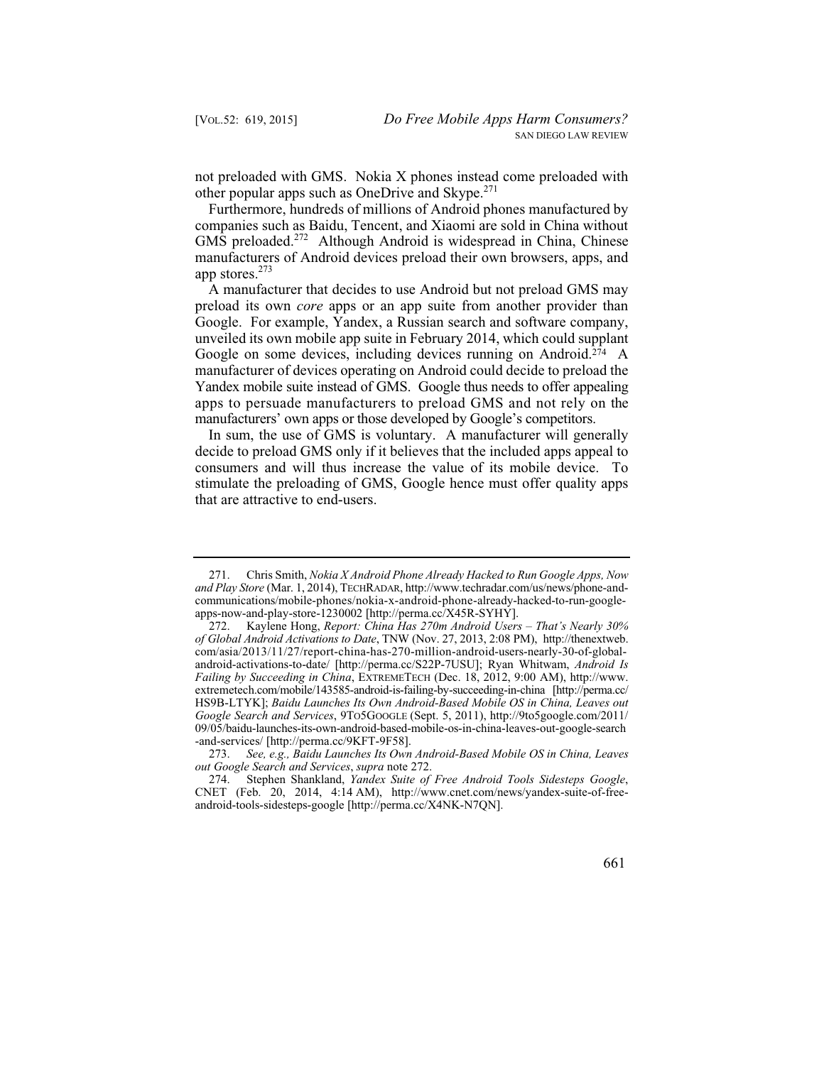not preloaded with GMS. Nokia X phones instead come preloaded with other popular apps such as OneDrive and Skype.<sup>271</sup>

Furthermore, hundreds of millions of Android phones manufactured by companies such as Baidu, Tencent, and Xiaomi are sold in China without GMS preloaded.<sup>272</sup> Although Android is widespread in China, Chinese manufacturers of Android devices preload their own browsers, apps, and app stores.<sup>273</sup>

 apps to persuade manufacturers to preload GMS and not rely on the A manufacturer that decides to use Android but not preload GMS may preload its own *core* apps or an app suite from another provider than Google. For example, Yandex, a Russian search and software company, unveiled its own mobile app suite in February 2014, which could supplant Google on some devices, including devices running on Android.274 A manufacturer of devices operating on Android could decide to preload the Yandex mobile suite instead of GMS. Google thus needs to offer appealing manufacturers' own apps or those developed by Google's competitors.

In sum, the use of GMS is voluntary. A manufacturer will generally decide to preload GMS only if it believes that the included apps appeal to consumers and will thus increase the value of its mobile device. To stimulate the preloading of GMS, Google hence must offer quality apps that are attractive to end-users.

 274. Stephen Shankland, *Yandex Suite of Free Android Tools Sidesteps Google*, CNET (Feb. 20, 2014, 4:14 AM), http://www.cnet.com/news/yandex-suite-of-freeandroid-tools-sidesteps-google [http://perma.cc/X4NK-N7QN].



 271. Chris Smith, *Nokia X Android Phone Already Hacked to Run Google Apps, Now and Play Store* (Mar. 1, 2014), TECHRADAR, http://www.techradar.com/us/news/phone-andcommunications/mobile-phones/nokia-x-android-phone-already-hacked-to-run-googleapps-now-and-play-store-1230002 [http://perma.cc/X45R-SYHY].

 272. Kaylene Hong, *Report: China Has 270m Android Users – That's Nearly 30% of Global Android Activations to Date*, TNW (Nov. 27, 2013, 2:08 PM), http://thenextweb. com/asia/2013/11/27/report-china-has-270-million-android-users-nearly-30-of-globalandroid-activations-to-date/ [http://perma.cc/S22P-7USU]; Ryan Whitwam, *Android Is Failing by Succeeding in China*, EXTREMETECH (Dec. 18, 2012, 9:00 AM), http://www. extremetech.com/mobile/143585-android-is-failing-by-succeeding-in-china [http://perma.cc/ HS9B-LTYK]; *Baidu Launches Its Own Android-Based Mobile OS in China, Leaves out Google Search and Services*, 9TO5GOOGLE (Sept. 5, 2011), http://9to5google.com/2011/ 09/05/baidu-launches-its-own-android-based-mobile-os-in-china-leaves-out-google-search -and-services/ [http://perma.cc/9KFT-9F58].

 273. *See, e.g., Baidu Launches Its Own Android-Based Mobile OS in China, Leaves out Google Search and Services*, *supra* note 272.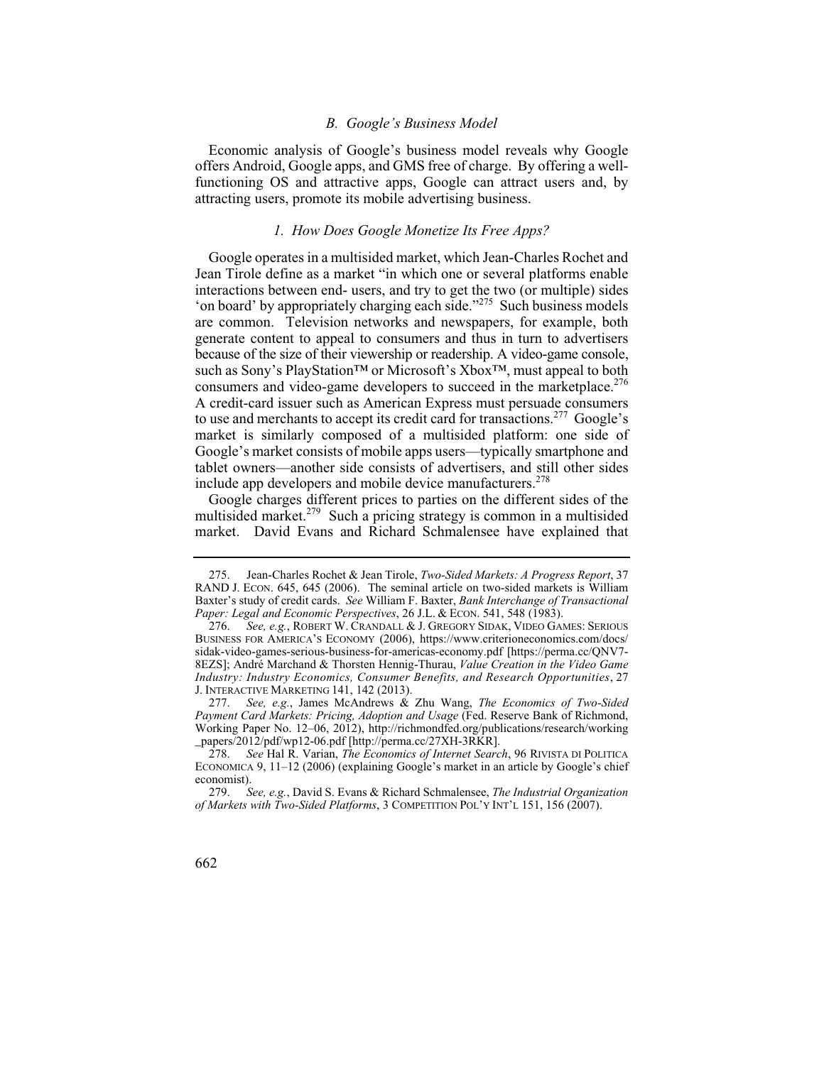### *B. Google's Business Model*

Economic analysis of Google's business model reveals why Google offers Android, Google apps, and GMS free of charge. By offering a wellfunctioning OS and attractive apps, Google can attract users and, by attracting users, promote its mobile advertising business.

### *1. How Does Google Monetize Its Free Apps?*

Google operates in a multisided market, which Jean-Charles Rochet and Jean Tirole define as a market "in which one or several platforms enable interactions between end- users, and try to get the two (or multiple) sides 'on board' by appropriately charging each side."<sup>275</sup> Such business models are common. Television networks and newspapers, for example, both generate content to appeal to consumers and thus in turn to advertisers because of the size of their viewership or readership. A video-game console, such as Sony's PlayStation™ or Microsoft's Xbox™, must appeal to both consumers and video-game developers to succeed in the marketplace.<sup>276</sup> A credit-card issuer such as American Express must persuade consumers to use and merchants to accept its credit card for transactions.<sup>277</sup> Google's market is similarly composed of a multisided platform: one side of Google's market consists of mobile apps users—typically smartphone and tablet owners—another side consists of advertisers, and still other sides include app developers and mobile device manufacturers.<sup>278</sup>

Google charges different prices to parties on the different sides of the multisided market.<sup>279</sup> Such a pricing strategy is common in a multisided market. David Evans and Richard Schmalensee have explained that

 Baxter's study of credit cards. *See* William F. Baxter, *Bank Interchange of Transactional*  275. Jean-Charles Rochet & Jean Tirole, *Two-Sided Markets: A Progress Report*, 37 RAND J. ECON. 645, 645 (2006). The seminal article on two-sided markets is William *Paper: Legal and Economic Perspectives*, 26 J.L. & ECON. 541, 548 (1983).

 276. *See, e.g.*, ROBERT W. CRANDALL & J. GREGORY SIDAK, VIDEO GAMES: SERIOUS BUSINESS FOR AMERICA'S ECONOMY (2006), https://www.criterioneconomics.com/docs/ sidak-video-games-serious-business-for-americas-economy.pdf [https://perma.cc/QNV7 8EZS]; André Marchand & Thorsten Hennig-Thurau, *Value Creation in the Video Game Industry: Industry Economics, Consumer Benefits, and Research Opportunities*, 27 J. INTERACTIVE MARKETING 141, 142 (2013).

 277. *See, e.g.*, James McAndrews & Zhu Wang, *The Economics of Two-Sided Payment Card Markets: Pricing, Adoption and Usage* (Fed. Reserve Bank of Richmond, Working Paper No. 12–06, 2012), http://richmondfed.org/publications/research/working \_papers/2012/pdf/wp12-06.pdf [http://perma.cc/27XH-3RKR].

 278. *See* Hal R. Varian, *The Economics of Internet Search*, 96 RIVISTA DI POLITICA ECONOMICA 9, 11–12 (2006) (explaining Google's market in an article by Google's chief economist).<br>279. S

 279. *See, e.g.*, David S. Evans & Richard Schmalensee, *The Industrial Organization of Markets with Two-Sided Platforms*, 3 COMPETITION POL'Y INT'L 151, 156 (2007).

<sup>662</sup>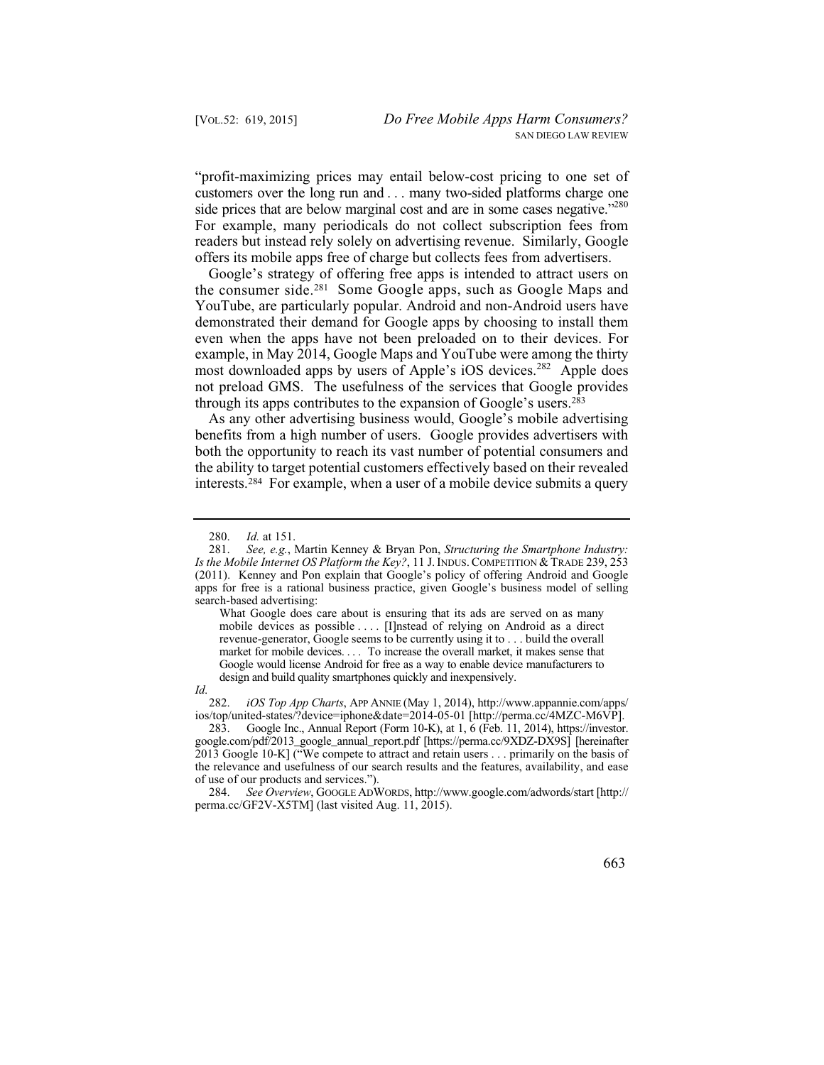customers over the long run and . . . many two-sided platforms charge one readers but instead rely solely on advertising revenue. Similarly, Google "profit-maximizing prices may entail below-cost pricing to one set of side prices that are below marginal cost and are in some cases negative."<sup>280</sup> For example, many periodicals do not collect subscription fees from offers its mobile apps free of charge but collects fees from advertisers.

Google's strategy of offering free apps is intended to attract users on the consumer side.281 Some Google apps, such as Google Maps and YouTube, are particularly popular. Android and non-Android users have demonstrated their demand for Google apps by choosing to install them even when the apps have not been preloaded on to their devices. For example, in May 2014, Google Maps and YouTube were among the thirty most downloaded apps by users of Apple's iOS devices.<sup>282</sup> Apple does not preload GMS. The usefulness of the services that Google provides through its apps contributes to the expansion of Google's users.283

As any other advertising business would, Google's mobile advertising benefits from a high number of users. Google provides advertisers with both the opportunity to reach its vast number of potential consumers and the ability to target potential customers effectively based on their revealed interests.284 For example, when a user of a mobile device submits a query

 revenue-generator, Google seems to be currently using it to . . . build the overall market for mobile devices. . . . To increase the overall market, it makes sense that Google would license Android for free as a way to enable device manufacturers to What Google does care about is ensuring that its ads are served on as many mobile devices as possible . . . . [I]nstead of relying on Android as a direct design and build quality smartphones quickly and inexpensively.

 282. *iOS Top App Charts*, APP ANNIE (May 1, 2014), http://www.appannie.com/apps/ *Id*. ios/top/united-states/?device=iphone&date=2014-05-01 [http://perma.cc/4MZC-M6VP].

283. Google Inc., Annual Report (Form 10-K), at 1, 6 (Feb. 11, 2014), https://investor. google.com/pdf/2013\_google\_annual\_report.pdf [https://perma.cc/9XDZ-DX9S] [hereinafter 2013 Google 10-K] ("We compete to attract and retain users . . . primarily on the basis of the relevance and usefulness of our search results and the features, availability, and ease of use of our products and services.").

 280. *Id.* at 151.

 281. *See, e.g.*, Martin Kenney & Bryan Pon, *Structuring the Smartphone Industry:*  apps for free is a rational business practice, given Google's business model of selling *Is the Mobile Internet OS Platform the Key?*, 11 J. INDUS. COMPETITION & TRADE 239, 253 (2011). Kenney and Pon explain that Google's policy of offering Android and Google search-based advertising:

<sup>284.</sup> *See Overview*, GOOGLE ADWORDS, http://www.google.com/adwords/start [http:// perma.cc/GF2V-X5TM] (last visited Aug. 11, 2015).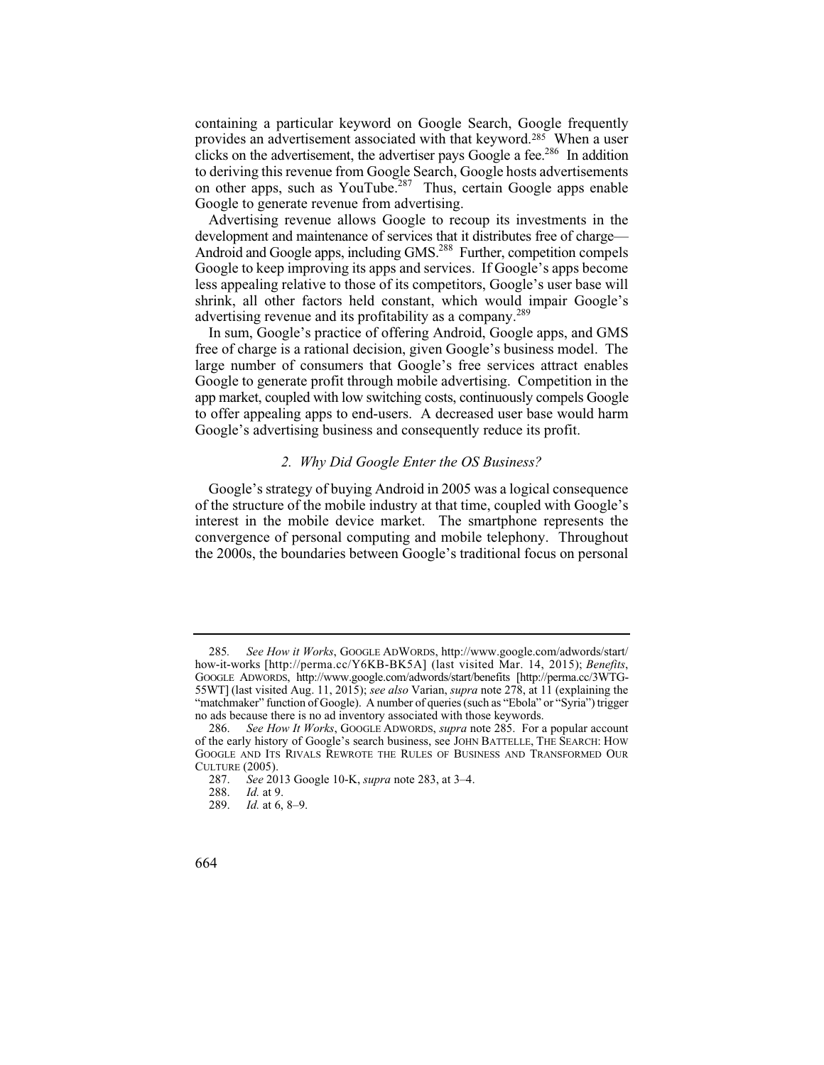clicks on the advertisement, the advertiser pays Google a fee.<sup>286</sup> In addition containing a particular keyword on Google Search, Google frequently provides an advertisement associated with that keyword.285 When a user to deriving this revenue from Google Search, Google hosts advertisements on other apps, such as YouTube.<sup>287</sup> Thus, certain Google apps enable Google to generate revenue from advertising.

Advertising revenue allows Google to recoup its investments in the development and maintenance of services that it distributes free of charge— Android and Google apps, including GMS.<sup>288</sup> Further, competition compels Google to keep improving its apps and services. If Google's apps become less appealing relative to those of its competitors, Google's user base will shrink, all other factors held constant, which would impair Google's advertising revenue and its profitability as a company.<sup>289</sup>

In sum, Google's practice of offering Android, Google apps, and GMS free of charge is a rational decision, given Google's business model. The large number of consumers that Google's free services attract enables Google to generate profit through mobile advertising. Competition in the app market, coupled with low switching costs, continuously compels Google to offer appealing apps to end-users. A decreased user base would harm Google's advertising business and consequently reduce its profit.

# *2. Why Did Google Enter the OS Business?*

Google's strategy of buying Android in 2005 was a logical consequence of the structure of the mobile industry at that time, coupled with Google's interest in the mobile device market. The smartphone represents the convergence of personal computing and mobile telephony. Throughout the 2000s, the boundaries between Google's traditional focus on personal

 285*. See How it Works*, GOOGLE ADWORDS, http://www.google.com/adwords/start/ how-it-works [http://perma.cc/Y6KB-BK5A] (last visited Mar. 14, 2015); *Benefits*, GOOGLE ADWORDS, http://www.google.com/adwords/start/benefits [http://perma.cc/3WTG-55WT] (last visited Aug. 11, 2015); *see also* Varian, *supra* note 278, at 11 (explaining the "matchmaker" function of Google). A number of queries (such as "Ebola" or "Syria") trigger no ads because there is no ad inventory associated with those keywords.

 286. *See How It Works*, GOOGLE ADWORDS, *supra* note 285. For a popular account of the early history of Google's search business, see JOHN BATTELLE, THE SEARCH: HOW GOOGLE AND ITS RIVALS REWROTE THE RULES OF BUSINESS AND TRANSFORMED OUR CULTURE (2005).

 287. *See* 2013 Google 10-K, *supra* note 283, at 3–4.

 288. *Id.* at 9.

 289. *Id.* at 6, 8–9.

<sup>664</sup>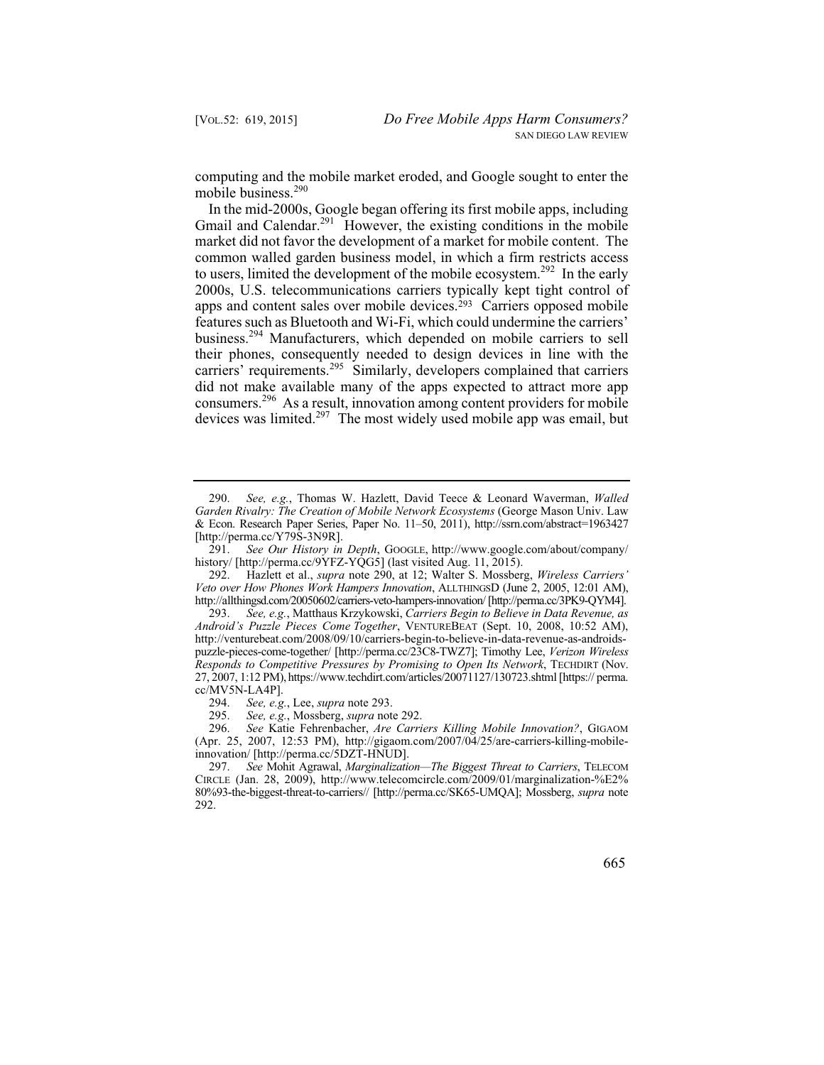computing and the mobile market eroded, and Google sought to enter the mobile business.<sup>290</sup>

 consumers.296 As a result, innovation among content providers for mobile In the mid-2000s, Google began offering its first mobile apps, including Gmail and Calendar.<sup>291</sup> However, the existing conditions in the mobile market did not favor the development of a market for mobile content. The common walled garden business model, in which a firm restricts access to users, limited the development of the mobile ecosystem.<sup>292</sup> In the early 2000s, U.S. telecommunications carriers typically kept tight control of apps and content sales over mobile devices.<sup>293</sup> Carriers opposed mobile features such as Bluetooth and Wi-Fi, which could undermine the carriers' business.294 Manufacturers, which depended on mobile carriers to sell their phones, consequently needed to design devices in line with the carriers' requirements.<sup>295</sup> Similarly, developers complained that carriers did not make available many of the apps expected to attract more app devices was limited.<sup>297</sup> The most widely used mobile app was email, but

 291. *See Our History in Depth*, GOOGLE, http://www.google.com/about/company/ history/ [http://perma.cc/9YFZ-YQG5] (last visited Aug. 11, 2015).

 *Veto over How Phones Work Hampers Innovation*, ALLTHINGSD (June 2, 2005, 12:01 AM), 292. Hazlett et al., *supra* note 290, at 12; Walter S. Mossberg, *Wireless Carriers'*  http://allthingsd.com/20050602/carriers-veto-hampers-innovation/ [http://perma.cc/3PK9-QYM4].<br>293. See, e.g., Matthaus Krzykowski, Carriers Begin to Believe in Data Revenue, as

 293. *See, e.g.*, Matthaus Krzykowski, *Carriers Begin to Believe in Data Revenue, as Android's Puzzle Pieces Come Together*, VENTUREBEAT (Sept. 10, 2008, 10:52 AM), http://venturebeat.com/2008/09/10/carriers-begin-to-believe-in-data-revenue-as-androidspuzzle-pieces-come-together/ [http://perma.cc/23C8-TWZ7]; Timothy Lee, *Verizon Wireless Responds to Competitive Pressures by Promising to Open Its Network*, TECHDIRT (Nov. 27, 2007, 1:12 PM), https://www.techdirt.com/articles/20071127/130723.shtml [https:// perma. cc/MV5N-LA4P].

294. *See, e.g.*, Lee, *supra* note 293.

295. *See, e.g.*, Mossberg, *supra* note 292.

 296. *See* Katie Fehrenbacher, *Are Carriers Killing Mobile Innovation?*, GIGAOM (Apr. 25, 2007, 12:53 PM), http://gigaom.com/2007/04/25/are-carriers-killing-mobileinnovation/ [http://perma.cc/5DZT-HNUD].

 297. *See* Mohit Agrawal, *Marginalization—The Biggest Threat to Carriers*, TELECOM CIRCLE (Jan. 28, 2009), http://www.telecomcircle.com/2009/01/marginalization-%E2% 80%93-the-biggest-threat-to-carriers// [http://perma.cc/SK65-UMQA]; Mossberg, *supra* note 292.

 290. *See, e.g.*, Thomas W. Hazlett, David Teece & Leonard Waverman, *Walled Garden Rivalry: The Creation of Mobile Network Ecosystems* (George Mason Univ. Law & Econ. Research Paper Series, Paper No. 11–50, 2011), http://ssrn.com/abstract=1963427 [http://perma.cc/Y79S-3N9R].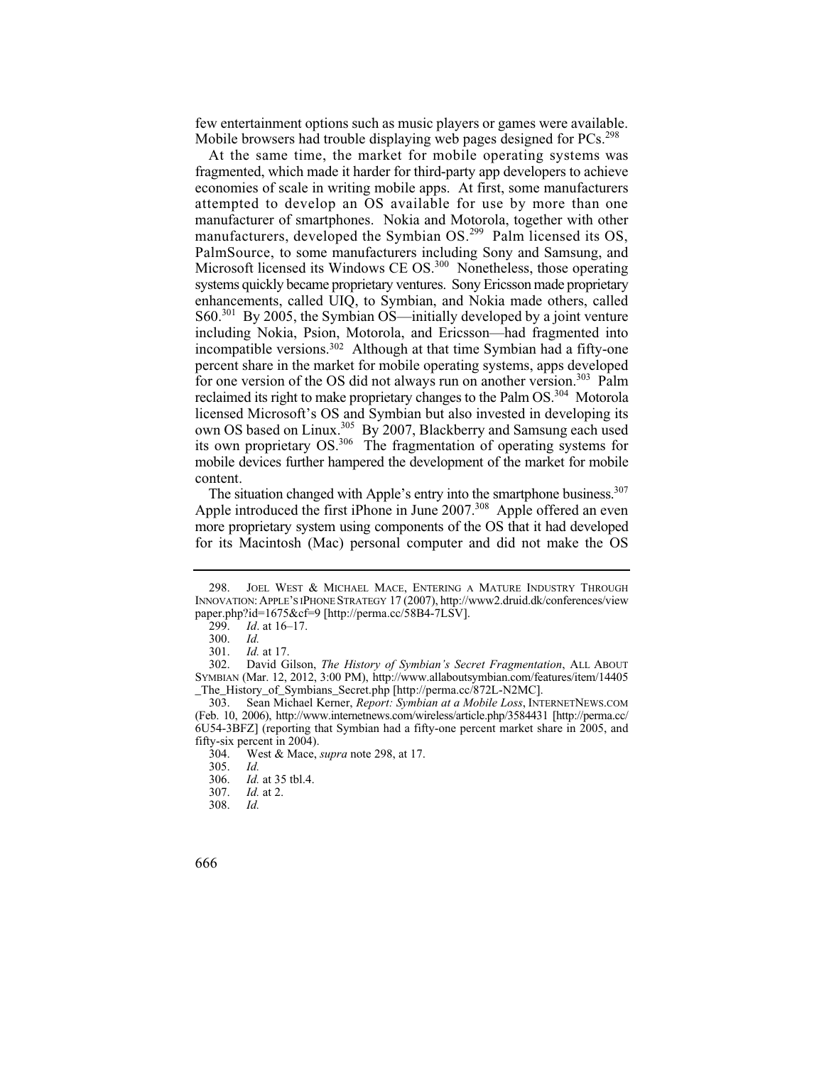few entertainment options such as music players or games were available. Mobile browsers had trouble displaying web pages designed for  $PCs$ <sup>298</sup>

 attempted to develop an OS available for use by more than one own OS based on Linux.<sup>305</sup> By 2007, Blackberry and Samsung each used mobile devices further hampered the development of the market for mobile At the same time, the market for mobile operating systems was fragmented, which made it harder for third-party app developers to achieve economies of scale in writing mobile apps. At first, some manufacturers manufacturer of smartphones. Nokia and Motorola, together with other manufacturers, developed the Symbian OS.<sup>299</sup> Palm licensed its OS, PalmSource, to some manufacturers including Sony and Samsung, and Microsoft licensed its Windows CE OS.<sup>300</sup> Nonetheless, those operating systems quickly became proprietary ventures. Sony Ericsson made proprietary enhancements, called UIQ, to Symbian, and Nokia made others, called S60.301 By 2005, the Symbian OS—initially developed by a joint venture including Nokia, Psion, Motorola, and Ericsson—had fragmented into incompatible versions.302 Although at that time Symbian had a fifty-one percent share in the market for mobile operating systems, apps developed for one version of the OS did not always run on another version.<sup>303</sup> Palm reclaimed its right to make proprietary changes to the Palm OS.304 Motorola licensed Microsoft's OS and Symbian but also invested in developing its its own proprietary OS.<sup>306</sup> The fragmentation of operating systems for content.

The situation changed with Apple's entry into the smartphone business.<sup>307</sup> Apple introduced the first iPhone in June  $2007$ .<sup>308</sup> Apple offered an even more proprietary system using components of the OS that it had developed for its Macintosh (Mac) personal computer and did not make the OS

 298. JOEL WEST & MICHAEL MACE, ENTERING A MATURE INDUSTRY THROUGH INNOVATION: APPLE'S IPHONE STRATEGY 17 (2007), http://www2.druid.dk/conferences/view paper.php?id=1675&cf=9 [http://perma.cc/58B4-7LSV].

 299. *Id*. at 16–17.

Id. 300. *Id.*

 301. *Id.* at 17.

 302. David Gilson, *The History of Symbian's Secret Fragmentation*, ALL ABOUT SYMBIAN (Mar. 12, 2012, 3:00 PM), http://www.allaboutsymbian.com/features/item/14405 \_The\_History\_of\_Symbians\_Secret.php [http://perma.cc/872L-N2MC].

<sup>303.</sup> Sean Michael Kerner, *Report: Symbian at a Mobile Loss*, INTERNETNEWS.COM (Feb. 10, 2006), http://www.internetnews.com/wireless/article.php/3584431 [http://perma.cc/ 6U54-3BFZ] (reporting that Symbian had a fifty-one percent market share in 2005, and fifty-six percent in 2004).

<sup>304.</sup> West & Mace, *supra* note 298, at 17.

Id. 305. *Id.*

 <sup>306.</sup> *Id.* at 35 tbl.4.

 307. *Id.* at 2.

Id. 308. *Id.* 

<sup>666</sup>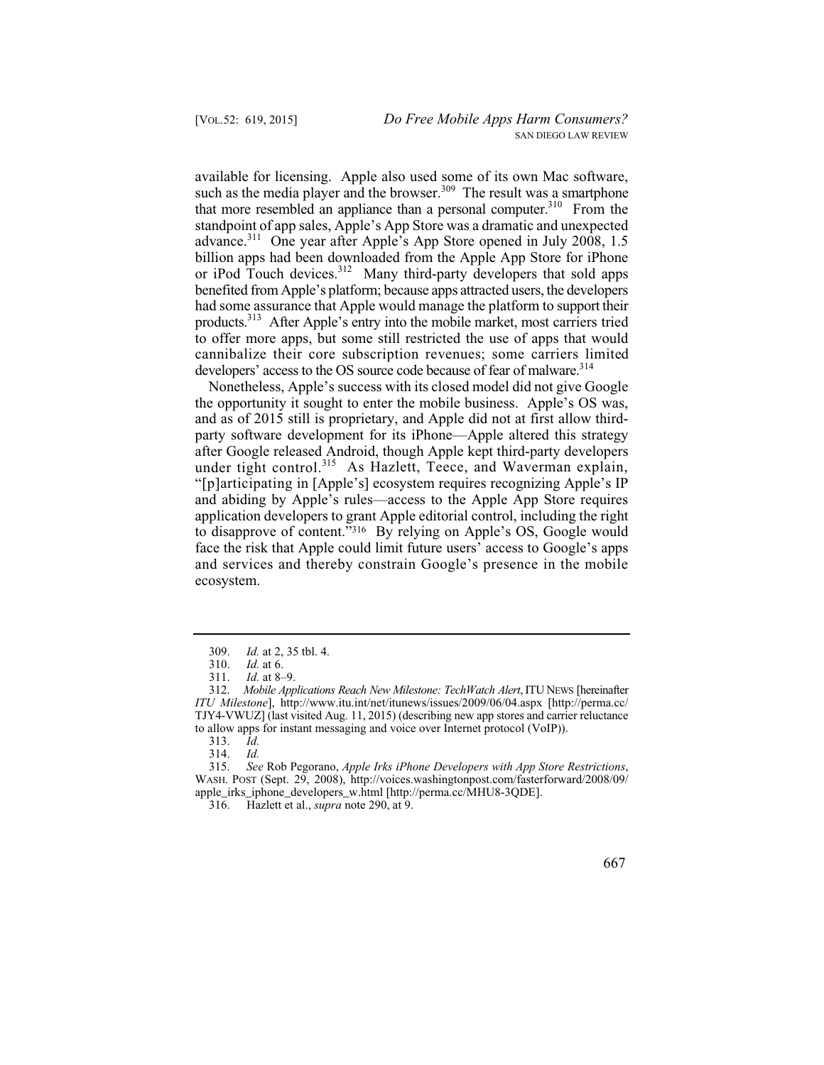or iPod Touch devices.<sup>312</sup> Many third-party developers that sold apps had some assurance that Apple would manage the platform to support their products.<sup>313</sup> After Apple's entry into the mobile market, most carriers tried available for licensing. Apple also used some of its own Mac software, such as the media player and the browser.<sup>309</sup> The result was a smartphone that more resembled an appliance than a personal computer.<sup>310</sup> From the standpoint of app sales, Apple's App Store was a dramatic and unexpected advance.311 One year after Apple's App Store opened in July 2008, 1.5 billion apps had been downloaded from the Apple App Store for iPhone benefited from Apple's platform; because apps attracted users, the developers to offer more apps, but some still restricted the use of apps that would cannibalize their core subscription revenues; some carriers limited developers' access to the OS source code because of fear of malware.<sup>314</sup>

 "[p]articipating in [Apple's] ecosystem requires recognizing Apple's IP Nonetheless, Apple's success with its closed model did not give Google the opportunity it sought to enter the mobile business. Apple's OS was, and as of 2015 still is proprietary, and Apple did not at first allow thirdparty software development for its iPhone—Apple altered this strategy after Google released Android, though Apple kept third-party developers under tight control.<sup>315</sup> As Hazlett, Teece, and Waverman explain, and abiding by Apple's rules—access to the Apple App Store requires application developers to grant Apple editorial control, including the right to disapprove of content."316 By relying on Apple's OS, Google would face the risk that Apple could limit future users' access to Google's apps and services and thereby constrain Google's presence in the mobile ecosystem.

313. *Id.*

314. *Id.*

 315. *See* Rob Pegorano, *Apple Irks iPhone Developers with App Store Restrictions*, WASH. POST (Sept. 29, 2008), http://voices.washingtonpost.com/fasterforward/2008/09/ apple\_irks\_iphone\_developers\_w.html [http://perma.cc/MHU8-3QDE].

316. Hazlett et al., *supra* note 290, at 9.

 309. *Id.* at 2, 35 tbl. 4.

 310. *Id.* at 6.

 311. *Id.* at 8–9.

<sup>312.</sup> *Mobile Applications Reach New Milestone: TechWatch Alert*, ITU NEWS [hereinafter *ITU Milestone*], http://www.itu.int/net/itunews/issues/2009/06/04.aspx [http://perma.cc/ TJY4-VWUZ] (last visited Aug. 11, 2015) (describing new app stores and carrier reluctance to allow apps for instant messaging and voice over Internet protocol (VoIP)).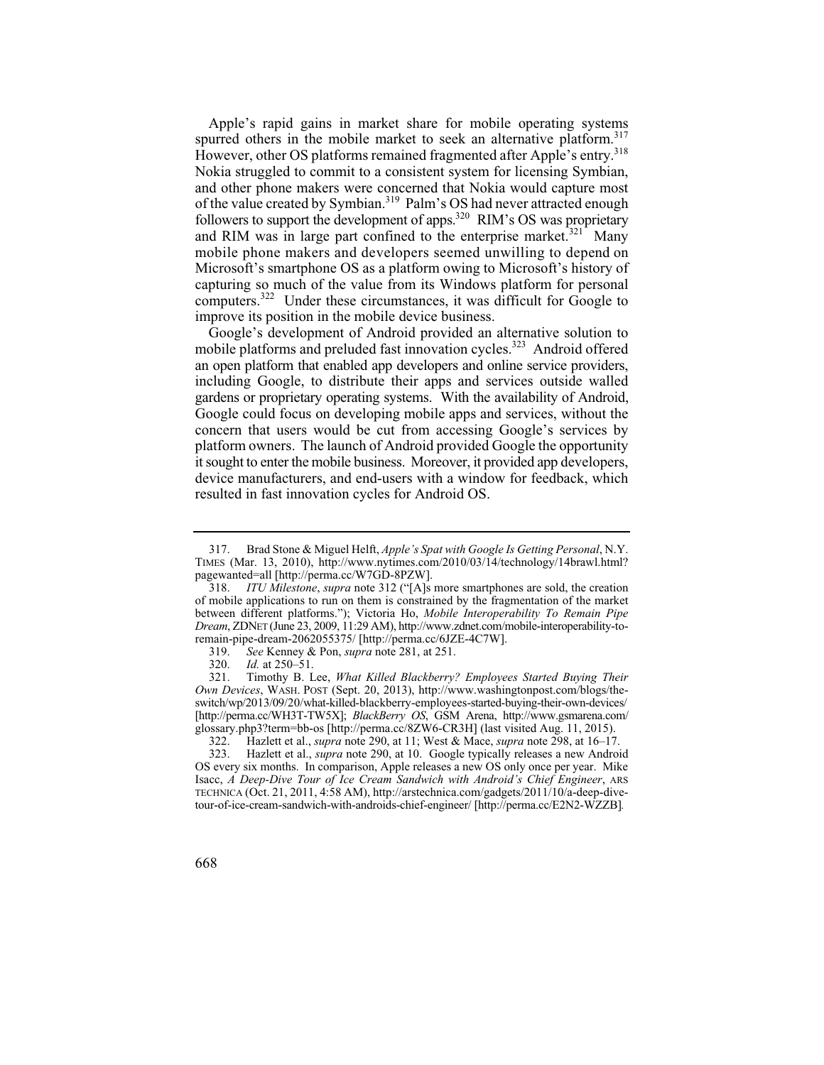mobile phone makers and developers seemed unwilling to depend on Apple's rapid gains in market share for mobile operating systems spurred others in the mobile market to seek an alternative platform.<sup>317</sup> However, other OS platforms remained fragmented after Apple's entry.<sup>318</sup> Nokia struggled to commit to a consistent system for licensing Symbian, and other phone makers were concerned that Nokia would capture most of the value created by Symbian.<sup>319</sup> Palm's OS had never attracted enough followers to support the development of apps.<sup>320</sup> RIM's OS was proprietary and RIM was in large part confined to the enterprise market.<sup>321</sup> Many Microsoft's smartphone OS as a platform owing to Microsoft's history of capturing so much of the value from its Windows platform for personal computers.322 Under these circumstances, it was difficult for Google to improve its position in the mobile device business.

 an open platform that enabled app developers and online service providers, it sought to enter the mobile business. Moreover, it provided app developers, Google's development of Android provided an alternative solution to mobile platforms and preluded fast innovation cycles.<sup>323</sup> Android offered including Google, to distribute their apps and services outside walled gardens or proprietary operating systems. With the availability of Android, Google could focus on developing mobile apps and services, without the concern that users would be cut from accessing Google's services by platform owners. The launch of Android provided Google the opportunity device manufacturers, and end-users with a window for feedback, which resulted in fast innovation cycles for Android OS.

<sup>317.</sup> Brad Stone & Miguel Helft, *Apple's Spat with Google Is Getting Personal*, N.Y. TIMES (Mar. 13, 2010), http://www.nytimes.com/2010/03/14/technology/14brawl.html? pagewanted=all [http://perma.cc/W7GD-8PZW].

 318. *ITU Milestone*, *supra* note 312 ("[A]s more smartphones are sold, the creation of mobile applications to run on them is constrained by the fragmentation of the market between different platforms."); Victoria Ho, *Mobile Interoperability To Remain Pipe Dream*, ZDNET (June 23, 2009, 11:29 AM), http://www.zdnet.com/mobile-interoperability-toremain-pipe-dream-2062055375/ [http://perma.cc/6JZE-4C7W].

 319. *See* Kenney & Pon, *supra* note 281, at 251.

 320. *Id.* at 250–51.

 321. Timothy B. Lee, *What Killed Blackberry? Employees Started Buying Their Own Devices*, WASH. POST (Sept. 20, 2013), http://www.washingtonpost.com/blogs/theswitch/wp/2013/09/20/what-killed-blackberry-employees-started-buying-their-own-devices/ [http://perma.cc/WH3T-TW5X]; *BlackBerry OS*, GSM Arena, http://www.gsmarena.com/ glossary.php3?term=bb-os [http://perma.cc/8ZW6-CR3H] (last visited Aug. 11, 2015).<br>322. Hazlett et al., *supra* note 290, at 11; West & Mace, *supra* note 298, at 16–17

<sup>322.</sup> Hazlett et al., *supra* note 290, at 11; West & Mace, *supra* note 298, at 16–17. 323. Hazlett et al., *supra* note 290, at 10. Google typically releases a new Android OS every six months. In comparison, Apple releases a new OS only once per year. Mike Isacc, *A Deep-Dive Tour of Ice Cream Sandwich with Android's Chief Engineer*, ARS TECHNICA (Oct. 21, 2011, 4:58 AM), http://arstechnica.com/gadgets/2011/10/a-deep-divetour-of-ice-cream-sandwich-with-androids-chief-engineer/ [http://perma.cc/E2N2-WZZB]*.* 

<sup>668</sup>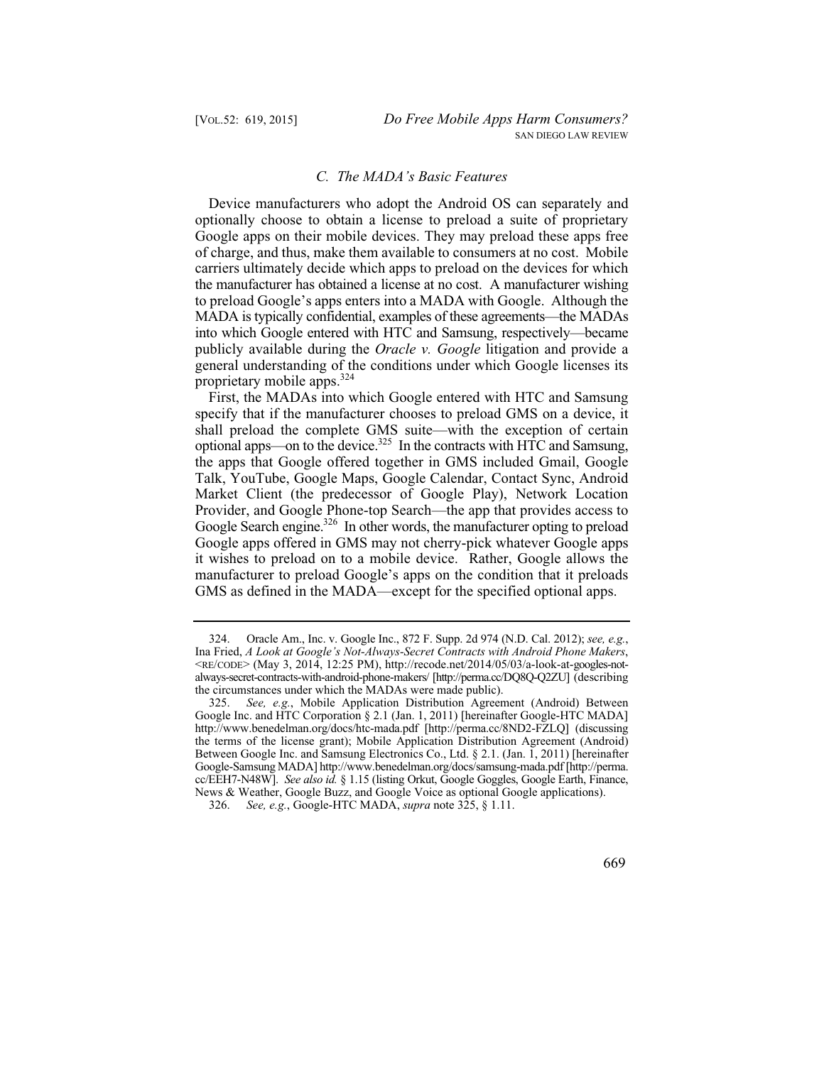# *C. The MADA's Basic Features*

Device manufacturers who adopt the Android OS can separately and optionally choose to obtain a license to preload a suite of proprietary Google apps on their mobile devices. They may preload these apps free of charge, and thus, make them available to consumers at no cost. Mobile carriers ultimately decide which apps to preload on the devices for which the manufacturer has obtained a license at no cost. A manufacturer wishing to preload Google's apps enters into a MADA with Google. Although the MADA is typically confidential, examples of these agreements—the MADAs into which Google entered with HTC and Samsung, respectively—became publicly available during the *Oracle v. Google* litigation and provide a general understanding of the conditions under which Google licenses its proprietary mobile apps.324

optional apps—on to the device.<sup>325</sup> In the contracts with HTC and Samsung, First, the MADAs into which Google entered with HTC and Samsung specify that if the manufacturer chooses to preload GMS on a device, it shall preload the complete GMS suite—with the exception of certain the apps that Google offered together in GMS included Gmail, Google Talk, YouTube, Google Maps, Google Calendar, Contact Sync, Android Market Client (the predecessor of Google Play), Network Location Provider, and Google Phone-top Search—the app that provides access to Google Search engine.<sup>326</sup> In other words, the manufacturer opting to preload Google apps offered in GMS may not cherry-pick whatever Google apps it wishes to preload on to a mobile device. Rather, Google allows the manufacturer to preload Google's apps on the condition that it preloads GMS as defined in the MADA—except for the specified optional apps.

<sup>324.</sup> Oracle Am., Inc. v. Google Inc., 872 F. Supp. 2d 974 (N.D. Cal. 2012); *see, e.g.*, Ina Fried, *A Look at Google's Not-Always-Secret Contracts with Android Phone Makers*, <RE/CODE> (May 3, 2014, 12:25 PM), http://recode.net/2014/05/03/a-look-at-googles-notalways-secret-contracts-with-android-phone-makers/ [http://perma.cc/DQ8Q-Q2ZU] (describing the circumstances under which the MADAs were made public).

 325. *See, e.g.*, Mobile Application Distribution Agreement (Android) Between Google Inc. and HTC Corporation § 2.1 (Jan. 1, 2011) [hereinafter Google-HTC MADA] http://www.benedelman.org/docs/htc-mada.pdf [http://perma.cc/8ND2-FZLQ] (discussing the terms of the license grant); Mobile Application Distribution Agreement (Android) Between Google Inc. and Samsung Electronics Co., Ltd. § 2.1. (Jan. 1, 2011) [hereinafter Google-Samsung MADA] http://www.benedelman.org/docs/samsung-mada.pdf [http://perma. cc/EEH7-N48W]. *See also id.* § 1.15 (listing Orkut, Google Goggles, Google Earth, Finance, News & Weather, Google Buzz, and Google Voice as optional Google applications).

 326. *See, e.g.*, Google-HTC MADA, *supra* note 325, § 1.11.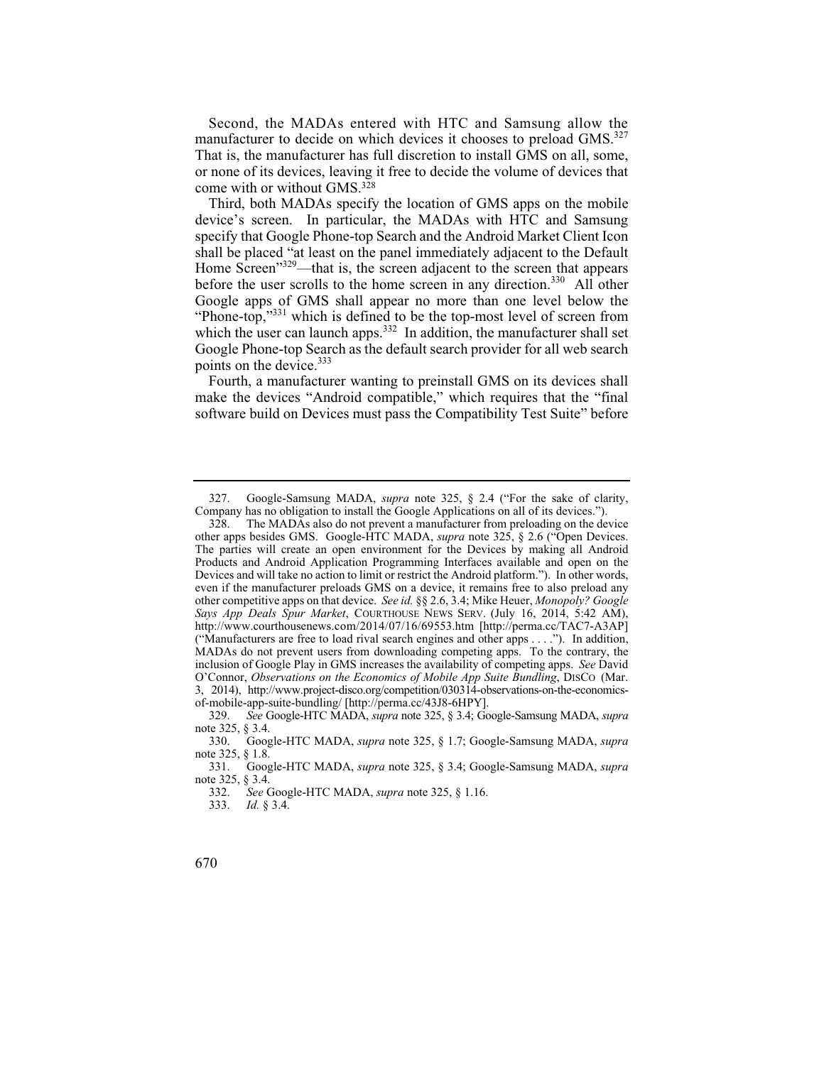Second, the MADAs entered with HTC and Samsung allow the manufacturer to decide on which devices it chooses to preload GMS.<sup>327</sup> That is, the manufacturer has full discretion to install GMS on all, some, or none of its devices, leaving it free to decide the volume of devices that come with or without GMS.328

Third, both MADAs specify the location of GMS apps on the mobile device's screen. In particular, the MADAs with HTC and Samsung specify that Google Phone-top Search and the Android Market Client Icon shall be placed "at least on the panel immediately adjacent to the Default Home Screen<sup>"329</sup>—that is, the screen adjacent to the screen that appears before the user scrolls to the home screen in any direction.<sup>330</sup> All other Google apps of GMS shall appear no more than one level below the "Phone-top,"<sup>331</sup> which is defined to be the top-most level of screen from which the user can launch apps. $332$  In addition, the manufacturer shall set Google Phone-top Search as the default search provider for all web search points on the device.<sup>333</sup>

Fourth, a manufacturer wanting to preinstall GMS on its devices shall make the devices "Android compatible," which requires that the "final software build on Devices must pass the Compatibility Test Suite" before

 327. Google-Samsung MADA, *supra* note 325, § 2.4 ("For the sake of clarity, Company has no obligation to install the Google Applications on all of its devices.").<br>328. The MADAs also do not prevent a manufacturer from preloading on the de

The MADAs also do not prevent a manufacturer from preloading on the device other apps besides GMS. Google-HTC MADA, *supra* note 325, § 2.6 ("Open Devices. The parties will create an open environment for the Devices by making all Android Products and Android Application Programming Interfaces available and open on the Devices and will take no action to limit or restrict the Android platform."). In other words, even if the manufacturer preloads GMS on a device, it remains free to also preload any other competitive apps on that device. *See id.* §§ 2.6, 3.4; Mike Heuer, *Monopoly? Google Says App Deals Spur Market*, COURTHOUSE NEWS SERV. (July 16, 2014, 5:42 AM), http://www.courthousenews.com/2014/07/16/69553.htm [http://perma.cc/TAC7-A3AP] ("Manufacturers are free to load rival search engines and other apps . . . ."). In addition, MADAs do not prevent users from downloading competing apps. To the contrary, the inclusion of Google Play in GMS increases the availability of competing apps. *See* David O'Connor, *Observations on the Economics of Mobile App Suite Bundling*, DISCO (Mar. 3, 2014), http://www.project-disco.org/competition/030314-observations-on-the-economicsof-mobile-app-suite-bundling/ [http://perma.cc/43J8-6HPY].<br>329. See Google-HTC MADA. supra note 325. § 3.4: Go

 329. *See* Google-HTC MADA, *supra* note 325, § 3.4; Google-Samsung MADA, *supra*  note 325, § 3.4.<br>330. Goog

 330. Google-HTC MADA, *supra* note 325, § 1.7; Google-Samsung MADA, *supra*  note 325, § 1.8.<br>331. Goos

 331. Google-HTC MADA, *supra* note 325, § 3.4; Google-Samsung MADA, *supra*  note 325, § 3.4.<br>332. See C

 332. *See* Google-HTC MADA, *supra* note 325, § 1.16.

 333. *Id.* § 3.4.

<sup>670</sup>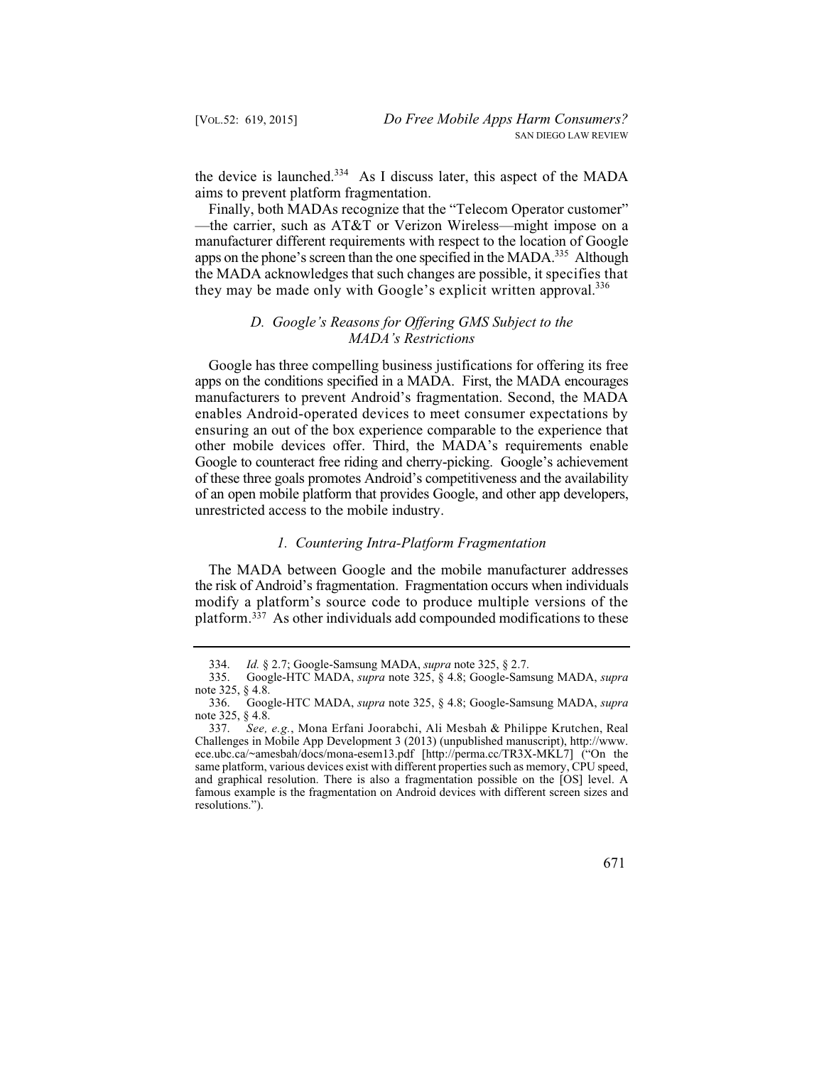the device is launched.<sup>334</sup> As I discuss later, this aspect of the MADA aims to prevent platform fragmentation.

 the MADA acknowledges that such changes are possible, it specifies that Finally, both MADAs recognize that the "Telecom Operator customer" —the carrier, such as AT&T or Verizon Wireless—might impose on a manufacturer different requirements with respect to the location of Google apps on the phone's screen than the one specified in the MADA.<sup>335</sup> Although they may be made only with Google's explicit written approval.<sup>336</sup>

# *D. Google's Reasons for Offering GMS Subject to the MADA's Restrictions*

Google has three compelling business justifications for offering its free apps on the conditions specified in a MADA. First, the MADA encourages manufacturers to prevent Android's fragmentation. Second, the MADA enables Android-operated devices to meet consumer expectations by ensuring an out of the box experience comparable to the experience that other mobile devices offer. Third, the MADA's requirements enable Google to counteract free riding and cherry-picking. Google's achievement of these three goals promotes Android's competitiveness and the availability of an open mobile platform that provides Google, and other app developers, unrestricted access to the mobile industry.

#### *1. Countering Intra-Platform Fragmentation*

The MADA between Google and the mobile manufacturer addresses the risk of Android's fragmentation. Fragmentation occurs when individuals modify a platform's source code to produce multiple versions of the platform.337 As other individuals add compounded modifications to these

 337. *See, e.g.*, Mona Erfani Joorabchi, Ali Mesbah & Philippe Krutchen, Real Challenges in Mobile App Development 3 (2013) (unpublished manuscript), http://www. ece.ubc.ca/~amesbah/docs/mona-esem13.pdf [http://perma.cc/TR3X-MKL7] ("On the same platform, various devices exist with different properties such as memory, CPU speed, and graphical resolution. There is also a fragmentation possible on the [OS] level. A famous example is the fragmentation on Android devices with different screen sizes and resolutions.").



 334. *Id.* § 2.7; Google-Samsung MADA, *supra* note 325, § 2.7.

 335. Google-HTC MADA, *supra* note 325, § 4.8; Google-Samsung MADA, *supra*  note 325, § 4.8.<br>336. Goog

 336. Google-HTC MADA, *supra* note 325, § 4.8; Google-Samsung MADA, *supra*  note 325, § 4.8.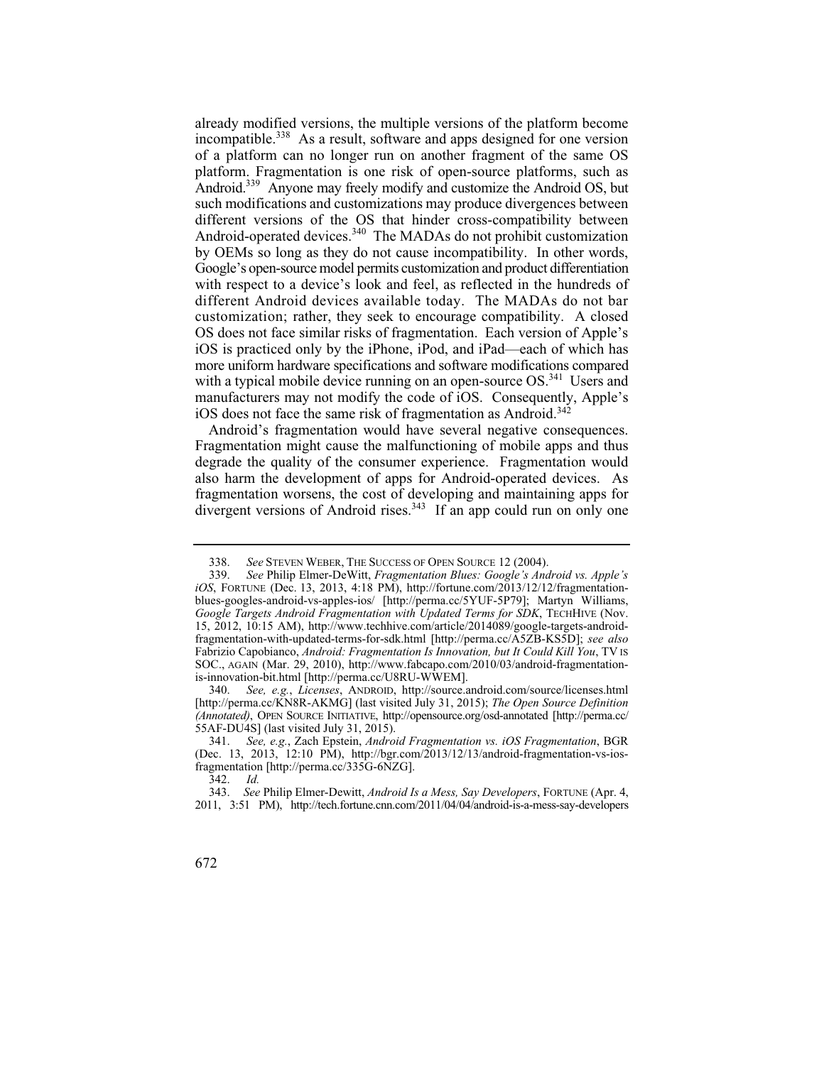different versions of the OS that hinder cross-compatibility between by OEMs so long as they do not cause incompatibility. In other words, already modified versions, the multiple versions of the platform become incompatible.<sup>338</sup> As a result, software and apps designed for one version of a platform can no longer run on another fragment of the same OS platform. Fragmentation is one risk of open-source platforms, such as Android.339 Anyone may freely modify and customize the Android OS, but such modifications and customizations may produce divergences between Android-operated devices.<sup>340</sup> The MADAs do not prohibit customization Google's open-source model permits customization and product differentiation with respect to a device's look and feel, as reflected in the hundreds of different Android devices available today. The MADAs do not bar customization; rather, they seek to encourage compatibility. A closed OS does not face similar risks of fragmentation. Each version of Apple's iOS is practiced only by the iPhone, iPod, and iPad—each of which has more uniform hardware specifications and software modifications compared with a typical mobile device running on an open-source OS.<sup>341</sup> Users and manufacturers may not modify the code of iOS. Consequently, Apple's iOS does not face the same risk of fragmentation as Android.<sup>342</sup>

Android's fragmentation would have several negative consequences. Fragmentation might cause the malfunctioning of mobile apps and thus degrade the quality of the consumer experience. Fragmentation would also harm the development of apps for Android-operated devices. As fragmentation worsens, the cost of developing and maintaining apps for divergent versions of Android rises.<sup>343</sup> If an app could run on only one

 340. *See, e.g.*, *Licenses*, ANDROID, http://source.android.com/source/licenses.html [http://perma.cc/KN8R-AKMG] (last visited July 31, 2015); *The Open Source Definition (Annotated)*, OPEN SOURCE INITIATIVE, http://opensource.org/osd-annotated [http://perma.cc/ 55AF-DU4S] (last visited July 31, 2015).

 338. *See* STEVEN WEBER, THE SUCCESS OF OPEN SOURCE 12 (2004).

 339. *See* Philip Elmer-DeWitt, *Fragmentation Blues: Google's Android vs. Apple's iOS*, FORTUNE (Dec. 13, 2013, 4:18 PM), http://fortune.com/2013/12/12/fragmentationblues-googles-android-vs-apples-ios/ [http://perma.cc/5YUF-5P79]; Martyn Williams, *Google Targets Android Fragmentation with Updated Terms for SDK*, TECHHIVE (Nov. 15, 2012, 10:15 AM), http://www.techhive.com/article/2014089/google-targets-androidfragmentation-with-updated-terms-for-sdk.html [http://perma.cc/A5ZB-KS5D]; *see also*  Fabrizio Capobianco, *Android: Fragmentation Is Innovation, but It Could Kill You*, TV IS SOC., AGAIN (Mar. 29, 2010), http://www.fabcapo.com/2010/03/android-fragmentationis-innovation-bit.html [http://perma.cc/U8RU-WWEM].

 341. *See, e.g.*, Zach Epstein, *Android Fragmentation vs. iOS Fragmentation*, BGR (Dec. 13, 2013, 12:10 PM), http://bgr.com/2013/12/13/android-fragmentation-vs-iosfragmentation [http://perma.cc/335G-6NZG].

 342. *Id.*

 <sup>343.</sup> *See* Philip Elmer-Dewitt, *Android Is a Mess, Say Developers*, FORTUNE (Apr. 4, 2011, 3:51 PM), http://tech.fortune.cnn.com/2011/04/04/android-is-a-mess-say-developers

<sup>672</sup>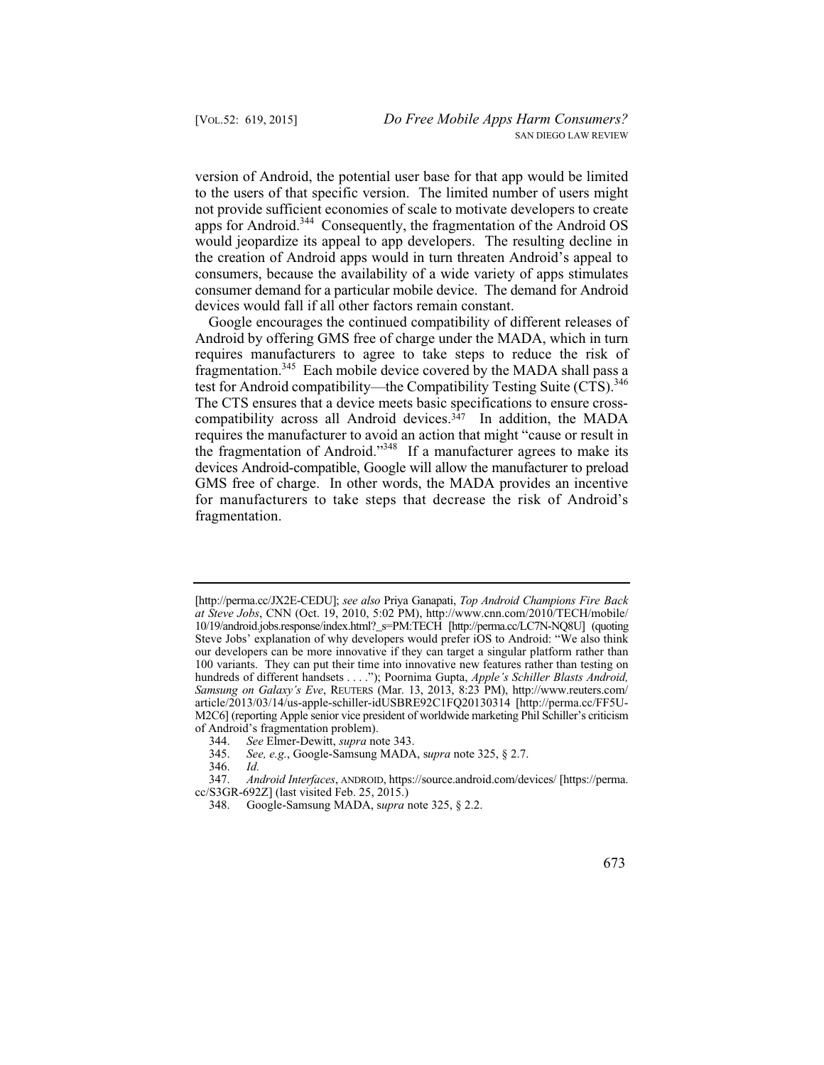version of Android, the potential user base for that app would be limited to the users of that specific version. The limited number of users might not provide sufficient economies of scale to motivate developers to create apps for Android.<sup>344</sup> Consequently, the fragmentation of the Android OS would jeopardize its appeal to app developers. The resulting decline in the creation of Android apps would in turn threaten Android's appeal to consumers, because the availability of a wide variety of apps stimulates consumer demand for a particular mobile device. The demand for Android devices would fall if all other factors remain constant.

Google encourages the continued compatibility of different releases of Android by offering GMS free of charge under the MADA, which in turn requires manufacturers to agree to take steps to reduce the risk of fragmentation.<sup>345</sup> Each mobile device covered by the MADA shall pass a test for Android compatibility—the Compatibility Testing Suite (CTS).<sup>346</sup> The CTS ensures that a device meets basic specifications to ensure crosscompatibility across all Android devices.<sup>347</sup> In addition, the MADA requires the manufacturer to avoid an action that might "cause or result in the fragmentation of Android."348 If a manufacturer agrees to make its devices Android-compatible, Google will allow the manufacturer to preload GMS free of charge. In other words, the MADA provides an incentive for manufacturers to take steps that decrease the risk of Android's fragmentation.

 10/19/android.jobs.response/index.html?\_s=PM:TECH [http://perma.cc/LC7N-NQ8U] (quoting  hundreds of different handsets . . . ."); Poornima Gupta, *Apple's Schiller Blasts Android,*  [http://perma.cc/JX2E-CEDU]; *see also* Priya Ganapati, *Top Android Champions Fire Back at Steve Jobs*, CNN (Oct. 19, 2010, 5:02 PM), http://www.cnn.com/2010/TECH/mobile/ Steve Jobs' explanation of why developers would prefer iOS to Android: "We also think our developers can be more innovative if they can target a singular platform rather than 100 variants. They can put their time into innovative new features rather than testing on *Samsung on Galaxy's Eve*, REUTERS (Mar. 13, 2013, 8:23 PM), http://www.reuters.com/ article/2013/03/14/us-apple-schiller-idUSBRE92C1FQ20130314 [http://perma.cc/FF5U-M2C6] (reporting Apple senior vice president of worldwide marketing Phil Schiller's criticism of Android's fragmentation problem).

 344. *See* Elmer-Dewitt, *supra* note 343.

 345. *See, e.g.*, Google-Samsung MADA, s*upra* note 325, § 2.7.

<sup>346.</sup> *Id.*

 347. *Android Interfaces*, ANDROID, https://source.android.com/devices/ [https://perma. cc/S3GR-692Z] (last visited Feb. 25, 2015.)

<sup>348.</sup> Google-Samsung MADA, s*upra* note 325, § 2.2.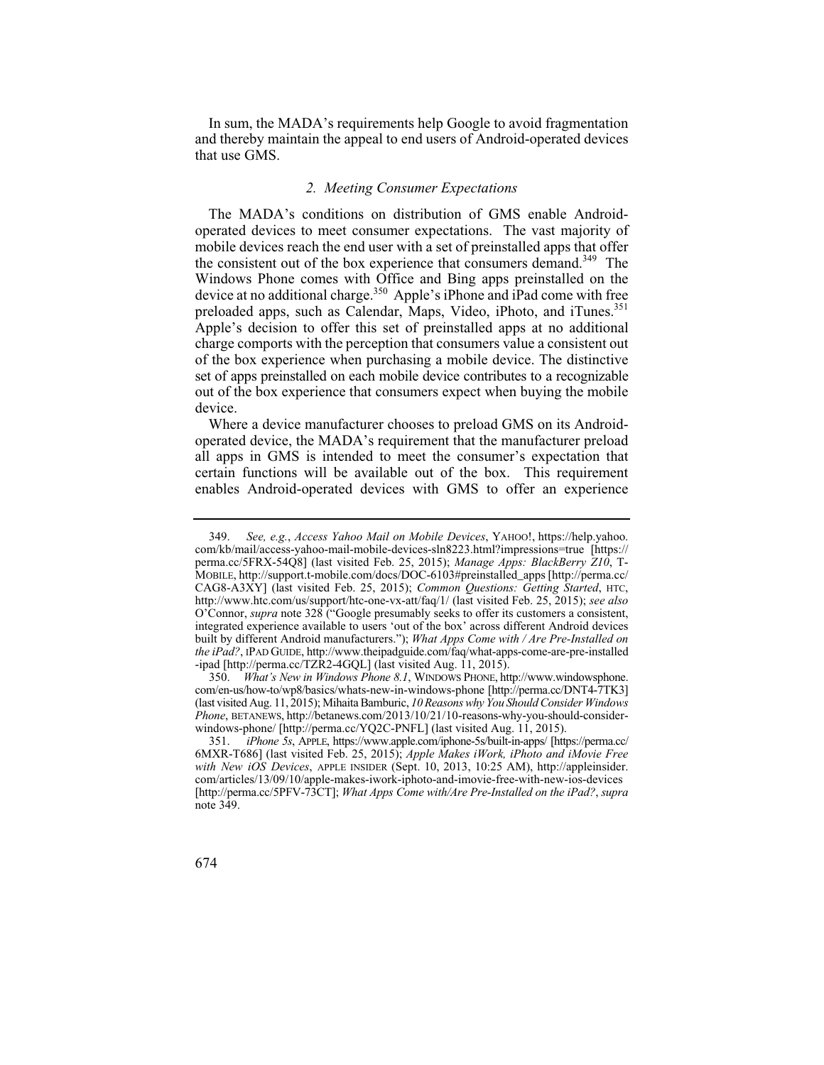In sum, the MADA's requirements help Google to avoid fragmentation and thereby maintain the appeal to end users of Android-operated devices that use GMS.

### *2. Meeting Consumer Expectations*

The MADA's conditions on distribution of GMS enable Androidoperated devices to meet consumer expectations. The vast majority of mobile devices reach the end user with a set of preinstalled apps that offer the consistent out of the box experience that consumers demand.<sup>349</sup> The Windows Phone comes with Office and Bing apps preinstalled on the device at no additional charge.<sup>350</sup> Apple's iPhone and iPad come with free preloaded apps, such as Calendar, Maps, Video, iPhoto, and iTunes.<sup>351</sup> Apple's decision to offer this set of preinstalled apps at no additional charge comports with the perception that consumers value a consistent out of the box experience when purchasing a mobile device. The distinctive set of apps preinstalled on each mobile device contributes to a recognizable out of the box experience that consumers expect when buying the mobile device.

Where a device manufacturer chooses to preload GMS on its Androidoperated device, the MADA's requirement that the manufacturer preload all apps in GMS is intended to meet the consumer's expectation that certain functions will be available out of the box. This requirement enables Android-operated devices with GMS to offer an experience

 351. *iPhone 5s*, APPLE, https://www.apple.com/iphone-5s/built-in-apps/ [https://perma.cc/ 6MXR-T686] (last visited Feb. 25, 2015); *Apple Makes iWork, iPhoto and iMovie Free with New iOS Devices*, APPLE INSIDER (Sept. 10, 2013, 10:25 AM), http://appleinsider. com/articles/13/09/10/apple-makes-iwork-iphoto-and-imovie-free-with-new-ios-devices [http://perma.cc/5PFV-73CT]; *What Apps Come with/Are Pre-Installed on the iPad?*, *supra*  note 349.



 349. *See, e.g.*, *Access Yahoo Mail on Mobile Devices*, YAHOO!, https://help.yahoo. com/kb/mail/access-yahoo-mail-mobile-devices-sln8223.html?impressions=true [https:// perma.cc/5FRX-54Q8] (last visited Feb. 25, 2015); *Manage Apps: BlackBerry Z10*, T-MOBILE, http://support.t-mobile.com/docs/DOC-6103#preinstalled\_apps [http://perma.cc/ CAG8-A3XY] (last visited Feb. 25, 2015); *Common Questions: Getting Started*, HTC, http://www.htc.com/us/support/htc-one-vx-att/faq/1/ (last visited Feb. 25, 2015); *see also*  O'Connor, *supra* note 328 ("Google presumably seeks to offer its customers a consistent, integrated experience available to users 'out of the box' across different Android devices built by different Android manufacturers."); *What Apps Come with / Are Pre-Installed on the iPad?*, IPAD GUIDE, http://www.theipadguide.com/faq/what-apps-come-are-pre-installed -ipad [http://perma.cc/TZR2-4GQL] (last visited Aug. 11, 2015).

<sup>350.</sup> *What's New in Windows Phone 8.1*, WINDOWS PHONE, http://www.windowsphone. com/en-us/how-to/wp8/basics/whats-new-in-windows-phone [http://perma.cc/DNT4-7TK3] (last visited Aug. 11, 2015); Mihaita Bamburic, *10 Reasons why You Should Consider Windows Phone*, BETANEWS, http://betanews.com/2013/10/21/10-reasons-why-you-should-considerwindows-phone/ [http://perma.cc/YQ2C-PNFL] (last visited Aug. 11, 2015).<br>351. *iPhone 5s*, APPLE, https://www.apple.com/iphone-5s/built-in-apps/ [http://www.apple.com/iphone-5s/built-in-apps/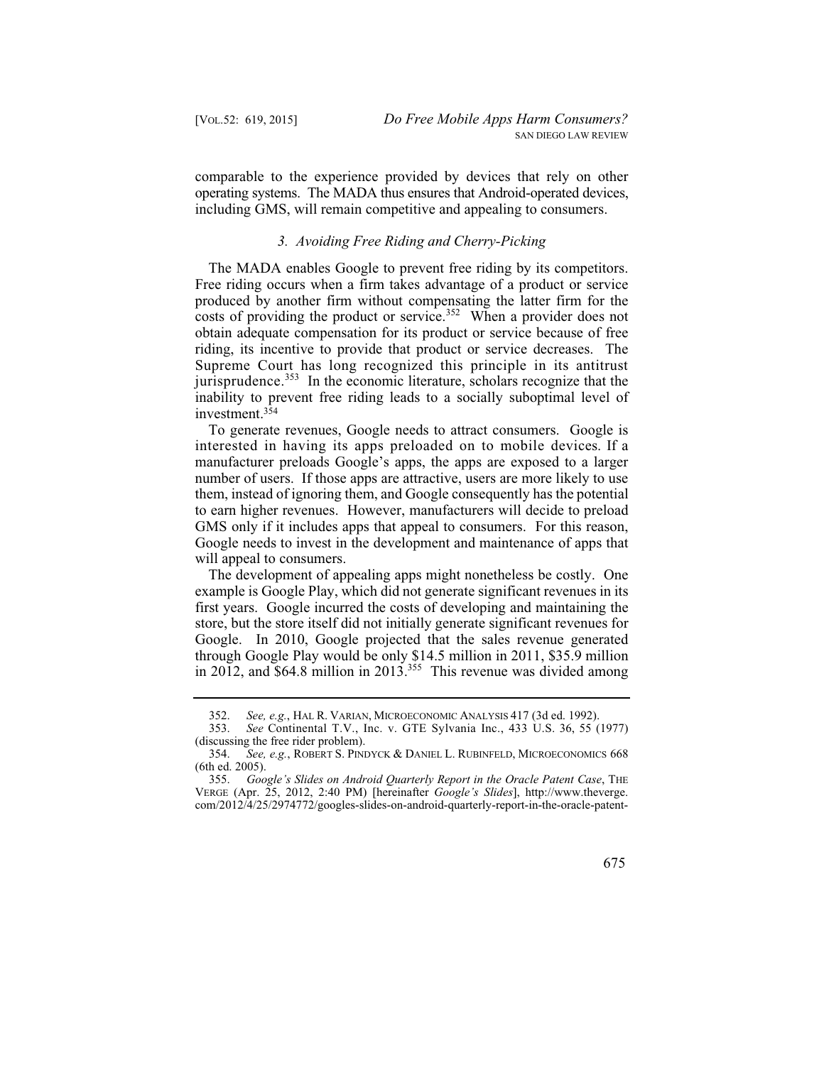comparable to the experience provided by devices that rely on other operating systems. The MADA thus ensures that Android-operated devices, including GMS, will remain competitive and appealing to consumers.

#### *3. Avoiding Free Riding and Cherry-Picking*

The MADA enables Google to prevent free riding by its competitors. Free riding occurs when a firm takes advantage of a product or service produced by another firm without compensating the latter firm for the costs of providing the product or service.<sup>352</sup> When a provider does not obtain adequate compensation for its product or service because of free riding, its incentive to provide that product or service decreases. The Supreme Court has long recognized this principle in its antitrust jurisprudence. $353$  In the economic literature, scholars recognize that the inability to prevent free riding leads to a socially suboptimal level of investment.354

 interested in having its apps preloaded on to mobile devices. If a To generate revenues, Google needs to attract consumers. Google is manufacturer preloads Google's apps, the apps are exposed to a larger number of users. If those apps are attractive, users are more likely to use them, instead of ignoring them, and Google consequently has the potential to earn higher revenues. However, manufacturers will decide to preload GMS only if it includes apps that appeal to consumers. For this reason, Google needs to invest in the development and maintenance of apps that will appeal to consumers.

The development of appealing apps might nonetheless be costly. One example is Google Play, which did not generate significant revenues in its first years. Google incurred the costs of developing and maintaining the store, but the store itself did not initially generate significant revenues for Google. In 2010, Google projected that the sales revenue generated through Google Play would be only \$14.5 million in 2011, \$35.9 million in 2012, and  $$64.8$  million in 2013.<sup>355</sup> This revenue was divided among

 355. *Google's Slides on Android Quarterly Report in the Oracle Patent Case*, THE VERGE (Apr. 25, 2012, 2:40 PM) [hereinafter *Google's Slides*], http://www.theverge. com/2012/4/25/2974772/googles-slides-on-android-quarterly-report-in-the-oracle-patent



 352. *See, e.g.*, HAL R. VARIAN, MICROECONOMIC ANALYSIS 417 (3d ed. 1992).

 353. *See* Continental T.V., Inc. v. GTE Sylvania Inc., 433 U.S. 36, 55 (1977) (discussing the free rider problem).

 354. *See, e.g.*, ROBERT S. PINDYCK & DANIEL L. RUBINFELD, MICROECONOMICS 668 (6th ed. 2005).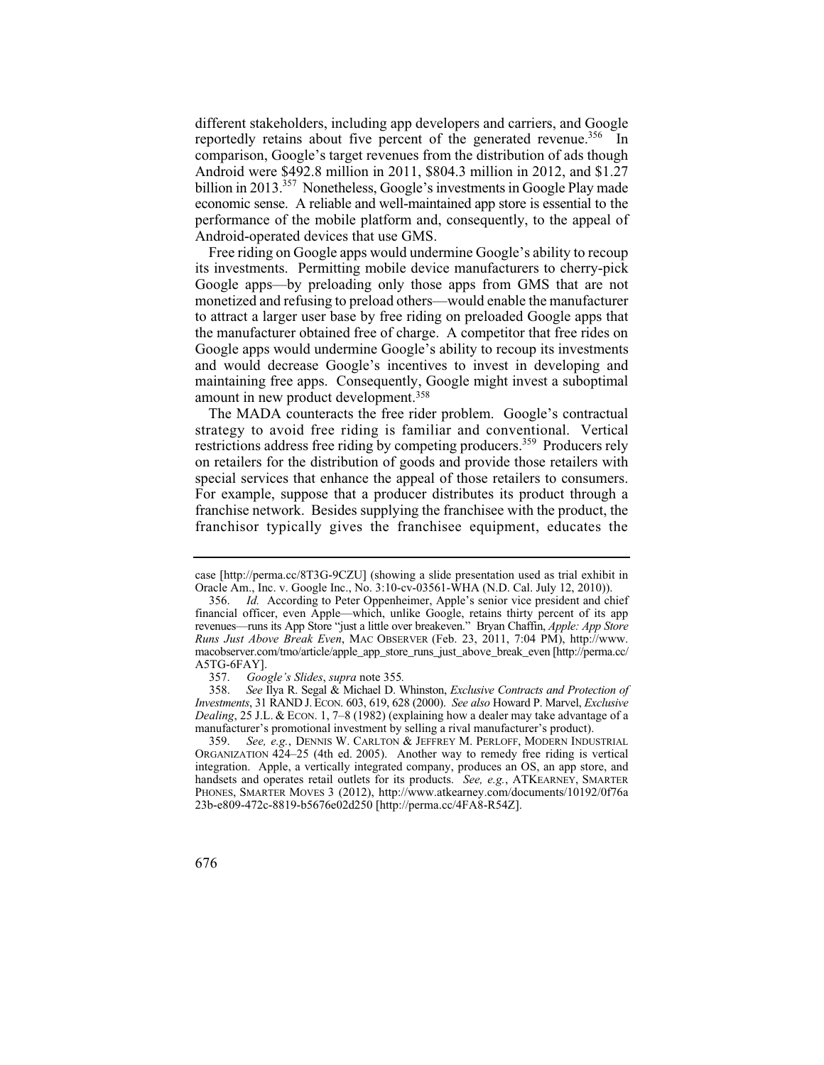economic sense. A reliable and well-maintained app store is essential to the different stakeholders, including app developers and carriers, and Google reportedly retains about five percent of the generated revenue.<sup>356</sup> In comparison, Google's target revenues from the distribution of ads though Android were \$492.8 million in 2011, \$804.3 million in 2012, and \$1.27 billion in 2013.<sup>357</sup> Nonetheless, Google's investments in Google Play made performance of the mobile platform and, consequently, to the appeal of Android-operated devices that use GMS.

Free riding on Google apps would undermine Google's ability to recoup its investments. Permitting mobile device manufacturers to cherry-pick Google apps—by preloading only those apps from GMS that are not monetized and refusing to preload others—would enable the manufacturer to attract a larger user base by free riding on preloaded Google apps that the manufacturer obtained free of charge. A competitor that free rides on Google apps would undermine Google's ability to recoup its investments and would decrease Google's incentives to invest in developing and maintaining free apps. Consequently, Google might invest a suboptimal amount in new product development.358

 strategy to avoid free riding is familiar and conventional. Vertical special services that enhance the appeal of those retailers to consumers. The MADA counteracts the free rider problem. Google's contractual restrictions address free riding by competing producers.<sup>359</sup> Producers rely on retailers for the distribution of goods and provide those retailers with For example, suppose that a producer distributes its product through a franchise network. Besides supplying the franchisee with the product, the franchisor typically gives the franchisee equipment, educates the

357. *Google's Slides*, *supra* note 355*.*

358. 358. *See* Ilya R. Segal & Michael D. Whinston, *Exclusive Contracts and Protection of Investments*, 31 RAND J. ECON. 603, 619, 628 (2000). *See also* Howard P. Marvel, *Exclusive Dealing*, 25 J.L. & ECON. 1, 7–8 (1982) (explaining how a dealer may take advantage of a manufacturer's promotional investment by selling a rival manufacturer's product).

 359. *See, e.g.*, DENNIS W. CARLTON & JEFFREY M. PERLOFF, MODERN INDUSTRIAL integration. Apple, a vertically integrated company, produces an OS, an app store, and ORGANIZATION 424–25 (4th ed. 2005). Another way to remedy free riding is vertical handsets and operates retail outlets for its products. *See, e.g.*, ATKEARNEY, SMARTER PHONES, SMARTER MOVES 3 (2012), http://www.atkearney.com/documents/10192/0f76a 23b-e809-472c-8819-b5676e02d250 [http://perma.cc/4FA8-R54Z].



case [http://perma.cc/8T3G-9CZU] (showing a slide presentation used as trial exhibit in Oracle Am., Inc. v. Google Inc., No. 3:10-cv-03561-WHA (N.D. Cal. July 12, 2010)).

 356. *Id.* According to Peter Oppenheimer, Apple's senior vice president and chief financial officer, even Apple—which, unlike Google, retains thirty percent of its app revenues—runs its App Store "just a little over breakeven." Bryan Chaffin, *Apple: App Store Runs Just Above Break Even*, MAC OBSERVER (Feb. 23, 2011, 7:04 PM), http://www. macobserver.com/tmo/article/apple\_app\_store\_runs\_just\_above\_break\_even [http://perma.cc/ A5TG-6FAY].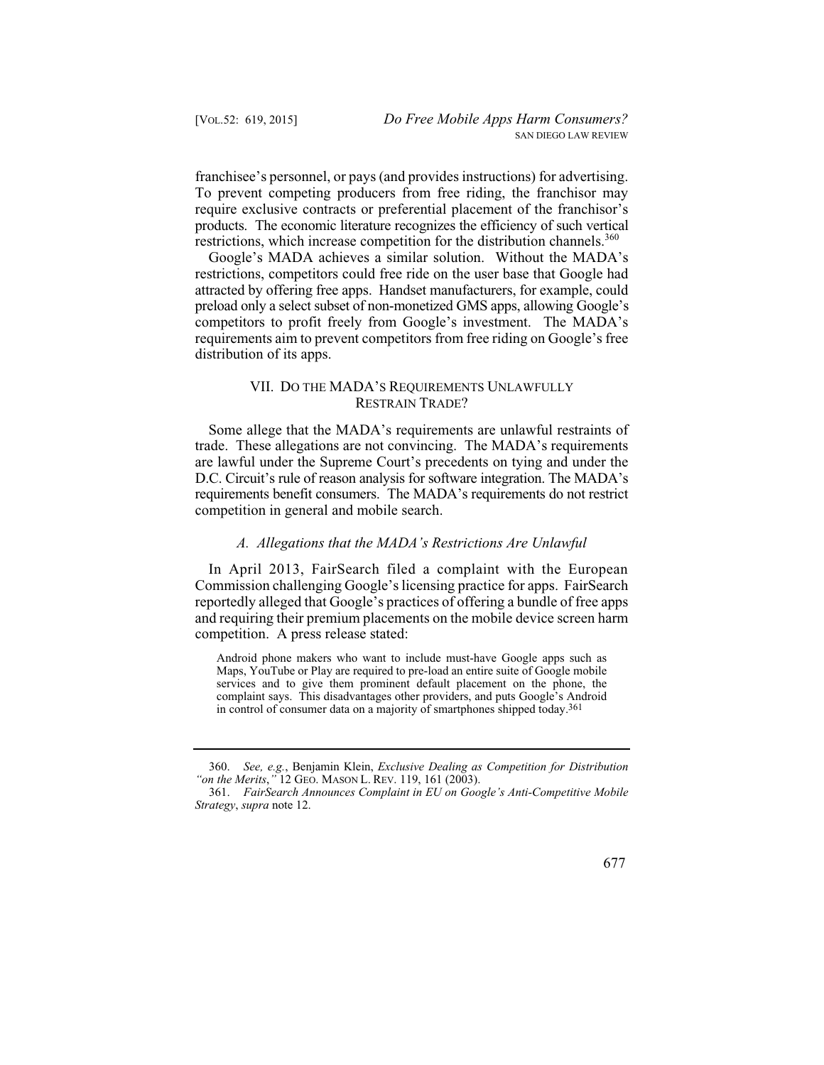franchisee's personnel, or pays (and provides instructions) for advertising. To prevent competing producers from free riding, the franchisor may require exclusive contracts or preferential placement of the franchisor's products. The economic literature recognizes the efficiency of such vertical restrictions, which increase competition for the distribution channels.<sup>360</sup>

Google's MADA achieves a similar solution. Without the MADA's restrictions, competitors could free ride on the user base that Google had attracted by offering free apps. Handset manufacturers, for example, could preload only a select subset of non-monetized GMS apps, allowing Google's competitors to profit freely from Google's investment. The MADA's requirements aim to prevent competitors from free riding on Google's free distribution of its apps.

### VII. DO THE MADA'S REQUIREMENTS UNLAWFULLY RESTRAIN TRADE?

Some allege that the MADA's requirements are unlawful restraints of trade. These allegations are not convincing. The MADA's requirements are lawful under the Supreme Court's precedents on tying and under the D.C. Circuit's rule of reason analysis for software integration. The MADA's requirements benefit consumers. The MADA's requirements do not restrict competition in general and mobile search.

#### *A. Allegations that the MADA's Restrictions Are Unlawful*

In April 2013, FairSearch filed a complaint with the European Commission challenging Google's licensing practice for apps. FairSearch reportedly alleged that Google's practices of offering a bundle of free apps and requiring their premium placements on the mobile device screen harm competition. A press release stated:

Android phone makers who want to include must-have Google apps such as Maps, YouTube or Play are required to pre-load an entire suite of Google mobile services and to give them prominent default placement on the phone, the complaint says. This disadvantages other providers, and puts Google's Android in control of consumer data on a majority of smartphones shipped today.361

<sup>361.</sup> *FairSearch Announces Complaint in EU on Google's Anti-Competitive Mobile Strategy*, *supra* note 12.



 <sup>360.</sup> *See, e.g.*, Benjamin Klein, *Exclusive Dealing as Competition for Distribution "on the Merits*,*"* 12 GEO. MASON L. REV. 119, 161 (2003).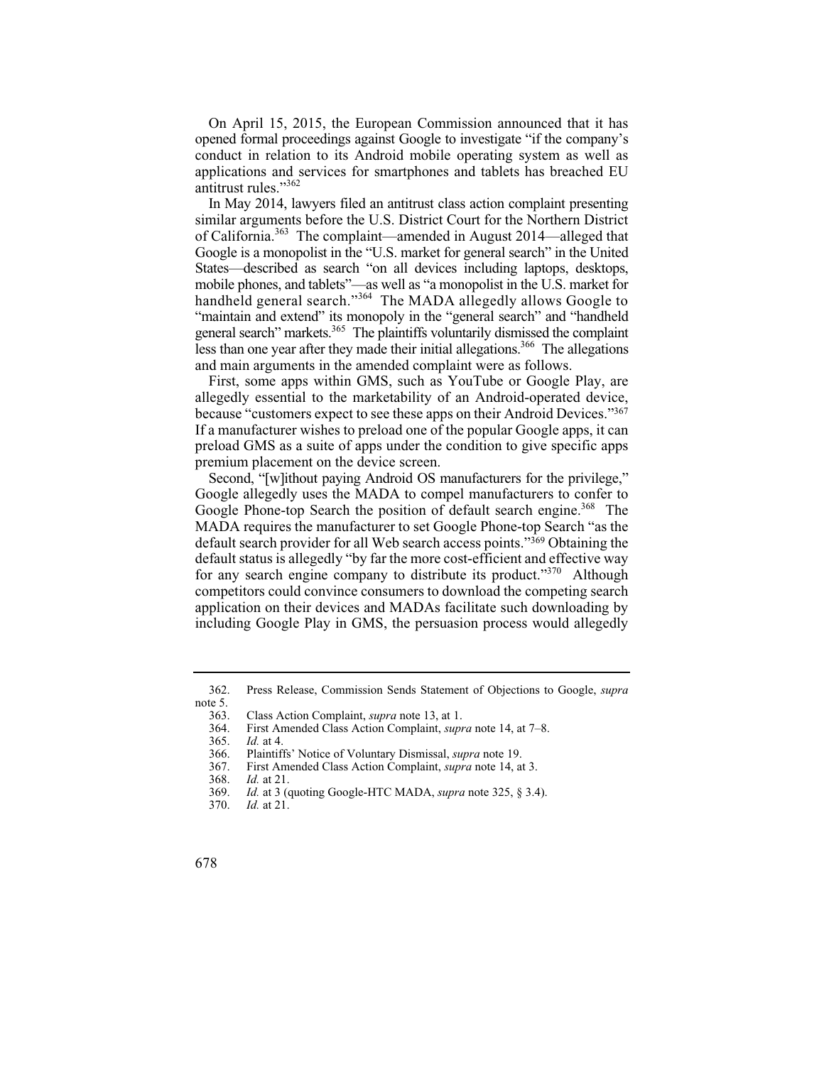On April 15, 2015, the European Commission announced that it has opened formal proceedings against Google to investigate "if the company's conduct in relation to its Android mobile operating system as well as applications and services for smartphones and tablets has breached EU antitrust rules."362

In May 2014, lawyers filed an antitrust class action complaint presenting similar arguments before the U.S. District Court for the Northern District of California.363 The complaint—amended in August 2014—alleged that Google is a monopolist in the "U.S. market for general search" in the United States—described as search "on all devices including laptops, desktops, mobile phones, and tablets"—as well as "a monopolist in the U.S. market for handheld general search."<sup>364</sup> The MADA allegedly allows Google to "maintain and extend" its monopoly in the "general search" and "handheld general search" markets.<sup>365</sup> The plaintiffs voluntarily dismissed the complaint less than one year after they made their initial allegations.<sup>366</sup> The allegations and main arguments in the amended complaint were as follows.

First, some apps within GMS, such as YouTube or Google Play, are allegedly essential to the marketability of an Android-operated device, because "customers expect to see these apps on their Android Devices."367 If a manufacturer wishes to preload one of the popular Google apps, it can preload GMS as a suite of apps under the condition to give specific apps premium placement on the device screen.

Google Phone-top Search the position of default search engine.<sup>368</sup> The Second, "[w]ithout paying Android OS manufacturers for the privilege," Google allegedly uses the MADA to compel manufacturers to confer to MADA requires the manufacturer to set Google Phone-top Search "as the default search provider for all Web search access points."369 Obtaining the default status is allegedly "by far the more cost-efficient and effective way for any search engine company to distribute its product."<sup>370</sup> Although competitors could convince consumers to download the competing search application on their devices and MADAs facilitate such downloading by including Google Play in GMS, the persuasion process would allegedly

<sup>362.</sup> Press Release, Commission Sends Statement of Objections to Google, *supra*  note 5.<br>363.

<sup>363.</sup> Class Action Complaint, *supra* note 13, at 1.

<sup>364.</sup> First Amended Class Action Complaint, *supra* note 14, at 7–8.

 365. *Id.* at 4.

<sup>366.</sup> Plaintiffs' Notice of Voluntary Dismissal, *supra* note 19.

<sup>367.</sup> First Amended Class Action Complaint, *supra* note 14, at 3.

 368. *Id.* at 21.

 369. *Id.* at 3 (quoting Google-HTC MADA, *supra* note 325, § 3.4).

 370. *Id.* at 21.

<sup>678</sup>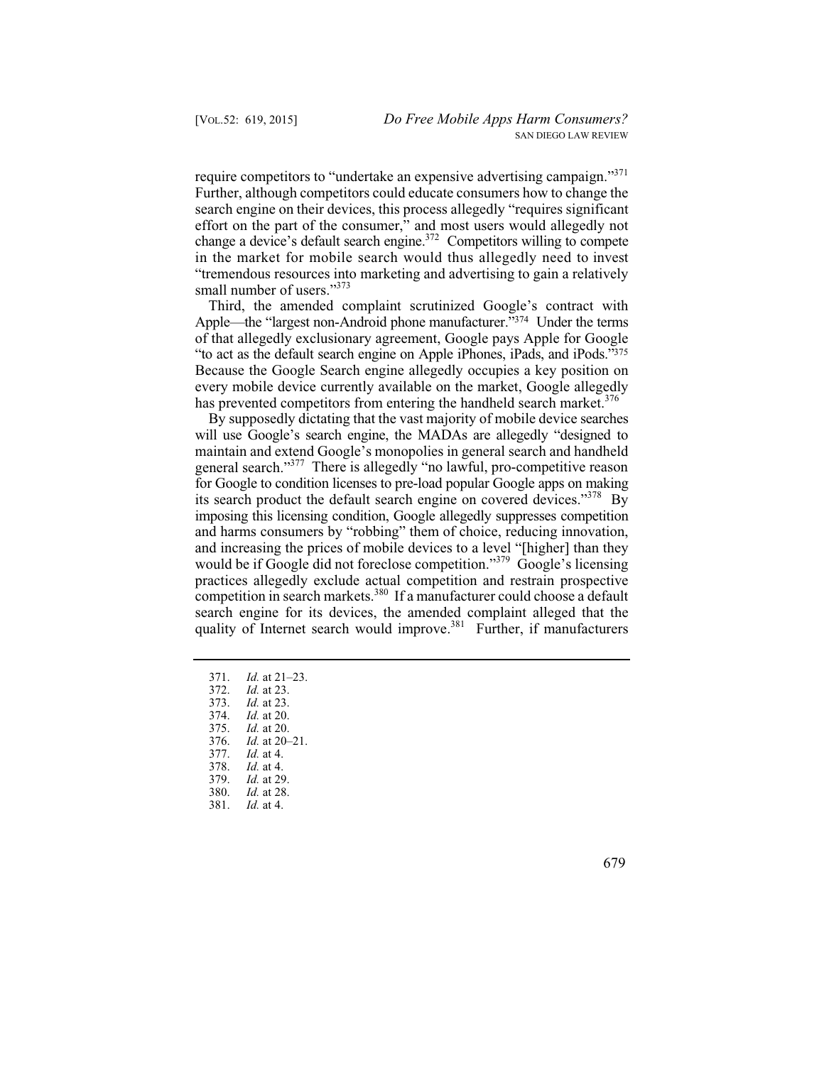in the market for mobile search would thus allegedly need to invest require competitors to "undertake an expensive advertising campaign."371 Further, although competitors could educate consumers how to change the search engine on their devices, this process allegedly "requires significant effort on the part of the consumer," and most users would allegedly not change a device's default search engine.<sup>372</sup> Competitors willing to compete "tremendous resources into marketing and advertising to gain a relatively small number of users."<sup>373</sup>

Third, the amended complaint scrutinized Google's contract with Apple—the "largest non-Android phone manufacturer."374 Under the terms of that allegedly exclusionary agreement, Google pays Apple for Google "to act as the default search engine on Apple iPhones, iPads, and iPods."375 Because the Google Search engine allegedly occupies a key position on every mobile device currently available on the market, Google allegedly has prevented competitors from entering the handheld search market.  $376$ 

its search product the default search engine on covered devices."<sup>378</sup> By By supposedly dictating that the vast majority of mobile device searches will use Google's search engine, the MADAs are allegedly "designed to maintain and extend Google's monopolies in general search and handheld general search."377 There is allegedly "no lawful, pro-competitive reason for Google to condition licenses to pre-load popular Google apps on making imposing this licensing condition, Google allegedly suppresses competition and harms consumers by "robbing" them of choice, reducing innovation, and increasing the prices of mobile devices to a level "[higher] than they would be if Google did not foreclose competition."<sup>379</sup> Google's licensing practices allegedly exclude actual competition and restrain prospective competition in search markets.<sup>380</sup> If a manufacturer could choose a default search engine for its devices, the amended complaint alleged that the quality of Internet search would improve.<sup>381</sup> Further, if manufacturers

- 371. *Id.* at 21–23.
	- 372. *Id.* at 23.
	- 373. *Id.* at 23.
- 374. *Id.* at 20.
- 375. *Id.* at 20.
- 376. *Id.* at 20–21.
- 377. *Id.* at 4.
- 378. *Id.* at 4.
- 379. *Id.* at 29.
- 380. *Id.* at 28.
- 381. *Id.* at 4.
- 679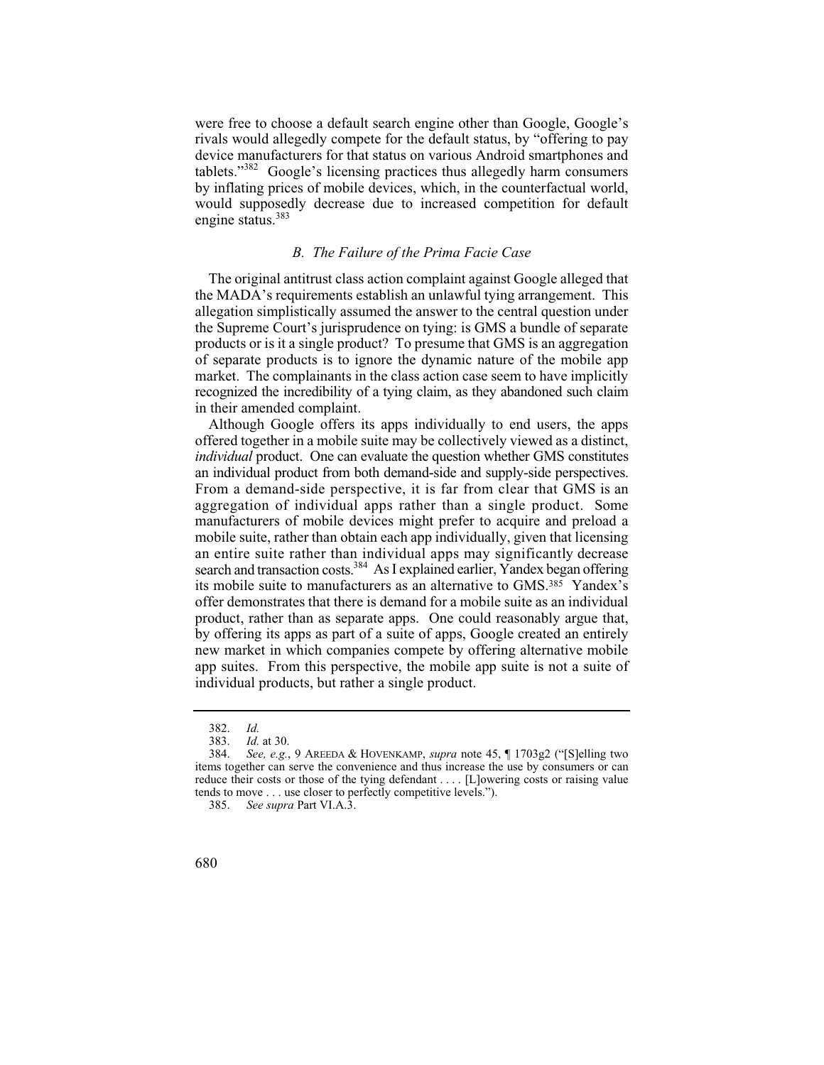were free to choose a default search engine other than Google, Google's rivals would allegedly compete for the default status, by "offering to pay device manufacturers for that status on various Android smartphones and tablets."382 Google's licensing practices thus allegedly harm consumers by inflating prices of mobile devices, which, in the counterfactual world, would supposedly decrease due to increased competition for default engine status.<sup>383</sup>

# *B. The Failure of the Prima Facie Case*

The original antitrust class action complaint against Google alleged that the MADA's requirements establish an unlawful tying arrangement. This allegation simplistically assumed the answer to the central question under the Supreme Court's jurisprudence on tying: is GMS a bundle of separate products or is it a single product? To presume that GMS is an aggregation of separate products is to ignore the dynamic nature of the mobile app market. The complainants in the class action case seem to have implicitly recognized the incredibility of a tying claim, as they abandoned such claim in their amended complaint.

 From a demand-side perspective, it is far from clear that GMS is an aggregation of individual apps rather than a single product. Some an entire suite rather than individual apps may significantly decrease Although Google offers its apps individually to end users, the apps offered together in a mobile suite may be collectively viewed as a distinct, *individual* product. One can evaluate the question whether GMS constitutes an individual product from both demand-side and supply-side perspectives. manufacturers of mobile devices might prefer to acquire and preload a mobile suite, rather than obtain each app individually, given that licensing search and transaction costs.<sup>384</sup> As I explained earlier, Yandex began offering its mobile suite to manufacturers as an alternative to GMS.385 Yandex's offer demonstrates that there is demand for a mobile suite as an individual product, rather than as separate apps. One could reasonably argue that, by offering its apps as part of a suite of apps, Google created an entirely new market in which companies compete by offering alternative mobile app suites. From this perspective, the mobile app suite is not a suite of individual products, but rather a single product.

Id. 382. *Id.*

 383. *Id.* at 30.

 384. *See, e.g.*, 9 AREEDA & HOVENKAMP, *supra* note 45, ¶ 1703g2 ("[S]elling two items together can serve the convenience and thus increase the use by consumers or can reduce their costs or those of the tying defendant . . . . [L]owering costs or raising value tends to move . . . use closer to perfectly competitive levels.").

 385. *See supra* Part VI.A.3.

<sup>680</sup>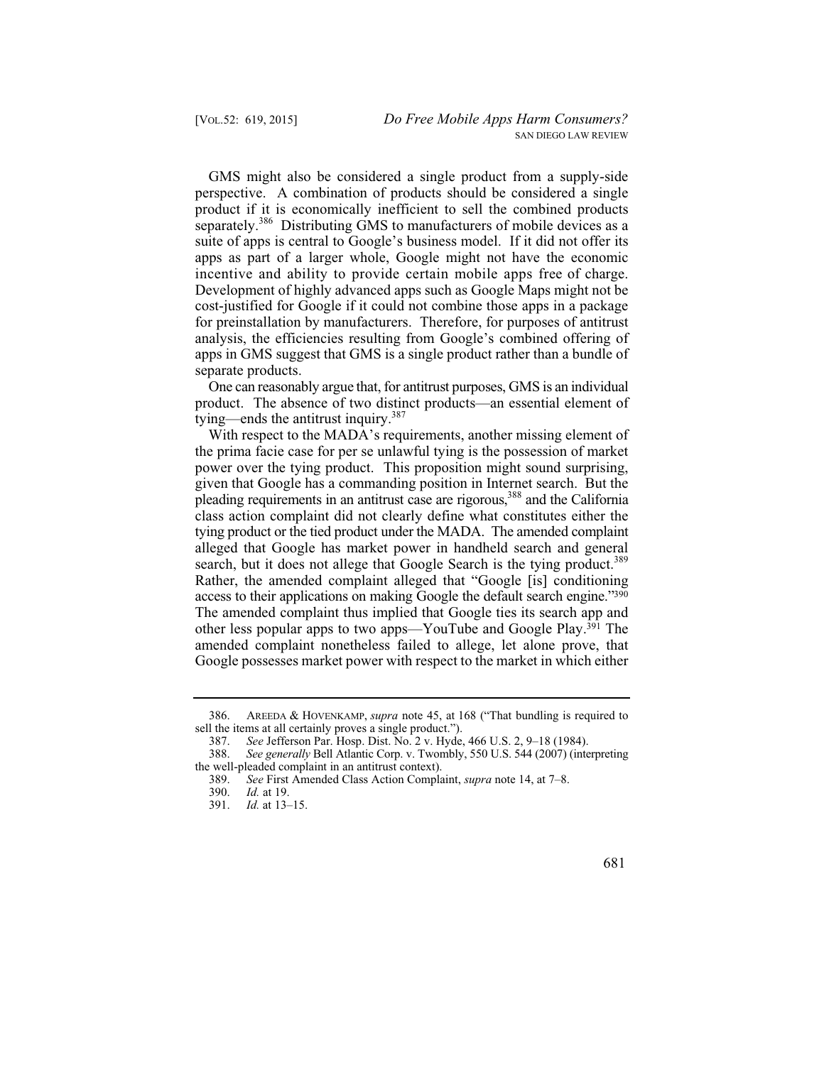incentive and ability to provide certain mobile apps free of charge. GMS might also be considered a single product from a supply-side perspective. A combination of products should be considered a single product if it is economically inefficient to sell the combined products separately.<sup>386</sup> Distributing GMS to manufacturers of mobile devices as a suite of apps is central to Google's business model. If it did not offer its apps as part of a larger whole, Google might not have the economic Development of highly advanced apps such as Google Maps might not be cost-justified for Google if it could not combine those apps in a package for preinstallation by manufacturers. Therefore, for purposes of antitrust analysis, the efficiencies resulting from Google's combined offering of apps in GMS suggest that GMS is a single product rather than a bundle of separate products.

One can reasonably argue that, for antitrust purposes, GMS is an individual product. The absence of two distinct products—an essential element of tying—ends the antitrust inquiry. $387$ 

With respect to the MADA's requirements, another missing element of the prima facie case for per se unlawful tying is the possession of market power over the tying product. This proposition might sound surprising, given that Google has a commanding position in Internet search. But the pleading requirements in an antitrust case are rigorous,388 and the California class action complaint did not clearly define what constitutes either the tying product or the tied product under the MADA. The amended complaint alleged that Google has market power in handheld search and general search, but it does not allege that Google Search is the tying product.<sup>389</sup> Rather, the amended complaint alleged that "Google [is] conditioning access to their applications on making Google the default search engine."390 The amended complaint thus implied that Google ties its search app and other less popular apps to two apps—YouTube and Google Play.391 The amended complaint nonetheless failed to allege, let alone prove, that Google possesses market power with respect to the market in which either

<sup>391.</sup> *Id.* at 13–15.



 386. AREEDA & HOVENKAMP, *supra* note 45, at 168 ("That bundling is required to sell the items at all certainly proves a single product.").<br>387. See Jefferson Par. Hosp. Dist. No. 2 v. Hyde.

 387. *See* Jefferson Par. Hosp. Dist. No. 2 v. Hyde, 466 U.S. 2, 9–18 (1984).

<sup>388.</sup> *See generally* Bell Atlantic Corp. v. Twombly, 550 U.S. 544 (2007) (interpreting the well-pleaded complaint in an antitrust context).

 389. *See* First Amended Class Action Complaint, *supra* note 14, at 7–8.

 390. *Id.* at 19.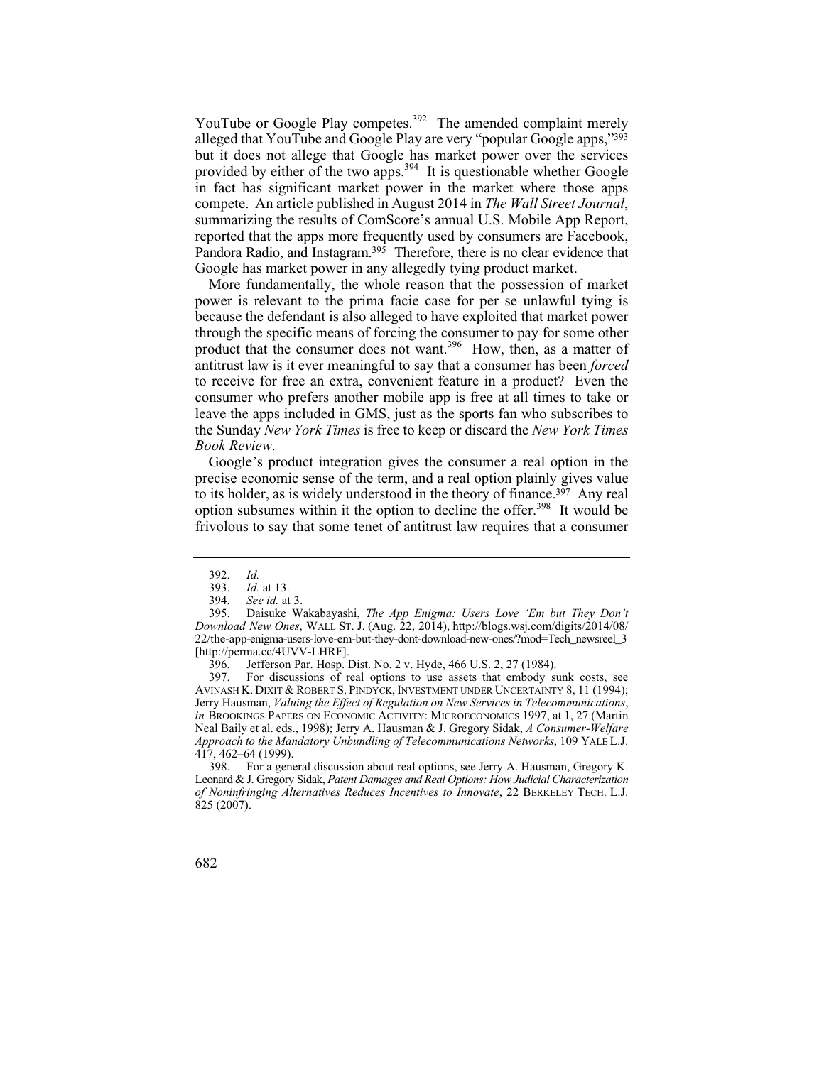YouTube or Google Play competes.<sup>392</sup> The amended complaint merely alleged that YouTube and Google Play are very "popular Google apps,"393 but it does not allege that Google has market power over the services provided by either of the two apps.<sup>394</sup> It is questionable whether Google in fact has significant market power in the market where those apps compete. An article published in August 2014 in *The Wall Street Journal*, summarizing the results of ComScore's annual U.S. Mobile App Report, reported that the apps more frequently used by consumers are Facebook, Pandora Radio, and Instagram. $395$  Therefore, there is no clear evidence that Google has market power in any allegedly tying product market.

More fundamentally, the whole reason that the possession of market power is relevant to the prima facie case for per se unlawful tying is because the defendant is also alleged to have exploited that market power through the specific means of forcing the consumer to pay for some other product that the consumer does not want.<sup>396</sup> How, then, as a matter of antitrust law is it ever meaningful to say that a consumer has been *forced*  to receive for free an extra, convenient feature in a product? Even the consumer who prefers another mobile app is free at all times to take or leave the apps included in GMS, just as the sports fan who subscribes to the Sunday *New York Times* is free to keep or discard the *New York Times Book Review*.

Google's product integration gives the consumer a real option in the precise economic sense of the term, and a real option plainly gives value to its holder, as is widely understood in the theory of finance.<sup>397</sup> Any real option subsumes within it the option to decline the offer.<sup>398</sup> It would be frivolous to say that some tenet of antitrust law requires that a consumer

396. Jefferson Par. Hosp. Dist. No. 2 v. Hyde, 466 U.S. 2, 27 (1984).<br>397. For discussions of real options to use assets that embody st

 Jerry Hausman, *Valuing the Effect of Regulation on New Services in Telecommunications*, 397. For discussions of real options to use assets that embody sunk costs, see AVINASH K. DIXIT & ROBERT S. PINDYCK, INVESTMENT UNDER UNCERTAINTY 8, 11 (1994); *in* BROOKINGS PAPERS ON ECONOMIC ACTIVITY: MICROECONOMICS 1997, at 1, 27 (Martin Neal Baily et al. eds., 1998); Jerry A. Hausman & J. Gregory Sidak, *A Consumer-Welfare Approach to the Mandatory Unbundling of Telecommunications Networks*, 109 YALE L.J. 417, 462–64 (1999).

398. For a general discussion about real options, see Jerry A. Hausman, Gregory K. Leonard & J. Gregory Sidak, *Patent Damages and Real Options: How Judicial Characterization of Noninfringing Alternatives Reduces Incentives to Innovate*, 22 BERKELEY TECH. L.J. 825 (2007).

Id. 392. *Id.*

 <sup>393.</sup> *Id.* at 13.

 394. *See id.* at 3.

 395. Daisuke Wakabayashi, *The App Enigma: Users Love 'Em but They Don't Download New Ones*, WALL ST. J. (Aug. 22, 2014), http://blogs.wsj.com/digits/2014/08/ 22/the-app-enigma-users-love-em-but-they-dont-download-new-ones/?mod=Tech\_newsreel\_3 [http://perma.cc/4UVV-LHRF].

<sup>682</sup>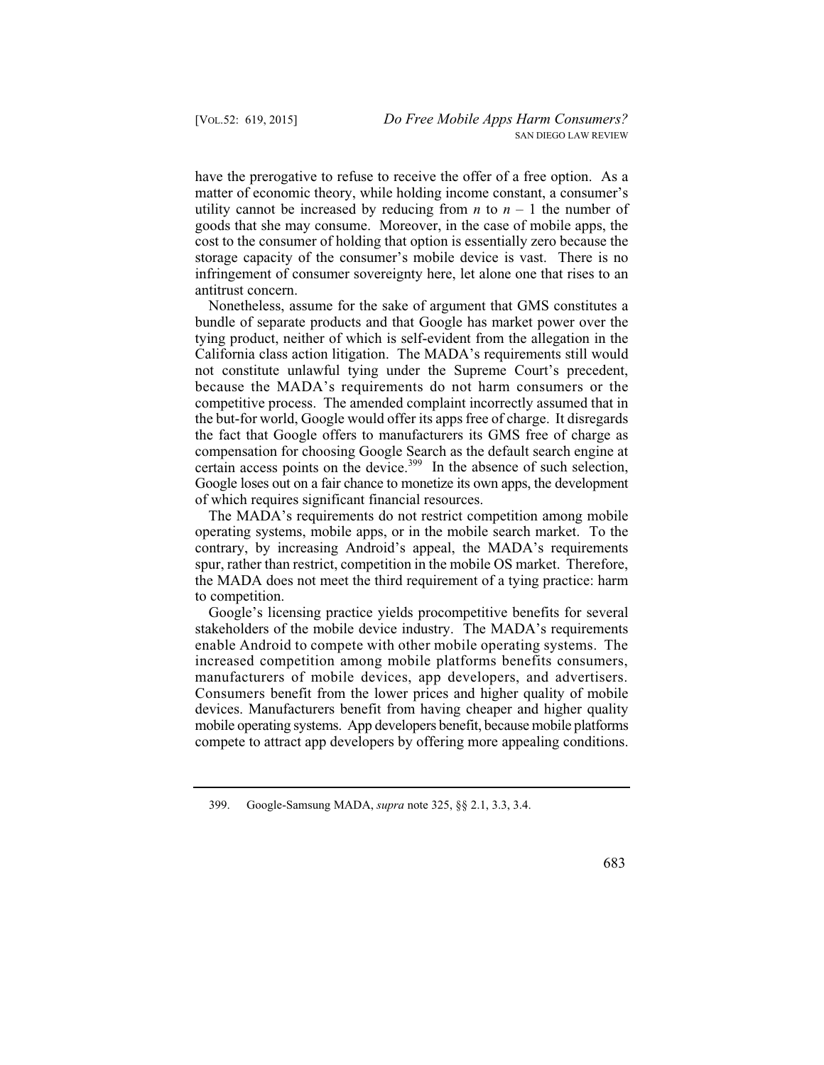have the prerogative to refuse to receive the offer of a free option. As a matter of economic theory, while holding income constant, a consumer's utility cannot be increased by reducing from  $n$  to  $n-1$  the number of goods that she may consume. Moreover, in the case of mobile apps, the cost to the consumer of holding that option is essentially zero because the storage capacity of the consumer's mobile device is vast. There is no infringement of consumer sovereignty here, let alone one that rises to an antitrust concern.

Nonetheless, assume for the sake of argument that GMS constitutes a bundle of separate products and that Google has market power over the tying product, neither of which is self-evident from the allegation in the California class action litigation. The MADA's requirements still would not constitute unlawful tying under the Supreme Court's precedent, because the MADA's requirements do not harm consumers or the competitive process. The amended complaint incorrectly assumed that in the but-for world, Google would offer its apps free of charge. It disregards the fact that Google offers to manufacturers its GMS free of charge as compensation for choosing Google Search as the default search engine at certain access points on the device.<sup>399</sup> In the absence of such selection, Google loses out on a fair chance to monetize its own apps, the development of which requires significant financial resources.

The MADA's requirements do not restrict competition among mobile operating systems, mobile apps, or in the mobile search market. To the contrary, by increasing Android's appeal, the MADA's requirements spur, rather than restrict, competition in the mobile OS market. Therefore, the MADA does not meet the third requirement of a tying practice: harm to competition.

Google's licensing practice yields procompetitive benefits for several stakeholders of the mobile device industry. The MADA's requirements enable Android to compete with other mobile operating systems. The increased competition among mobile platforms benefits consumers, manufacturers of mobile devices, app developers, and advertisers. Consumers benefit from the lower prices and higher quality of mobile devices. Manufacturers benefit from having cheaper and higher quality mobile operating systems. App developers benefit, because mobile platforms compete to attract app developers by offering more appealing conditions.

 399. Google-Samsung MADA, *supra* note 325, §§ 2.1, 3.3, 3.4.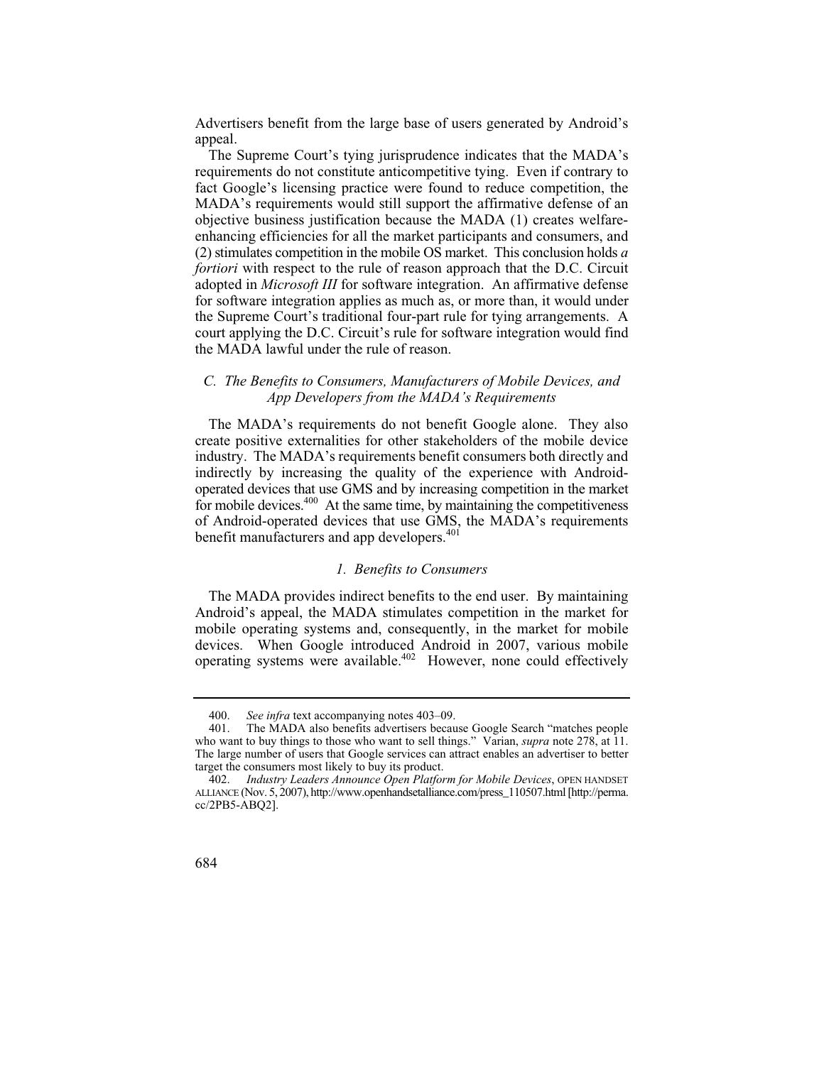Advertisers benefit from the large base of users generated by Android's appeal.

The Supreme Court's tying jurisprudence indicates that the MADA's requirements do not constitute anticompetitive tying. Even if contrary to fact Google's licensing practice were found to reduce competition, the MADA's requirements would still support the affirmative defense of an objective business justification because the MADA (1) creates welfareenhancing efficiencies for all the market participants and consumers, and (2) stimulates competition in the mobile OS market. This conclusion holds *a fortiori* with respect to the rule of reason approach that the D.C. Circuit adopted in *Microsoft III* for software integration. An affirmative defense for software integration applies as much as, or more than, it would under the Supreme Court's traditional four-part rule for tying arrangements. A court applying the D.C. Circuit's rule for software integration would find the MADA lawful under the rule of reason.

# *C. The Benefits to Consumers, Manufacturers of Mobile Devices, and App Developers from the MADA's Requirements*

The MADA's requirements do not benefit Google alone. They also create positive externalities for other stakeholders of the mobile device industry. The MADA's requirements benefit consumers both directly and indirectly by increasing the quality of the experience with Androidoperated devices that use GMS and by increasing competition in the market for mobile devices. $400$  At the same time, by maintaining the competitiveness of Android-operated devices that use GMS, the MADA's requirements benefit manufacturers and app developers.<sup>401</sup>

#### *1. Benefits to Consumers*

The MADA provides indirect benefits to the end user. By maintaining Android's appeal, the MADA stimulates competition in the market for mobile operating systems and, consequently, in the market for mobile devices. When Google introduced Android in 2007, various mobile operating systems were available.402 However, none could effectively

 400. *See infra* text accompanying notes 403–09.

<sup>401.</sup> The MADA also benefits advertisers because Google Search "matches people who want to buy things to those who want to sell things." Varian, *supra* note 278, at 11. The large number of users that Google services can attract enables an advertiser to better target the consumers most likely to buy its product.

 402. *Industry Leaders Announce Open Platform for Mobile Devices*, OPEN HANDSET ALLIANCE (Nov. 5, 2007), http://www.openhandsetalliance.com/press\_110507.html [http://perma. cc/2PB5-ABQ2].

<sup>684</sup>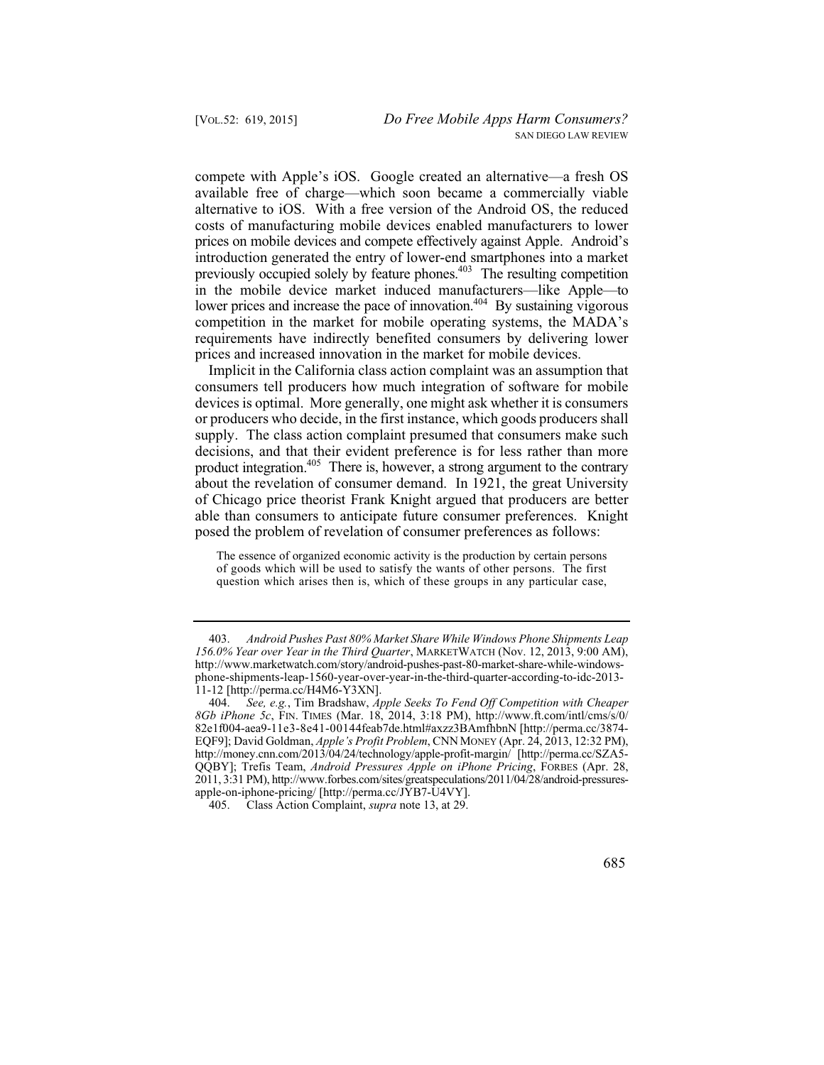lower prices and increase the pace of innovation.<sup>404</sup> By sustaining vigorous compete with Apple's iOS. Google created an alternative—a fresh OS available free of charge—which soon became a commercially viable alternative to iOS. With a free version of the Android OS, the reduced costs of manufacturing mobile devices enabled manufacturers to lower prices on mobile devices and compete effectively against Apple. Android's introduction generated the entry of lower-end smartphones into a market previously occupied solely by feature phones.<sup>403</sup> The resulting competition in the mobile device market induced manufacturers—like Apple—to competition in the market for mobile operating systems, the MADA's requirements have indirectly benefited consumers by delivering lower prices and increased innovation in the market for mobile devices.

Implicit in the California class action complaint was an assumption that consumers tell producers how much integration of software for mobile devices is optimal. More generally, one might ask whether it is consumers or producers who decide, in the first instance, which goods producers shall supply. The class action complaint presumed that consumers make such decisions, and that their evident preference is for less rather than more product integration.<sup>405</sup> There is, however, a strong argument to the contrary about the revelation of consumer demand. In 1921, the great University of Chicago price theorist Frank Knight argued that producers are better able than consumers to anticipate future consumer preferences. Knight posed the problem of revelation of consumer preferences as follows:

The essence of organized economic activity is the production by certain persons of goods which will be used to satisfy the wants of other persons. The first question which arises then is, which of these groups in any particular case,

405. Class Action Complaint, *supra* note 13, at 29.

 403. *Android Pushes Past 80% Market Share While Windows Phone Shipments Leap 156.0% Year over Year in the Third Quarter*, MARKETWATCH (Nov. 12, 2013, 9:00 AM), http://www.marketwatch.com/story/android-pushes-past-80-market-share-while-windowsphone-shipments-leap-1560-year-over-year-in-the-third-quarter-according-to-idc-2013 11-12 [http://perma.cc/H4M6-Y3XN].

 404. *See, e.g.*, Tim Bradshaw, *Apple Seeks To Fend Off Competition with Cheaper 8Gb iPhone 5c*, FIN. TIMES (Mar. 18, 2014, 3:18 PM), http://www.ft.com/intl/cms/s/0/ 82e1f004-aea9-11e3-8e41-00144feab7de.html#axzz3BAmfhbnN [http://perma.cc/3874 EQF9]; David Goldman, *Apple's Profit Problem*, CNN MONEY (Apr. 24, 2013, 12:32 PM), http://money.cnn.com/2013/04/24/technology/apple-profit-margin/ [http://perma.cc/SZA5 QQBY]; Trefis Team, *Android Pressures Apple on iPhone Pricing*, FORBES (Apr. 28, 2011, 3:31 PM), http://www.forbes.com/sites/greatspeculations/2011/04/28/android-pressuresapple-on-iphone-pricing/ [http://perma.cc/JYB7-U4VY].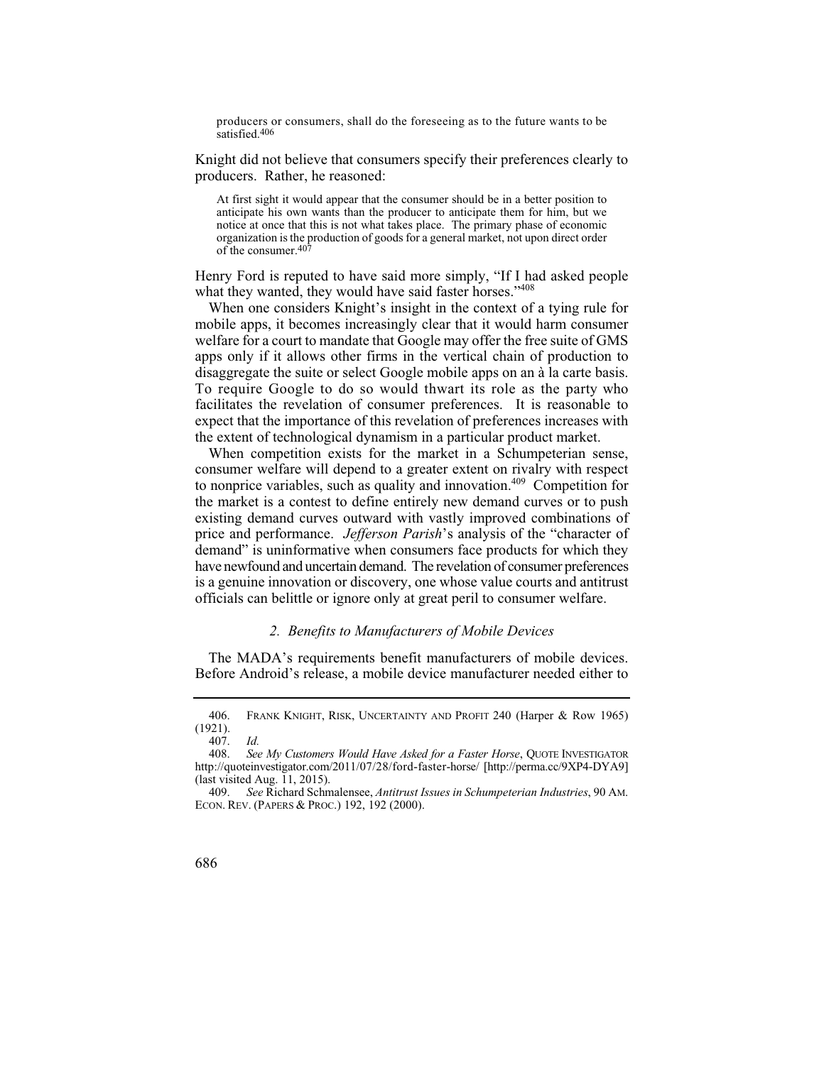producers or co nsumers, shall do the foreseeing as to the future wants to be satisfied.406

Knight did not believe that consumers specify their preferences clearly to producers. Rather, he reasoned:

 At first sight it would appear that the consumer should be in a better position to anticipate his own wants than the producer to anticipate them for him, but we notice at once that this is not what takes place. The primary phase of economic organization is the production of goods for a general market, not upon direct order of the consumer.407

Henry Ford is reputed to have said more simply, "If I had asked people what they wanted, they would have said faster horses."<sup>408</sup>

 To require Google to do so would thwart its role as the party who When one considers Knight's insight in the context of a tying rule for mobile apps, it becomes increasingly clear that it would harm consumer welfare for a court to mandate that Google may offer the free suite of GMS apps only if it allows other firms in the vertical chain of production to disaggregate the suite or select Google mobile apps on an à la carte basis. facilitates the revelation of consumer preferences. It is reasonable to expect that the importance of this revelation of preferences increases with the extent of technological dynamism in a particular product market.

When competition exists for the market in a Schumpeterian sense, consumer welfare will depend to a greater extent on rivalry with respect to nonprice variables, such as quality and innovation.409 Competition for the market is a contest to define entirely new demand curves or to push existing demand curves outward with vastly improved combinations of price and performance. *Jefferson Parish*'s analysis of the "character of demand" is uninformative when consumers face products for which they have newfound and uncertain demand. The revelation of consumer preferences is a genuine innovation or discovery, one whose value courts and antitrust officials can belittle or ignore only at great peril to consumer welfare.

### *2. Benefits to Manufacturers of Mobile Devices*

The MADA's requirements benefit manufacturers of mobile devices. Before Android's release, a mobile device manufacturer needed either to

 406. FRANK KNIGHT, RISK, UNCERTAINTY AND PROFIT 240 (Harper & Row 1965) Id. (1921).

 <sup>407.</sup> *Id.*

 408. *See My Customers Would Have Asked for a Faster Horse*, QUOTE INVESTIGATOR http://quoteinvestigator.com/2011/07/28/ford-faster-horse/ [http://perma.cc/9XP4-DYA9] (last visited Aug. 11, 2015).

 409. *See* Richard Schmalensee, *Antitrust Issues in Schumpeterian Industries*, 90 AM. ECON. REV. (PAPERS & PROC.) 192, 192 (2000).

<sup>686</sup>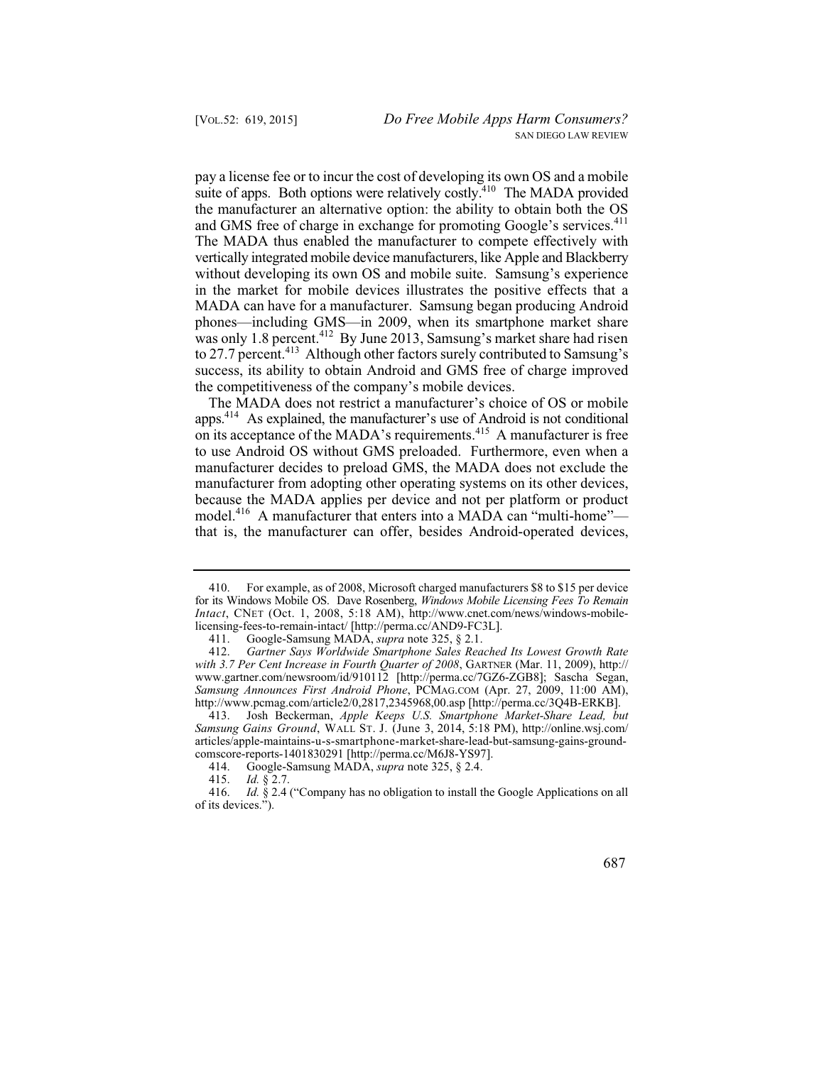pay a license fee or to incur the cost of developing its own OS and a mobile suite of apps. Both options were relatively costly.<sup>410</sup> The MADA provided the manufacturer an alternative option: the ability to obtain both the OS and GMS free of charge in exchange for promoting Google's services.<sup>411</sup> The MADA thus enabled the manufacturer to compete effectively with vertically integrated mobile device manufacturers, like Apple and Blackberry without developing its own OS and mobile suite. Samsung's experience in the market for mobile devices illustrates the positive effects that a MADA can have for a manufacturer. Samsung began producing Android phones—including GMS—in 2009, when its smartphone market share was only 1.8 percent.<sup>412</sup> By June 2013, Samsung's market share had risen to 27.7 percent.<sup>413</sup> Although other factors surely contributed to Samsung's success, its ability to obtain Android and GMS free of charge improved the competitiveness of the company's mobile devices.

The MADA does not restrict a manufacturer's choice of OS or mobile apps.414 As explained, the manufacturer's use of Android is not conditional on its acceptance of the MADA's requirements.<sup>415</sup> A manufacturer is free to use Android OS without GMS preloaded. Furthermore, even when a manufacturer decides to preload GMS, the MADA does not exclude the manufacturer from adopting other operating systems on its other devices, because the MADA applies per device and not per platform or product model.<sup>416</sup> A manufacturer that enters into a MADA can "multi-home" that is, the manufacturer can offer, besides Android-operated devices,

 416. *Id.* § 2.4 ("Company has no obligation to install the Google Applications on all of its devices.").



<sup>410.</sup> For example, as of 2008, Microsoft charged manufacturers \$8 to \$15 per device for its Windows Mobile OS. Dave Rosenberg, *Windows Mobile Licensing Fees To Remain Intact*, CNET (Oct. 1, 2008, 5:18 AM), http://www.cnet.com/news/windows-mobilelicensing-fees-to-remain-intact/ [http://perma.cc/AND9-FC3L].

 411. Google-Samsung MADA, *supra* note 325, § 2.1.

 412. *Gartner Says Worldwide Smartphone Sales Reached Its Lowest Growth Rate with 3.7 Per Cent Increase in Fourth Quarter of 2008*, GARTNER (Mar. 11, 2009), http:// www.gartner.com/newsroom/id/910112 [http://perma.cc/7GZ6-ZGB8]; Sascha Segan, *Samsung Announces First Android Phone*, PCMAG.COM (Apr. 27, 2009, 11:00 AM), http://www.pcmag.com/article2/0,2817,2345968,00.asp [http://perma.cc/3Q4B-ERKB].

 413. Josh Beckerman, *Apple Keeps U.S. Smartphone Market-Share Lead, but Samsung Gains Ground*, WALL ST. J. (June 3, 2014, 5:18 PM), http://online.wsj.com/ articles/apple-maintains-u-s-smartphone-market-share-lead-but-samsung-gains-groundcomscore-reports-1401830291 [http://perma.cc/M6J8-YS97].<br>414. Google-Samsung MADA, *supra* note 325, § 2.4.

 414. Google-Samsung MADA, *supra* note 325, § 2.4.

 415. *Id.* § 2.7.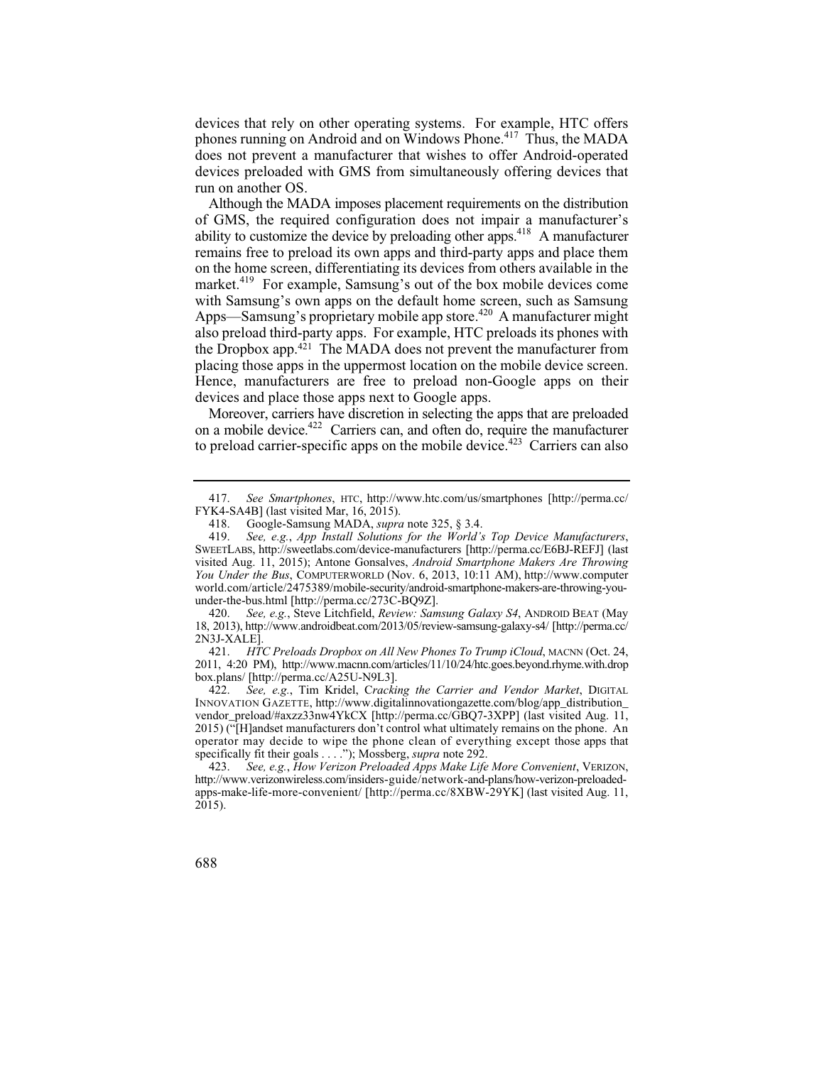phones running on Android and on Windows Phone.<sup>417</sup> Thus, the MADA devices that rely on other operating systems. For example, HTC offers does not prevent a manufacturer that wishes to offer Android-operated devices preloaded with GMS from simultaneously offering devices that run on another OS.

Although the MADA imposes placement requirements on the distribution of GMS, the required configuration does not impair a manufacturer's ability to customize the device by preloading other apps.418 A manufacturer remains free to preload its own apps and third-party apps and place them on the home screen, differentiating its devices from others available in the market.<sup>419</sup> For example, Samsung's out of the box mobile devices come with Samsung's own apps on the default home screen, such as Samsung Apps—Samsung's proprietary mobile app store.<sup> $420$ </sup> A manufacturer might also preload third-party apps. For example, HTC preloads its phones with the Dropbox app.421 The MADA does not prevent the manufacturer from placing those apps in the uppermost location on the mobile device screen. Hence, manufacturers are free to preload non-Google apps on their devices and place those apps next to Google apps.

Moreover, carriers have discretion in selecting the apps that are preloaded on a mobile device.422 Carriers can, and often do, require the manufacturer to preload carrier-specific apps on the mobile device.<sup> $423$ </sup> Carriers can also

 421. *HTC Preloads Dropbox on All New Phones To Trump iCloud*, MACNN (Oct. 24, 2011, 4:20 PM), http://www.macnn.com/articles/11/10/24/htc.goes.beyond.rhyme.with.drop box.plans/ [http://perma.cc/A25U-N9L3].

 422. *See, e.g.*, Tim Kridel, C*racking the Carrier and Vendor Market*, DIGITAL operator may decide to wipe the phone clean of everything except those apps that INNOVATION GAZETTE, http://www.digitalinnovationgazette.com/blog/app\_distribution\_ vendor\_preload/#axzz33nw4YkCX [http://perma.cc/GBQ7-3XPP] (last visited Aug. 11, 2015) ("[H]andset manufacturers don't control what ultimately remains on the phone. An specifically fit their goals . . . ."); Mossberg, *supra* note 292.

 417. *See Smartphones*, HTC, http://www.htc.com/us/smartphones [http://perma.cc/ FYK4-SA4B] (last visited Mar, 16, 2015).<br>418. Google-Samsung MADA, supra

 418. Google-Samsung MADA, *supra* note 325, § 3.4.

 419. *See, e.g.*, *App Install Solutions for the World's Top Device Manufacturers*, SWEETLABS, http://sweetlabs.com/device-manufacturers [http://perma.cc/E6BJ-REFJ] (last visited Aug. 11, 2015); Antone Gonsalves, *Android Smartphone Makers Are Throwing You Under the Bus*, COMPUTERWORLD (Nov. 6, 2013, 10:11 AM), http://www.computer world.com/article/2475389/mobile-security/android-smartphone-makers-are-throwing-youunder-the-bus.html [http://perma.cc/273C-BQ9Z].<br>420. See, e.g., Steve Litchfield, Review: Sam

 420. *See, e.g.*, Steve Litchfield, *Review: Samsung Galaxy S4*, ANDROID BEAT (May 18, 2013), http://www.androidbeat.com/2013/05/review-samsung-galaxy-s4/ [http://perma.cc/ 2N3J-XALE].

 423. *See, e.g.*, *How Verizon Preloaded Apps Make Life More Convenient*, VERIZON, apps-make-life-more-convenient/ [http://perma.cc/8XBW-29YK] (last visited Aug. 11, http://www.verizonwireless.com/insiders-guide/network-and-plans/how-verizon-preloaded-2015).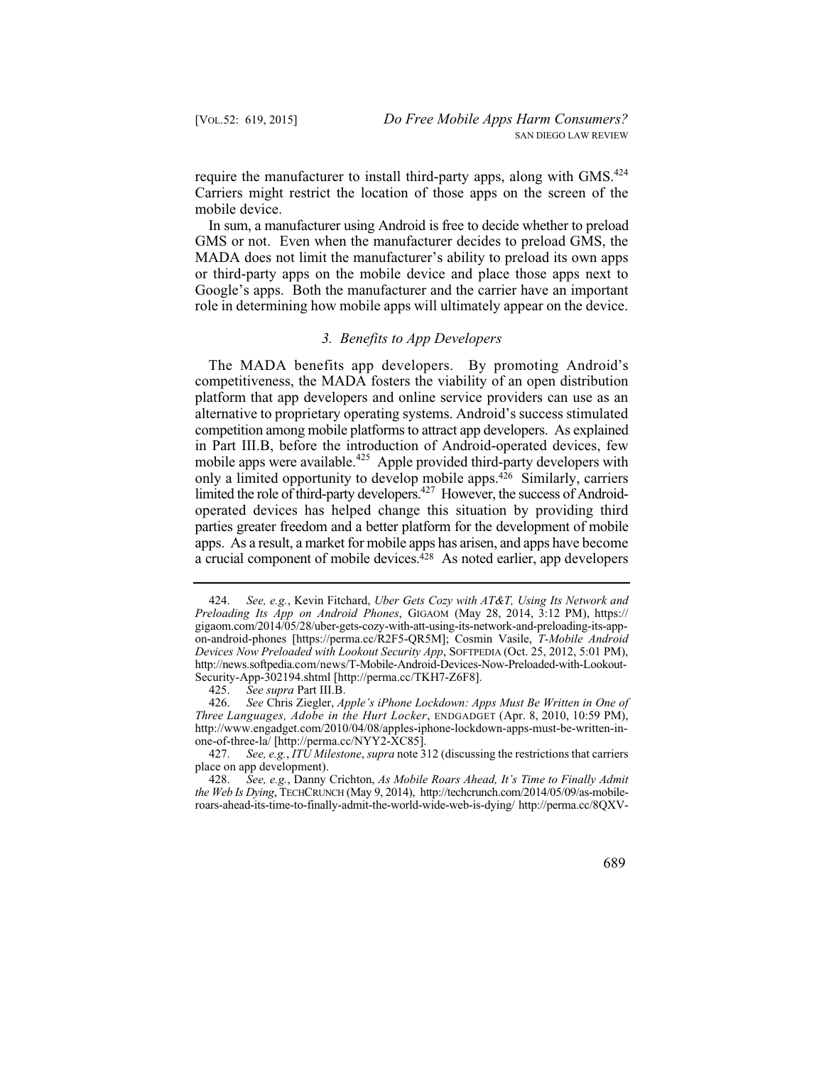require the manufacturer to install third-party apps, along with GMS.<sup>424</sup> Carriers might restrict the location of those apps on the screen of the mobile device.

 In sum, a manufacturer using Android is free to decide whether to preload GMS or not. Even when the manufacturer decides to preload GMS, the MADA does not limit the manufacturer's ability to preload its own apps or third-party apps on the mobile device and place those apps next to Google's apps. Both the manufacturer and the carrier have an important role in determining how mobile apps will ultimately appear on the device.

## *3. Benefits to App Developers*

mobile apps were available.<sup>425</sup> Apple provided third-party developers with apps. As a result, a market for mobile apps has arisen, and apps have become The MADA benefits app developers. By promoting Android's competitiveness, the MADA fosters the viability of an open distribution platform that app developers and online service providers can use as an alternative to proprietary operating systems. Android's success stimulated competition among mobile platforms to attract app developers. As explained in Part III.B, before the introduction of Android-operated devices, few only a limited opportunity to develop mobile apps.426 Similarly, carriers limited the role of third-party developers.<sup>427</sup> However, the success of Androidoperated devices has helped change this situation by providing third parties greater freedom and a better platform for the development of mobile a crucial component of mobile devices.<sup>428</sup> As noted earlier, app developers

 424. *See, e.g.*, Kevin Fitchard, *Uber Gets Cozy with AT&T, Using Its Network and Preloading Its App on Android Phones*, GIGAOM (May 28, 2014, 3:12 PM), https:// gigaom.com/2014/05/28/uber-gets-cozy-with-att-using-its-network-and-preloading-its-appon-android-phones [https://perma.cc/R2F5-QR5M]; Cosmin Vasile, *T-Mobile Android Devices Now Preloaded with Lookout Security App*, SOFTPEDIA (Oct. 25, 2012, 5:01 PM), http://news.softpedia.com/news/T-Mobile-Android-Devices-Now-Preloaded-with-Lookout-Security-App-302194.shtml [http://perma.cc/TKH7-Z6F8].

 425. *See supra* Part III.B.

 426. *See* Chris Ziegler, *Apple's iPhone Lockdown: Apps Must Be Written in One of Three Languages, Adobe in the Hurt Locker*, ENDGADGET (Apr. 8, 2010, 10:59 PM), http://www.engadget.com/2010/04/08/apples-iphone-lockdown-apps-must-be-written-inone-of-three-la/ [http://perma.cc/NYY2-XC85].

 427. *See, e.g.*, *ITU Milestone*, *supra* note 312 (discussing the restrictions that carriers place on app development).

 428. *See, e.g.*, Danny Crichton, *As Mobile Roars Ahead, It's Time to Finally Admit the Web Is Dying*, TECHCRUNCH (May 9, 2014), http://techcrunch.com/2014/05/09/as-mobileroars-ahead-its-time-to-finally-admit-the-world-wide-web-is-dying/ http://perma.cc/8QXV-

 <sup>689</sup>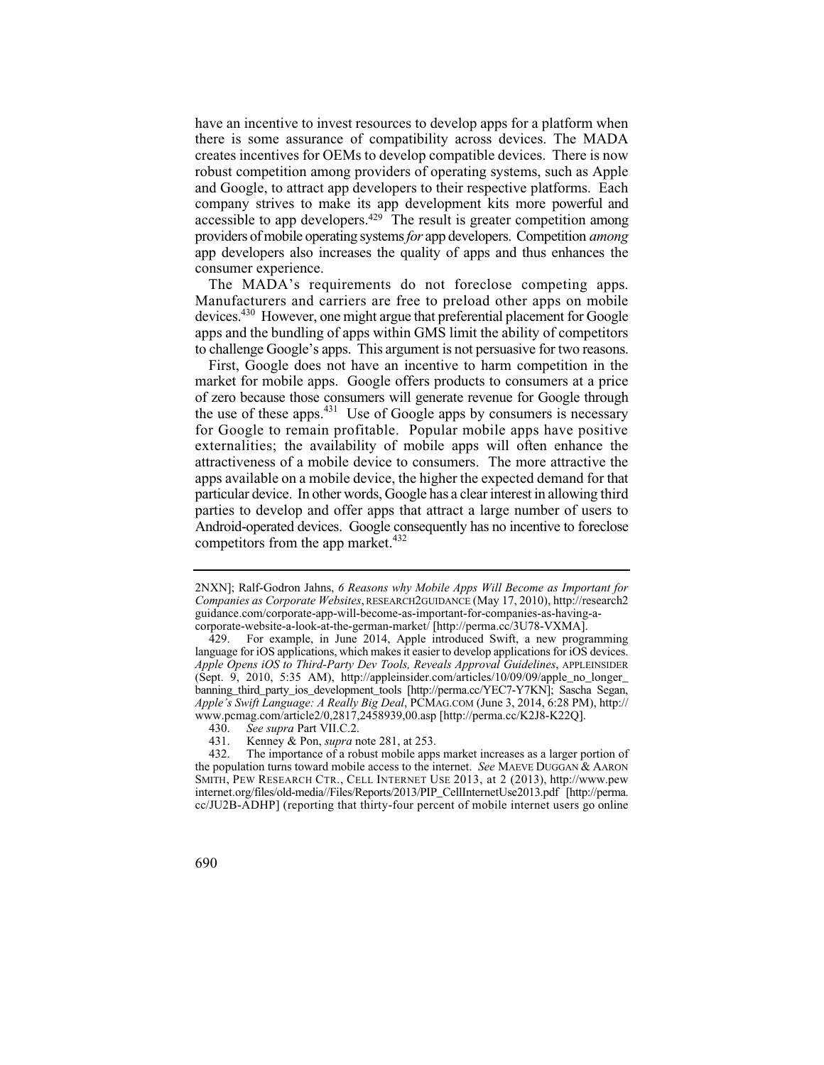company strives to make its app development kits more powerful and have an incentive to invest resources to develop apps for a platform when there is some assurance of compatibility across devices. The MADA creates incentives for OEMs to develop compatible devices. There is now robust competition among providers of operating systems, such as Apple and Google, to attract app developers to their respective platforms. Each accessible to app developers.429 The result is greater competition among providers of mobile operating systems *for* app developers. Competition *among*  app developers also increases the quality of apps and thus enhances the consumer experience.

 The MADA's requirements do not foreclose competing apps. to challenge Google's apps. This argument is not persuasive for two reasons. Manufacturers and carriers are free to preload other apps on mobile devices.430 However, one might argue that preferential placement for Google apps and the bundling of apps within GMS limit the ability of competitors

First, Google does not have an incentive to harm competition in the market for mobile apps. Google offers products to consumers at a price of zero because those consumers will generate revenue for Google through the use of these apps. $431$  Use of Google apps by consumers is necessary for Google to remain profitable. Popular mobile apps have positive externalities; the availability of mobile apps will often enhance the attractiveness of a mobile device to consumers. The more attractive the apps available on a mobile device, the higher the expected demand for that particular device. In other words, Google has a clear interest in allowing third parties to develop and offer apps that attract a large number of users to Android-operated devices. Google consequently has no incentive to foreclose competitors from the app market. $432$ 

<sup>2</sup>NXN]; Ralf-Godron Jahns, *6 Reasons why Mobile Apps Will Become as Important for Companies as Corporate Websites*, RESEARCH2GUIDANCE (May 17, 2010), http://research2 guidance.com/corporate-app-will-become-as-important-for-companies-as-having-acorporate-website-a-look-at-the-german-market/ [http://perma.cc/3U78-VXMA].

<sup>429.</sup> For example, in June 2014, Apple introduced Swift, a new programming language for iOS applications, which makes it easier to develop applications for iOS devices. *Apple Opens iOS to Third-Party Dev Tools, Reveals Approval Guidelines*, APPLEINSIDER (Sept. 9, 2010, 5:35 AM), http://appleinsider.com/articles/10/09/09/apple\_no\_longer\_ banning\_third\_party\_ios\_development\_tools [http://perma.cc/YEC7-Y7KN]; Sascha Segan, *Apple's Swift Language: A Really Big Deal*, PCMAG.COM (June 3, 2014, 6:28 PM), http:// www.pcmag.com/article2/0,2817,2458939,00.asp [http://perma.cc/K2J8-K22Q].

 430. *See supra* Part VII.C.2.

<sup>431.</sup> Kenney & Pon, *supra* note 281, at 253.<br>432. The importance of a robust mobile apps

 cc/JU2B-ADHP] (reporting that thirty-four percent of mobile internet users go online The importance of a robust mobile apps market increases as a larger portion of the population turns toward mobile access to the internet. *See* MAEVE DUGGAN & AARON SMITH, PEW RESEARCH CTR., CELL INTERNET USE 2013, at 2 (2013), http://www.pew internet.org/files/old-media//Files/Reports/2013/PIP\_CellInternetUse2013.pdf [http://perma.

<sup>690</sup>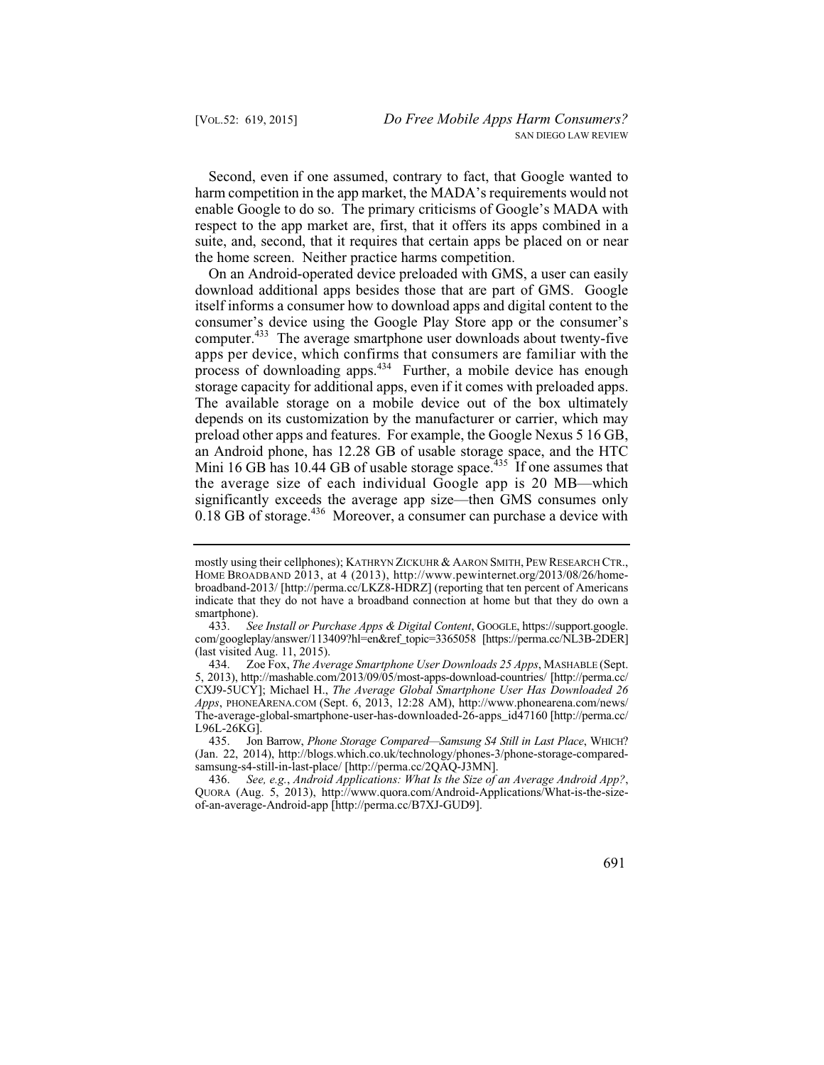Second, even if one assumed, contrary to fact, that Google wanted to harm competition in the app market, the MADA's requirements would not enable Google to do so. The primary criticisms of Google's MADA with respect to the app market are, first, that it offers its apps combined in a suite, and, second, that it requires that certain apps be placed on or near the home screen. Neither practice harms competition.

 apps per device, which confirms that consumers are familiar with the On an Android-operated device preloaded with GMS, a user can easily download additional apps besides those that are part of GMS. Google itself informs a consumer how to download apps and digital content to the consumer's device using the Google Play Store app or the consumer's computer.<sup>433</sup> The average smartphone user downloads about twenty-five process of downloading apps.434 Further, a mobile device has enough storage capacity for additional apps, even if it comes with preloaded apps. The available storage on a mobile device out of the box ultimately depends on its customization by the manufacturer or carrier, which may preload other apps and features. For example, the Google Nexus 5 16 GB, an Android phone, has 12.28 GB of usable storage space, and the HTC Mini 16 GB has 10.44 GB of usable storage space.<sup>435</sup> If one assumes that the average size of each individual Google app is 20 MB—which significantly exceeds the average app size—then GMS consumes only 0.18 GB of storage.436 Moreover, a consumer can purchase a device with

mostly using their cellphones); KATHRYN ZICKUHR & AARON SMITH, PEW RESEARCH CTR., HOME BROADBAND 2013, at 4 (2013), http://www.pewinternet.org/2013/08/26/homebroadband-2013/ [http://perma.cc/LKZ8-HDRZ] (reporting that ten percent of Americans indicate that they do not have a broadband connection at home but that they do own a smartphone).<br>433. See

 433. *See Install or Purchase Apps & Digital Content*, GOOGLE, https://support.google. com/googleplay/answer/113409?hl=en&ref\_topic=3365058 [https://perma.cc/NL3B-2DER] (last visited Aug. 11, 2015).

 434. Zoe Fox, *The Average Smartphone User Downloads 25 Apps*, MASHABLE (Sept. 5, 2013), http://mashable.com/2013/09/05/most-apps-download-countries/ [http://perma.cc/ CXJ9-5UCY]; Michael H., *The Average Global Smartphone User Has Downloaded 26 Apps*, PHONEARENA.COM (Sept. 6, 2013, 12:28 AM), http://www.phonearena.com/news/ The-average-global-smartphone-user-has-downloaded-26-apps\_id47160 [http://perma.cc/ L96L-26KG].

 435. Jon Barrow, *Phone Storage Compared—Samsung S4 Still in Last Place*, WHICH? (Jan. 22, 2014), http://blogs.which.co.uk/technology/phones-3/phone-storage-comparedsamsung-s4-still-in-last-place/ [http://perma.cc/2QAQ-J3MN].

 436. *See, e.g.*, *Android Applications: What Is the Size of an Average Android App?*, QUORA (Aug. 5, 2013), http://www.quora.com/Android-Applications/What-is-the-sizeof-an-average-Android-app [http://perma.cc/B7XJ-GUD9].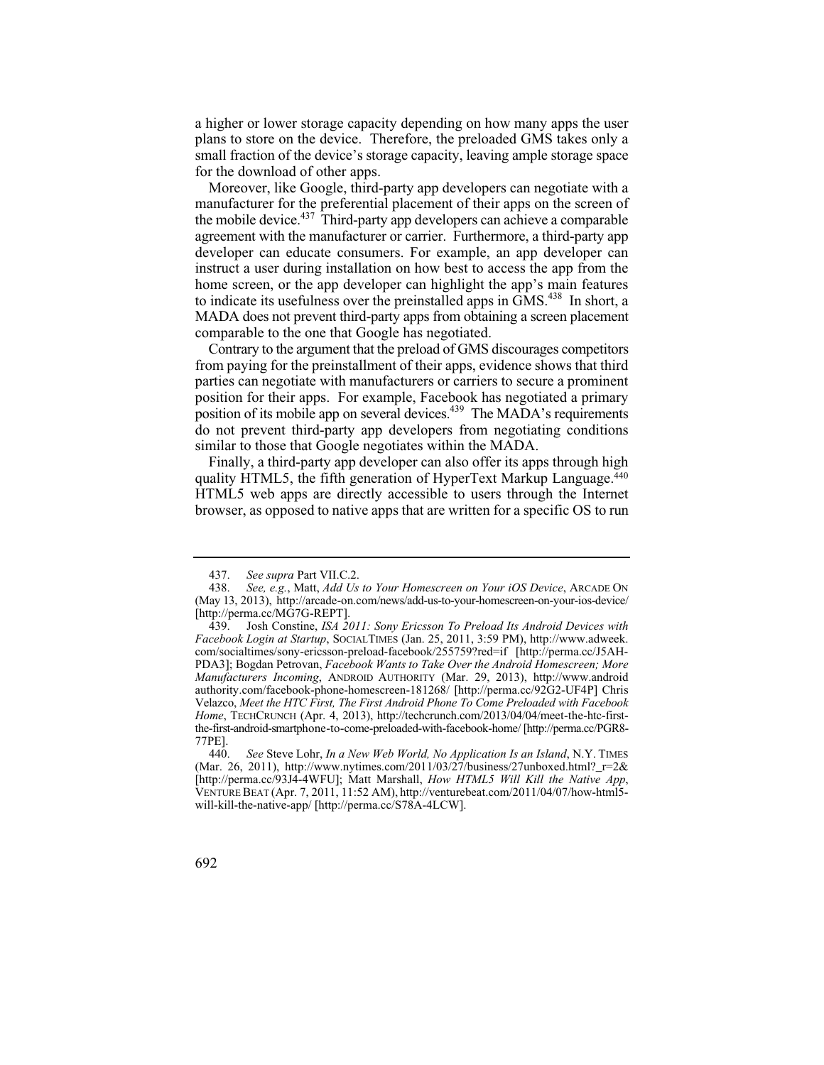small fraction of the device's storage capacity, leaving ample storage space a higher or lower storage capacity depending on how many apps the user plans to store on the device. Therefore, the preloaded GMS takes only a for the download of other apps.

Moreover, like Google, third-party app developers can negotiate with a manufacturer for the preferential placement of their apps on the screen of the mobile device.<sup>437</sup> Third-party app developers can achieve a comparable agreement with the manufacturer or carrier. Furthermore, a third-party app developer can educate consumers. For example, an app developer can instruct a user during installation on how best to access the app from the home screen, or the app developer can highlight the app's main features to indicate its usefulness over the preinstalled apps in GMS.438 In short, a MADA does not prevent third-party apps from obtaining a screen placement comparable to the one that Google has negotiated.

position of its mobile app on several devices.<sup>439</sup> The MADA's requirements Contrary to the argument that the preload of GMS discourages competitors from paying for the preinstallment of their apps, evidence shows that third parties can negotiate with manufacturers or carriers to secure a prominent position for their apps. For example, Facebook has negotiated a primary do not prevent third-party app developers from negotiating conditions similar to those that Google negotiates within the MADA.

Finally, a third-party app developer can also offer its apps through high quality HTML5, the fifth generation of HyperText Markup Language.440 HTML5 web apps are directly accessible to users through the Internet browser, as opposed to native apps that are written for a specific OS to run

 437. *See supra* Part VII.C.2.

 438. *See, e.g.*, Matt, *Add Us to Your Homescreen on Your iOS Device*, ARCADE ON (May 13, 2013), http://arcade-on.com/news/add-us-to-your-homescreen-on-your-ios-device/ [http://perma.cc/MG7G-REPT].<br>439. Josh Constine, ISA 20

 439. Josh Constine, *ISA 2011: Sony Ericsson To Preload Its Android Devices with Facebook Login at Startup*, SOCIALTIMES (Jan. 25, 2011, 3:59 PM), http://www.adweek. com/socialtimes/sony-ericsson-preload-facebook/255759?red=if [http://perma.cc/J5AH-PDA3]; Bogdan Petrovan, *Facebook Wants to Take Over the Android Homescreen; More Manufacturers Incoming*, ANDROID AUTHORITY (Mar. 29, 2013), http://www.android authority.com/facebook-phone-homescreen-181268/ [http://perma.cc/92G2-UF4P] Chris Velazco, *Meet the HTC First, The First Android Phone To Come Preloaded with Facebook Home*, TECHCRUNCH (Apr. 4, 2013), http://techcrunch.com/2013/04/04/meet-the-htc-firstthe-first-android-smartphone-to-come-preloaded-with-facebook-home/ [http://perma.cc/PGR8- 77PE].

 440. *See* Steve Lohr, *In a New Web World, No Application Is an Island*, N.Y. TIMES (Mar. 26, 2011), http://www.nytimes.com/2011/03/27/business/27unboxed.html?  $r=2&$ [http://perma.cc/93J4-4WFU]; Matt Marshall, *How HTML5 Will Kill the Native App*, VENTURE BEAT (Apr. 7, 2011, 11:52 AM), http://venturebeat.com/2011/04/07/how-html5 will-kill-the-native-app/ [http://perma.cc/S78A-4LCW].

<sup>692</sup>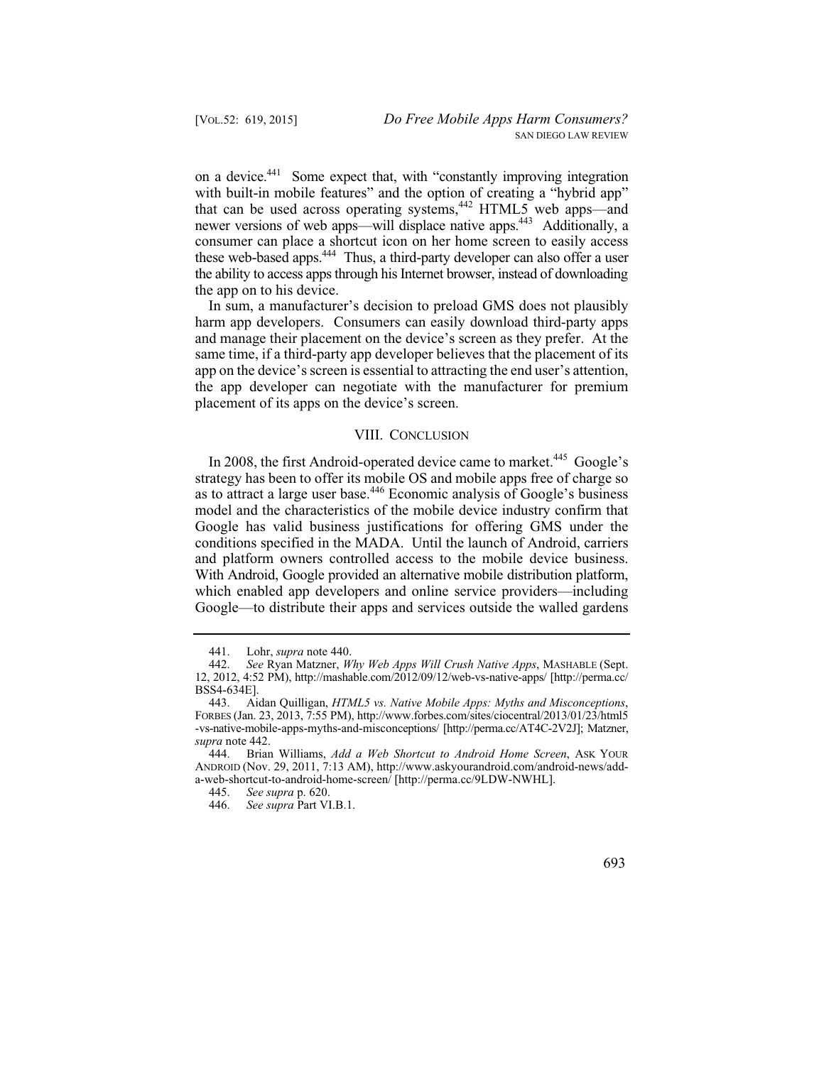on a device.<sup>441</sup> Some expect that, with "constantly improving integration with built-in mobile features" and the option of creating a "hybrid app" that can be used across operating systems,  $442$  HTML5 web apps—and newer versions of web apps—will displace native apps.<sup>443</sup> Additionally, a consumer can place a shortcut icon on her home screen to easily access these web-based apps.<sup>444</sup> Thus, a third-party developer can also offer a user the ability to access apps through his Internet browser, instead of downloading the app on to his device.

In sum, a manufacturer's decision to preload GMS does not plausibly harm app developers. Consumers can easily download third-party apps and manage their placement on the device's screen as they prefer. At the same time, if a third-party app developer believes that the placement of its app on the device's screen is essential to attracting the end user's attention, the app developer can negotiate with the manufacturer for premium placement of its apps on the device's screen.

## VIII. CONCLUSION

In 2008, the first Android-operated device came to market.<sup>445</sup> Google's strategy has been to offer its mobile OS and mobile apps free of charge so as to attract a large user base.<sup>446</sup> Economic analysis of Google's business model and the characteristics of the mobile device industry confirm that Google has valid business justifications for offering GMS under the conditions specified in the MADA. Until the launch of Android, carriers and platform owners controlled access to the mobile device business. With Android, Google provided an alternative mobile distribution platform, which enabled app developers and online service providers—including Google—to distribute their apps and services outside the walled gardens

<sup>441.</sup> Lohr, *supra* note 440.

 442. *See* Ryan Matzner, *Why Web Apps Will Crush Native Apps*, MASHABLE (Sept. 12, 2012, 4:52 PM), http://mashable.com/2012/09/12/web-vs-native-apps/ [http://perma.cc/ BSS4-634E].

 443. Aidan Quilligan, *HTML5 vs. Native Mobile Apps: Myths and Misconceptions*, FORBES (Jan. 23, 2013, 7:55 PM), http://www.forbes.com/sites/ciocentral/2013/01/23/html5 -vs-native-mobile-apps-myths-and-misconceptions/ [http://perma.cc/AT4C-2V2J]; Matzner, *supra* note 442.

 444. Brian Williams, *Add a Web Shortcut to Android Home Screen*, ASK YOUR ANDROID (Nov. 29, 2011, 7:13 AM), http://www.askyourandroid.com/android-news/adda-web-shortcut-to-android-home-screen/ [http://perma.cc/9LDW-NWHL].<br>445. See supra p. 620.

 445. *See supra* p. 620.

 446. *See supra* Part VI.B.1.